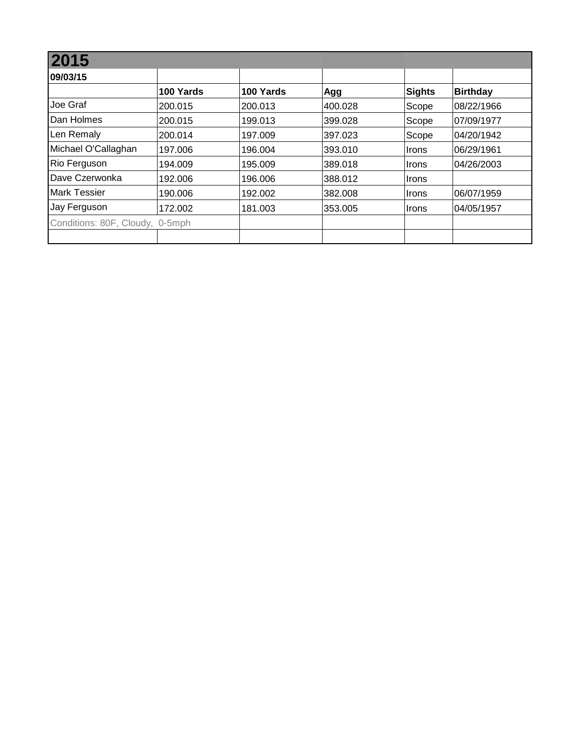| 09/03/15                        |           |           |         |               |                 |
|---------------------------------|-----------|-----------|---------|---------------|-----------------|
|                                 | 100 Yards | 100 Yards | Agg     | <b>Sights</b> | <b>Birthday</b> |
| Joe Graf                        | 200.015   | 200.013   | 400.028 | Scope         | 08/22/1966      |
| Dan Holmes                      | 200.015   | 199.013   | 399.028 | Scope         | 07/09/1977      |
| Len Remaly                      | 200.014   | 197.009   | 397.023 | Scope         | 04/20/1942      |
| Michael O'Callaghan             | 197.006   | 196.004   | 393.010 | <b>Irons</b>  | 06/29/1961      |
| Rio Ferguson                    | 194.009   | 195.009   | 389.018 | <b>Irons</b>  | 04/26/2003      |
| Dave Czerwonka                  | 192.006   | 196.006   | 388.012 | <b>Irons</b>  |                 |
| <b>Mark Tessier</b>             | 190.006   | 192.002   | 382.008 | <b>Irons</b>  | 06/07/1959      |
| Jay Ferguson                    | 172.002   | 181.003   | 353.005 | <b>Irons</b>  | 04/05/1957      |
| Conditions: 80F, Cloudy, 0-5mph |           |           |         |               |                 |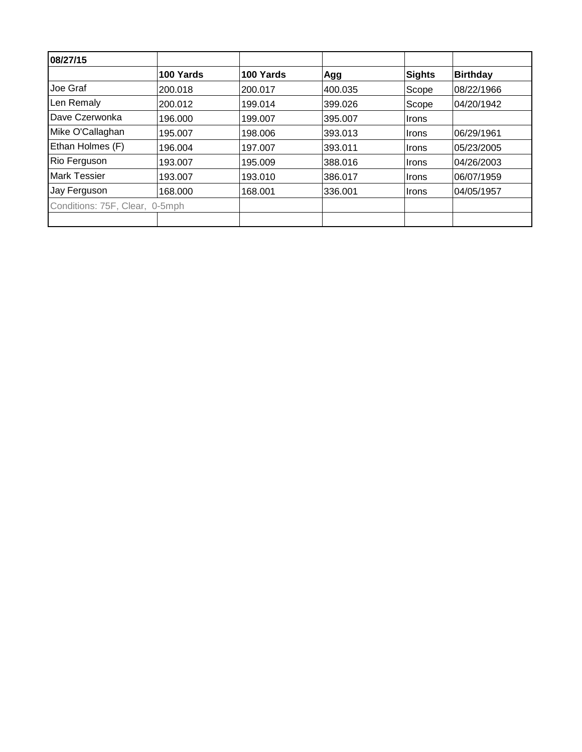| 08/27/15                       |           |           |         |        |                 |
|--------------------------------|-----------|-----------|---------|--------|-----------------|
|                                | 100 Yards | 100 Yards | Agg     | Sights | <b>Birthday</b> |
| Joe Graf                       | 200.018   | 200.017   | 400.035 | Scope  | 08/22/1966      |
| Len Remaly                     | 200.012   | 199.014   | 399.026 | Scope  | 04/20/1942      |
| Dave Czerwonka                 | 196.000   | 199.007   | 395.007 | Irons  |                 |
| Mike O'Callaghan               | 195.007   | 198.006   | 393.013 | Irons  | 06/29/1961      |
| Ethan Holmes (F)               | 196.004   | 197.007   | 393.011 | Irons  | 05/23/2005      |
| Rio Ferguson                   | 193.007   | 195.009   | 388.016 | Irons  | 04/26/2003      |
| <b>Mark Tessier</b>            | 193.007   | 193.010   | 386.017 | Irons  | 06/07/1959      |
| Jay Ferguson                   | 168.000   | 168.001   | 336.001 | ∣Irons | 04/05/1957      |
| Conditions: 75F, Clear, 0-5mph |           |           |         |        |                 |
|                                |           |           |         |        |                 |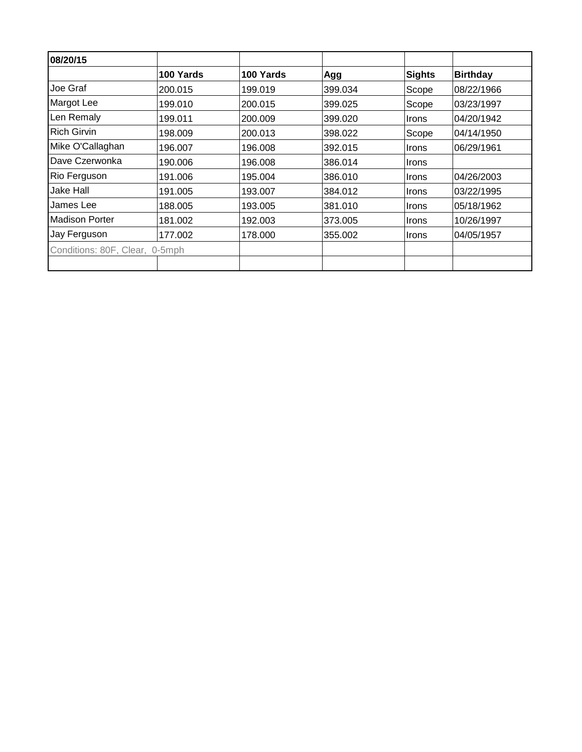| 08/20/15                       |           |           |         |              |                 |
|--------------------------------|-----------|-----------|---------|--------------|-----------------|
|                                | 100 Yards | 100 Yards | Agg     | Sights       | <b>Birthday</b> |
| Joe Graf                       | 200.015   | 199.019   | 399.034 | Scope        | 08/22/1966      |
| Margot Lee                     | 199.010   | 200.015   | 399.025 | Scope        | 03/23/1997      |
| Len Remaly                     | 199.011   | 200.009   | 399.020 | <b>Irons</b> | 04/20/1942      |
| <b>Rich Girvin</b>             | 198.009   | 200.013   | 398.022 | Scope        | 04/14/1950      |
| Mike O'Callaghan               | 196.007   | 196.008   | 392.015 | <b>Irons</b> | 06/29/1961      |
| Dave Czerwonka                 | 190.006   | 196.008   | 386.014 | <b>Irons</b> |                 |
| Rio Ferguson                   | 191.006   | 195.004   | 386.010 | <b>Irons</b> | 04/26/2003      |
| Jake Hall                      | 191.005   | 193.007   | 384.012 | <b>Irons</b> | 03/22/1995      |
| James Lee                      | 188.005   | 193.005   | 381.010 | <b>Irons</b> | 05/18/1962      |
| Madison Porter                 | 181.002   | 192.003   | 373.005 | <b>Irons</b> | 10/26/1997      |
| Jay Ferguson                   | 177.002   | 178.000   | 355.002 | <b>Irons</b> | 04/05/1957      |
| Conditions: 80F, Clear, 0-5mph |           |           |         |              |                 |
|                                |           |           |         |              |                 |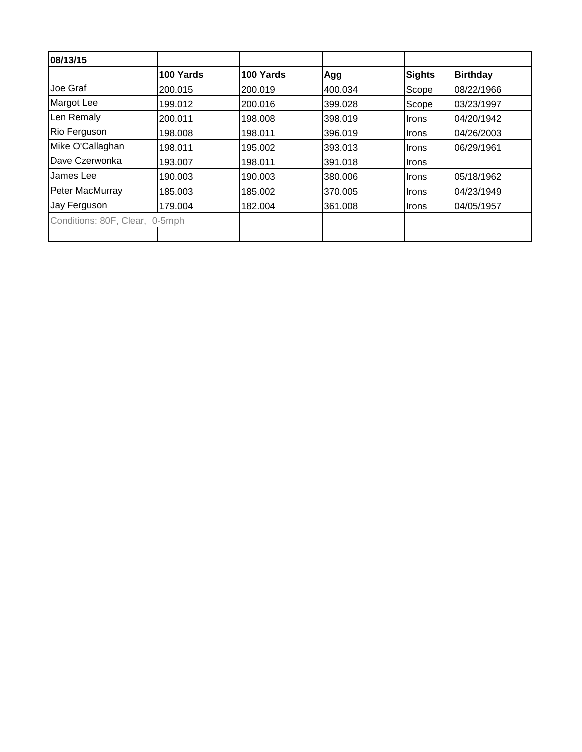| 08/13/15                       |           |           |         |              |                 |
|--------------------------------|-----------|-----------|---------|--------------|-----------------|
|                                | 100 Yards | 100 Yards | Agg     | Sights       | <b>Birthday</b> |
| Joe Graf                       | 200.015   | 200.019   | 400.034 | Scope        | 08/22/1966      |
| Margot Lee                     | 199.012   | 200.016   | 399.028 | Scope        | 03/23/1997      |
| Len Remaly                     | 200.011   | 198,008   | 398.019 | <b>Irons</b> | 04/20/1942      |
| Rio Ferguson                   | 198.008   | 198.011   | 396.019 | Irons        | 04/26/2003      |
| Mike O'Callaghan               | 198.011   | 195.002   | 393.013 | Irons        | 06/29/1961      |
| Dave Czerwonka                 | 193.007   | 198.011   | 391.018 | <b>Irons</b> |                 |
| James Lee                      | 190.003   | 190.003   | 380.006 | Irons        | 05/18/1962      |
| Peter MacMurray                | 185.003   | 185.002   | 370.005 | Irons        | 04/23/1949      |
| Jay Ferguson                   | 179.004   | 182.004   | 361.008 | Irons        | 04/05/1957      |
| Conditions: 80F, Clear, 0-5mph |           |           |         |              |                 |
|                                |           |           |         |              |                 |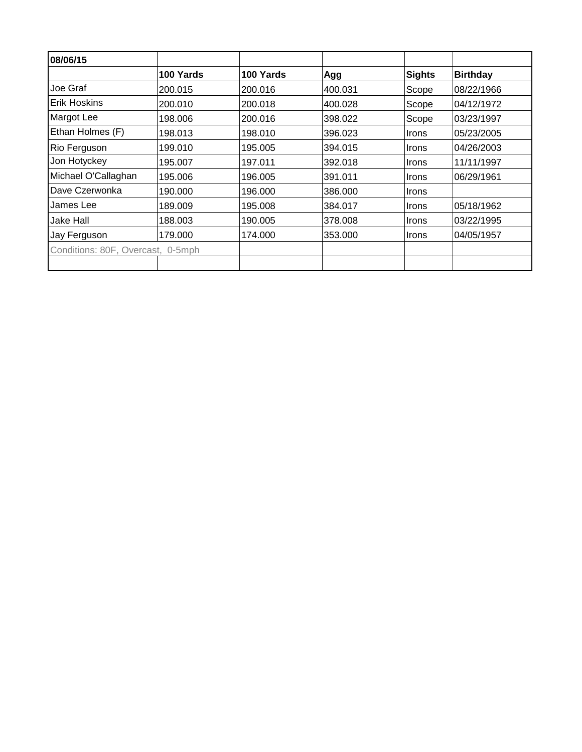| 08/06/15                          |           |           |         |              |                 |
|-----------------------------------|-----------|-----------|---------|--------------|-----------------|
|                                   | 100 Yards | 100 Yards | Agg     | Sights       | <b>Birthday</b> |
| Joe Graf                          | 200.015   | 200.016   | 400.031 | Scope        | 08/22/1966      |
| <b>Erik Hoskins</b>               | 200.010   | 200.018   | 400.028 | Scope        | 04/12/1972      |
| Margot Lee                        | 198.006   | 200.016   | 398.022 | Scope        | 03/23/1997      |
| Ethan Holmes (F)                  | 198.013   | 198.010   | 396.023 | <b>Irons</b> | 05/23/2005      |
| Rio Ferguson                      | 199.010   | 195.005   | 394.015 | <b>Irons</b> | 04/26/2003      |
| Jon Hotyckey                      | 195.007   | 197.011   | 392.018 | <b>Irons</b> | 11/11/1997      |
| Michael O'Callaghan               | 195.006   | 196.005   | 391.011 | <b>Irons</b> | 06/29/1961      |
| Dave Czerwonka                    | 190.000   | 196.000   | 386.000 | <b>Irons</b> |                 |
| James Lee                         | 189.009   | 195.008   | 384.017 | <b>Irons</b> | 05/18/1962      |
| Jake Hall                         | 188.003   | 190.005   | 378,008 | <b>Irons</b> | 03/22/1995      |
| Jay Ferguson                      | 179.000   | 174.000   | 353.000 | <b>Irons</b> | 04/05/1957      |
| Conditions: 80F, Overcast, 0-5mph |           |           |         |              |                 |
|                                   |           |           |         |              |                 |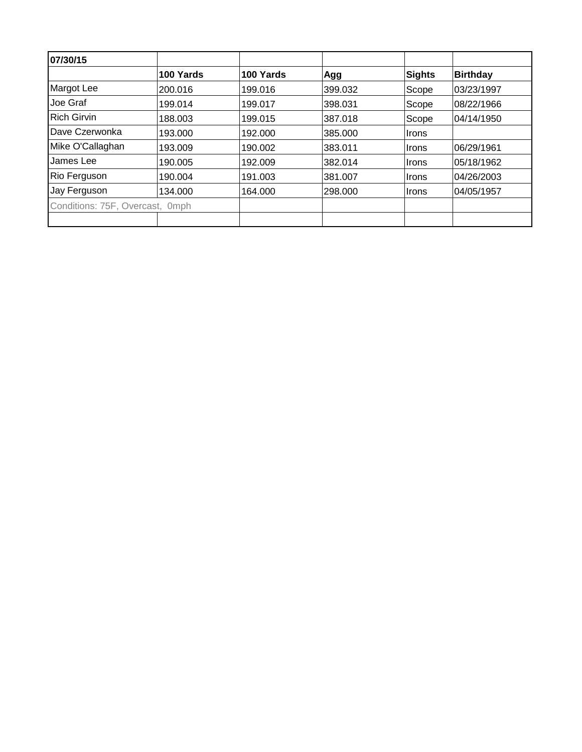| 07/30/15                        |           |           |         |        |                 |
|---------------------------------|-----------|-----------|---------|--------|-----------------|
|                                 | 100 Yards | 100 Yards | Agg     | Sights | <b>Birthday</b> |
| Margot Lee                      | 200.016   | 199.016   | 399.032 | Scope  | 03/23/1997      |
| Joe Graf                        | 199.014   | 199.017   | 398.031 | Scope  | 08/22/1966      |
| <b>Rich Girvin</b>              | 188.003   | 199.015   | 387.018 | Scope  | 04/14/1950      |
| Dave Czerwonka                  | 193.000   | 192.000   | 385.000 | Irons  |                 |
| Mike O'Callaghan                | 193.009   | 190.002   | 383.011 | Irons  | 06/29/1961      |
| James Lee                       | 190.005   | 192.009   | 382.014 | Irons  | 05/18/1962      |
| Rio Ferguson                    | 190.004   | 191.003   | 381.007 | Irons  | 04/26/2003      |
| Jay Ferguson                    | 134.000   | 164.000   | 298.000 | ∣Irons | 04/05/1957      |
| Conditions: 75F, Overcast, 0mph |           |           |         |        |                 |
|                                 |           |           |         |        |                 |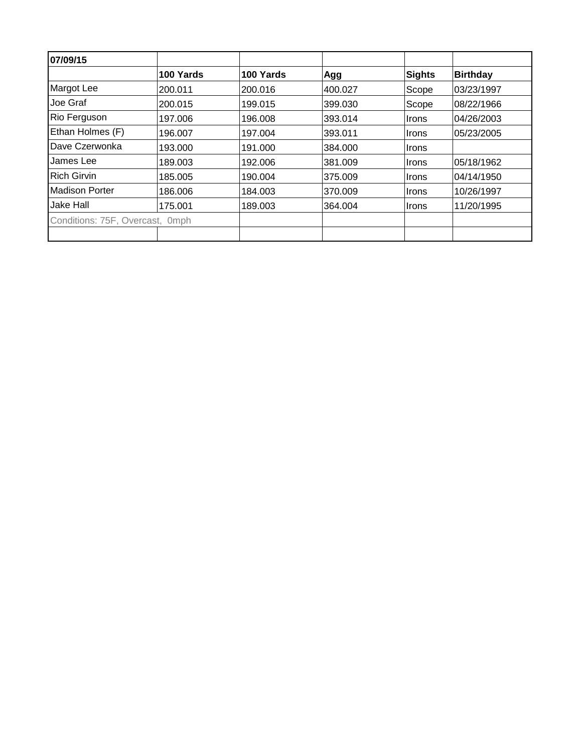| 07/09/15                        |           |           |         |               |                 |
|---------------------------------|-----------|-----------|---------|---------------|-----------------|
|                                 | 100 Yards | 100 Yards | Agg     | <b>Sights</b> | <b>Birthday</b> |
| Margot Lee                      | 200.011   | 200.016   | 400.027 | Scope         | 03/23/1997      |
| Joe Graf                        | 200.015   | 199.015   | 399.030 | Scope         | 08/22/1966      |
| Rio Ferguson                    | 197.006   | 196.008   | 393.014 | Irons         | 04/26/2003      |
| Ethan Holmes (F)                | 196.007   | 197.004   | 393.011 | ∣Irons        | 05/23/2005      |
| Dave Czerwonka                  | 193.000   | 191.000   | 384.000 | <b>Irons</b>  |                 |
| James Lee                       | 189.003   | 192.006   | 381.009 | ∣Irons        | 05/18/1962      |
| <b>Rich Girvin</b>              | 185.005   | 190.004   | 375,009 | Irons         | 04/14/1950      |
| Madison Porter                  | 186.006   | 184.003   | 370.009 | <b>Irons</b>  | 10/26/1997      |
| Jake Hall                       | 175.001   | 189.003   | 364.004 | <b>Irons</b>  | 11/20/1995      |
| Conditions: 75F, Overcast, 0mph |           |           |         |               |                 |
|                                 |           |           |         |               |                 |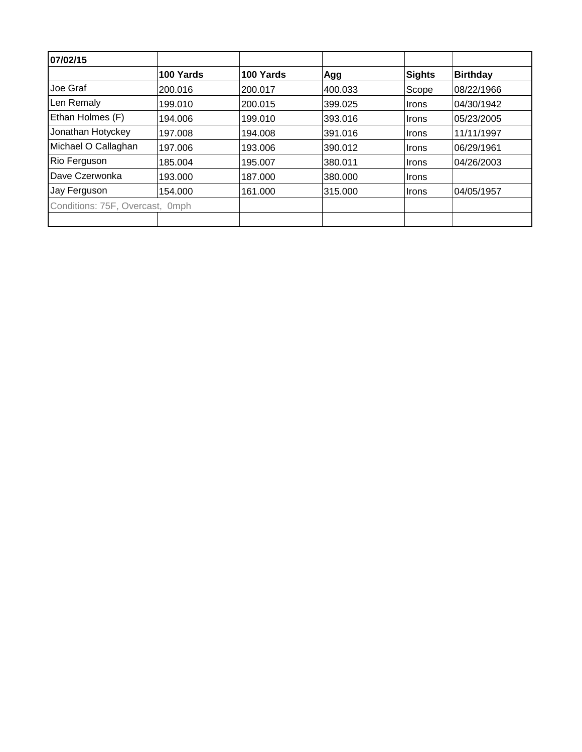| 07/02/15                        |           |           |         |        |                 |
|---------------------------------|-----------|-----------|---------|--------|-----------------|
|                                 | 100 Yards | 100 Yards | Agg     | Sights | <b>Birthday</b> |
| Joe Graf                        | 200.016   | 200.017   | 400.033 | Scope  | 08/22/1966      |
| Len Remaly                      | 199.010   | 200.015   | 399.025 | Irons  | 04/30/1942      |
| Ethan Holmes (F)                | 194.006   | 199.010   | 393.016 | ∣Irons | 05/23/2005      |
| Jonathan Hotyckey               | 197.008   | 194.008   | 391.016 | Irons  | 11/11/1997      |
| Michael O Callaghan             | 197.006   | 193.006   | 390.012 | Irons  | 06/29/1961      |
| Rio Ferguson                    | 185.004   | 195.007   | 380.011 | Irons  | 04/26/2003      |
| Dave Czerwonka                  | 193.000   | 187.000   | 380.000 | Irons  |                 |
| Jay Ferguson                    | 154.000   | 161.000   | 315.000 | ∣Irons | 04/05/1957      |
| Conditions: 75F, Overcast, 0mph |           |           |         |        |                 |
|                                 |           |           |         |        |                 |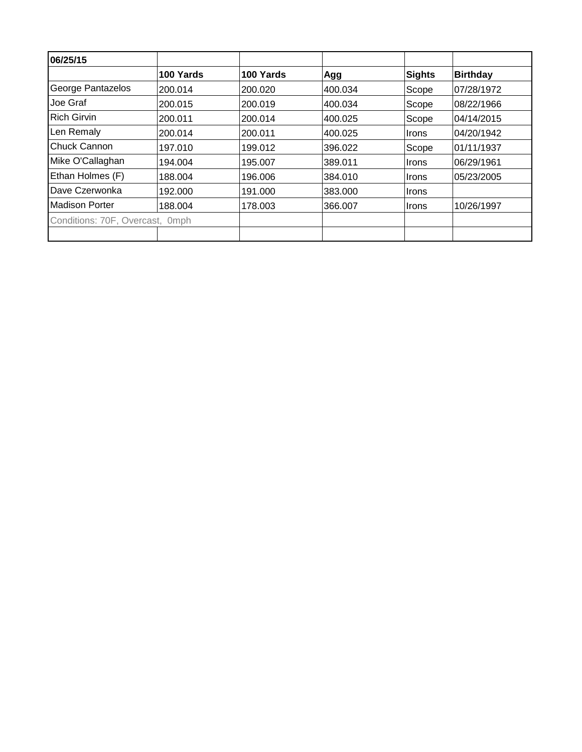| 06/25/15                        |           |           |         |        |                 |
|---------------------------------|-----------|-----------|---------|--------|-----------------|
|                                 | 100 Yards | 100 Yards | Agg     | Sights | <b>Birthday</b> |
| George Pantazelos               | 200.014   | 200.020   | 400.034 | Scope  | 07/28/1972      |
| Joe Graf                        | 200.015   | 200.019   | 400.034 | Scope  | 08/22/1966      |
| Rich Girvin                     | 200.011   | 200.014   | 400.025 | Scope  | 04/14/2015      |
| Len Remaly                      | 200.014   | 200.011   | 400.025 | Irons  | 04/20/1942      |
| <b>Chuck Cannon</b>             | 197.010   | 199.012   | 396.022 | Scope  | 01/11/1937      |
| Mike O'Callaghan                | 194.004   | 195.007   | 389.011 | Irons  | 06/29/1961      |
| Ethan Holmes (F)                | 188.004   | 196.006   | 384.010 | Irons  | 05/23/2005      |
| Dave Czerwonka                  | 192.000   | 191.000   | 383.000 | Irons  |                 |
| Madison Porter                  | 188.004   | 178.003   | 366.007 | Irons  | 10/26/1997      |
| Conditions: 70F, Overcast, 0mph |           |           |         |        |                 |
|                                 |           |           |         |        |                 |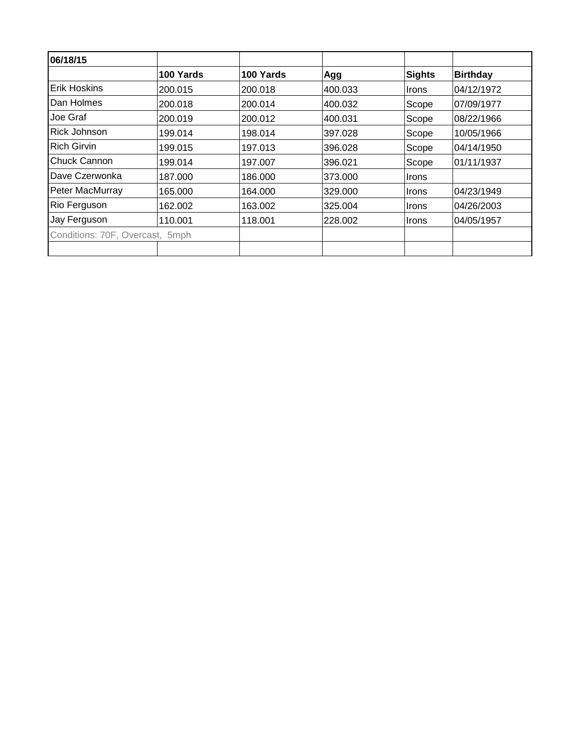| 100 Yards                       | 100 Yards | Agg     | <b>Sights</b> | <b>Birthday</b> |
|---------------------------------|-----------|---------|---------------|-----------------|
| 200.015                         | 200.018   | 400.033 | <b>Irons</b>  | 04/12/1972      |
| 200.018                         | 200.014   | 400.032 | Scope         | 07/09/1977      |
| 200.019                         | 200.012   | 400.031 | Scope         | 08/22/1966      |
| 199.014                         | 198.014   | 397.028 | Scope         | 10/05/1966      |
| 199.015                         | 197.013   | 396.028 | Scope         | 04/14/1950      |
| 199.014                         | 197.007   | 396.021 | Scope         | 101/11/1937     |
| 187.000                         | 186.000   | 373,000 | <b>Irons</b>  |                 |
| 165.000                         | 164.000   | 329,000 | <b>Irons</b>  | 04/23/1949      |
| 162.002                         | 163.002   | 325.004 | <b>Irons</b>  | 04/26/2003      |
| 110.001                         | 118.001   | 228,002 | <b>Irons</b>  | 04/05/1957      |
| Conditions: 70F, Overcast, 5mph |           |         |               |                 |
|                                 |           |         |               |                 |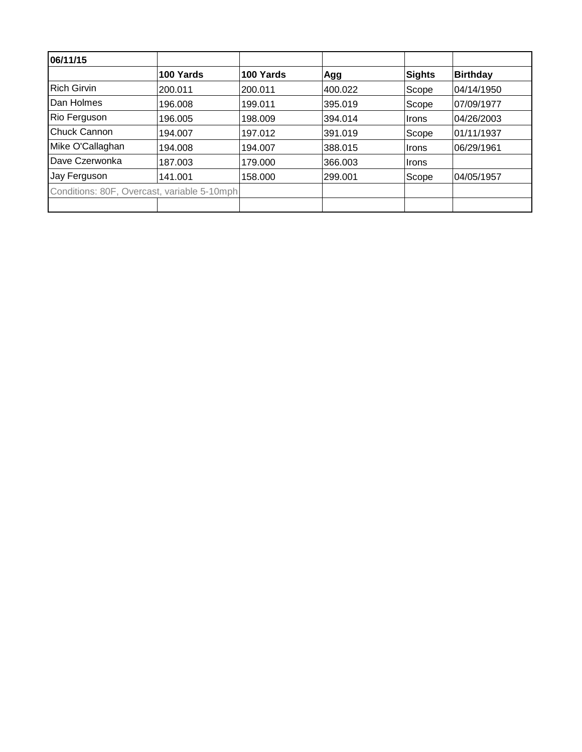| 06/11/15                                    |           |           |         |              |                 |
|---------------------------------------------|-----------|-----------|---------|--------------|-----------------|
|                                             | 100 Yards | 100 Yards | Agg     | Sights       | <b>Birthday</b> |
| <b>Rich Girvin</b>                          | 200.011   | 200.011   | 400.022 | Scope        | 04/14/1950      |
| Dan Holmes                                  | 196.008   | 199.011   | 395.019 | Scope        | 07/09/1977      |
| Rio Ferguson                                | 196.005   | 198.009   | 394.014 | <b>Irons</b> | 04/26/2003      |
| <b>Chuck Cannon</b>                         | 194.007   | 197.012   | 391.019 | Scope        | 01/11/1937      |
| Mike O'Callaghan                            | 194.008   | 194.007   | 388.015 | ∣Irons       | 06/29/1961      |
| Dave Czerwonka                              | 187.003   | 179,000   | 366.003 | ∣Irons       |                 |
| Jay Ferguson                                | 141.001   | 158.000   | 299.001 | Scope        | 04/05/1957      |
| Conditions: 80F, Overcast, variable 5-10mph |           |           |         |              |                 |
|                                             |           |           |         |              |                 |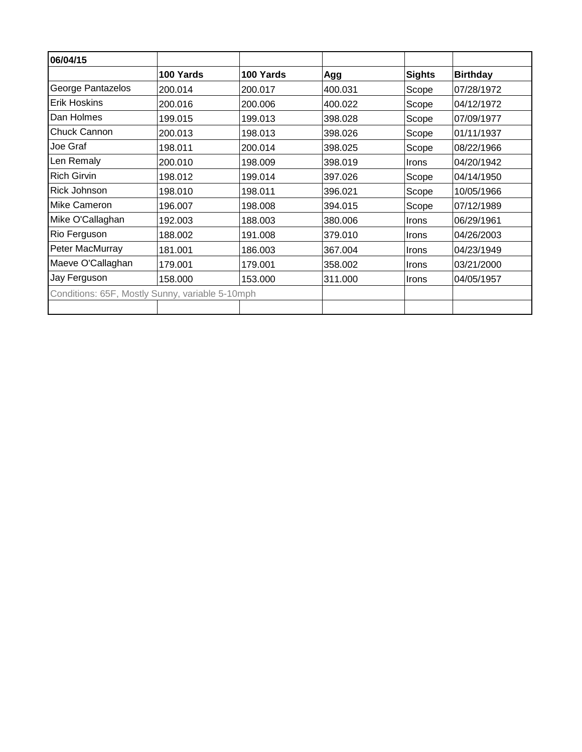| 06/04/15                                        |           |           |         |               |                 |
|-------------------------------------------------|-----------|-----------|---------|---------------|-----------------|
|                                                 | 100 Yards | 100 Yards | Agg     | <b>Sights</b> | <b>Birthday</b> |
| George Pantazelos                               | 200.014   | 200.017   | 400.031 | Scope         | 07/28/1972      |
| <b>Erik Hoskins</b>                             | 200.016   | 200.006   | 400.022 | Scope         | 04/12/1972      |
| Dan Holmes                                      | 199.015   | 199.013   | 398.028 | Scope         | 07/09/1977      |
| Chuck Cannon                                    | 200.013   | 198.013   | 398.026 | Scope         | 01/11/1937      |
| Joe Graf                                        | 198.011   | 200.014   | 398.025 | Scope         | 08/22/1966      |
| Len Remaly                                      | 200.010   | 198.009   | 398.019 | Irons         | 04/20/1942      |
| <b>Rich Girvin</b>                              | 198.012   | 199.014   | 397.026 | Scope         | 04/14/1950      |
| Rick Johnson                                    | 198.010   | 198.011   | 396.021 | Scope         | 10/05/1966      |
| <b>Mike Cameron</b>                             | 196.007   | 198.008   | 394.015 | Scope         | 07/12/1989      |
| Mike O'Callaghan                                | 192.003   | 188.003   | 380.006 | Irons         | 06/29/1961      |
| Rio Ferguson                                    | 188.002   | 191.008   | 379.010 | <b>Irons</b>  | 04/26/2003      |
| Peter MacMurray                                 | 181.001   | 186.003   | 367.004 | <b>Irons</b>  | 04/23/1949      |
| Maeve O'Callaghan                               | 179.001   | 179.001   | 358.002 | Irons         | 03/21/2000      |
| Jay Ferguson                                    | 158.000   | 153.000   | 311.000 | <b>Irons</b>  | 04/05/1957      |
| Conditions: 65F, Mostly Sunny, variable 5-10mph |           |           |         |               |                 |
|                                                 |           |           |         |               |                 |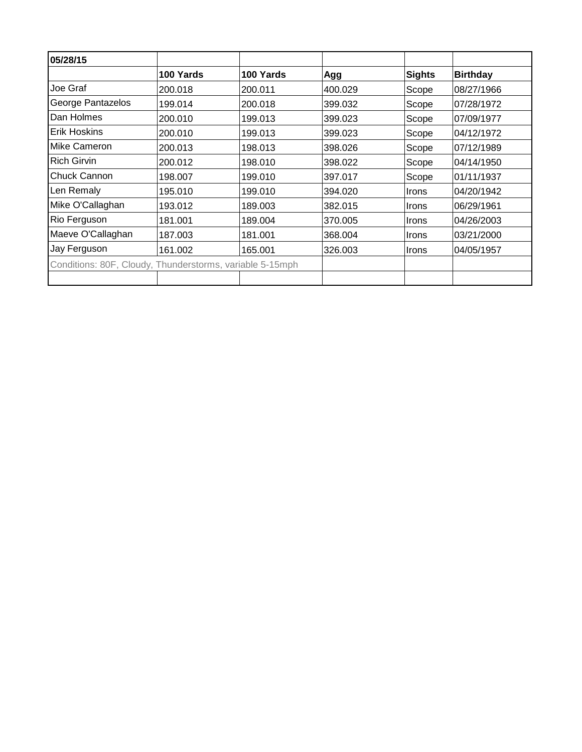| 05/28/15                                                 |           |           |         |               |                 |
|----------------------------------------------------------|-----------|-----------|---------|---------------|-----------------|
|                                                          | 100 Yards | 100 Yards | Agg     | <b>Sights</b> | <b>Birthday</b> |
| Joe Graf                                                 | 200.018   | 200.011   | 400.029 | Scope         | 08/27/1966      |
| George Pantazelos                                        | 199.014   | 200.018   | 399.032 | Scope         | 07/28/1972      |
| Dan Holmes                                               | 200.010   | 199.013   | 399.023 | Scope         | 07/09/1977      |
| Erik Hoskins                                             | 200.010   | 199.013   | 399.023 | Scope         | 04/12/1972      |
| Mike Cameron                                             | 200.013   | 198.013   | 398.026 | Scope         | 07/12/1989      |
| <b>Rich Girvin</b>                                       | 200.012   | 198.010   | 398.022 | Scope         | 04/14/1950      |
| Chuck Cannon                                             | 198.007   | 199.010   | 397.017 | Scope         | 01/11/1937      |
| Len Remaly                                               | 195.010   | 199.010   | 394.020 | <b>Irons</b>  | 04/20/1942      |
| Mike O'Callaghan                                         | 193.012   | 189.003   | 382.015 | <b>Irons</b>  | 06/29/1961      |
| Rio Ferguson                                             | 181.001   | 189.004   | 370.005 | Irons         | 04/26/2003      |
| Maeve O'Callaghan                                        | 187.003   | 181.001   | 368.004 | <b>Irons</b>  | 03/21/2000      |
| Jay Ferguson                                             | 161.002   | 165.001   | 326.003 | Irons         | 04/05/1957      |
| Conditions: 80F, Cloudy, Thunderstorms, variable 5-15mph |           |           |         |               |                 |
|                                                          |           |           |         |               |                 |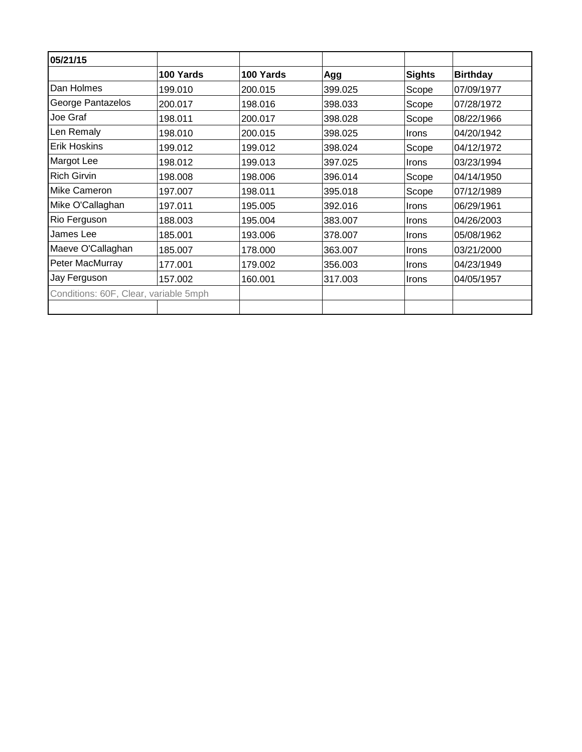| 05/21/15                              |           |           |         |               |                 |
|---------------------------------------|-----------|-----------|---------|---------------|-----------------|
|                                       | 100 Yards | 100 Yards | Agg     | <b>Sights</b> | <b>Birthday</b> |
| Dan Holmes                            | 199.010   | 200.015   | 399.025 | Scope         | 07/09/1977      |
| George Pantazelos                     | 200.017   | 198.016   | 398.033 | Scope         | 07/28/1972      |
| Joe Graf                              | 198.011   | 200.017   | 398.028 | Scope         | 08/22/1966      |
| Len Remaly                            | 198.010   | 200.015   | 398.025 | Irons         | 04/20/1942      |
| <b>Erik Hoskins</b>                   | 199.012   | 199.012   | 398.024 | Scope         | 04/12/1972      |
| <b>Margot Lee</b>                     | 198.012   | 199.013   | 397.025 | Irons         | 03/23/1994      |
| <b>Rich Girvin</b>                    | 198.008   | 198.006   | 396.014 | Scope         | 04/14/1950      |
| Mike Cameron                          | 197.007   | 198.011   | 395.018 | Scope         | 07/12/1989      |
| Mike O'Callaghan                      | 197.011   | 195.005   | 392.016 | Irons         | 06/29/1961      |
| Rio Ferguson                          | 188.003   | 195.004   | 383.007 | Irons         | 04/26/2003      |
| James Lee                             | 185.001   | 193.006   | 378.007 | Irons         | 05/08/1962      |
| Maeve O'Callaghan                     | 185.007   | 178.000   | 363.007 | <b>Irons</b>  | 03/21/2000      |
| Peter MacMurray                       | 177.001   | 179.002   | 356.003 | <b>Irons</b>  | 04/23/1949      |
| Jay Ferguson                          | 157.002   | 160.001   | 317.003 | Irons         | 04/05/1957      |
| Conditions: 60F, Clear, variable 5mph |           |           |         |               |                 |
|                                       |           |           |         |               |                 |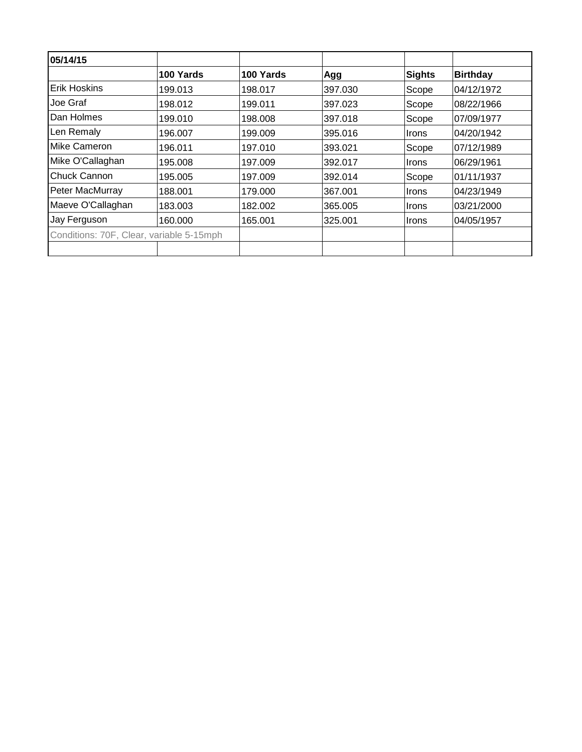| 05/14/15                                 |           |           |         |              |                 |
|------------------------------------------|-----------|-----------|---------|--------------|-----------------|
|                                          | 100 Yards | 100 Yards | Agg     | Sights       | <b>Birthday</b> |
| <b>Erik Hoskins</b>                      | 199.013   | 198.017   | 397.030 | Scope        | 04/12/1972      |
| Joe Graf                                 | 198.012   | 199.011   | 397.023 | Scope        | 08/22/1966      |
| <b>IDan Holmes</b>                       | 199.010   | 198.008   | 397.018 | Scope        | 07/09/1977      |
| Len Remaly                               | 196.007   | 199.009   | 395.016 | <b>Irons</b> | 04/20/1942      |
| Mike Cameron                             | 196.011   | 197.010   | 393.021 | Scope        | 07/12/1989      |
| Mike O'Callaghan                         | 195.008   | 197.009   | 392.017 | <b>Irons</b> | 06/29/1961      |
| Chuck Cannon                             | 195.005   | 197.009   | 392.014 | Scope        | 01/11/1937      |
| Peter MacMurray                          | 188.001   | 179.000   | 367.001 | <b>Irons</b> | 04/23/1949      |
| Maeve O'Callaghan                        | 183.003   | 182.002   | 365,005 | Irons        | 03/21/2000      |
| Jay Ferguson                             | 160.000   | 165.001   | 325,001 | <b>Irons</b> | 04/05/1957      |
| Conditions: 70F, Clear, variable 5-15mph |           |           |         |              |                 |
|                                          |           |           |         |              |                 |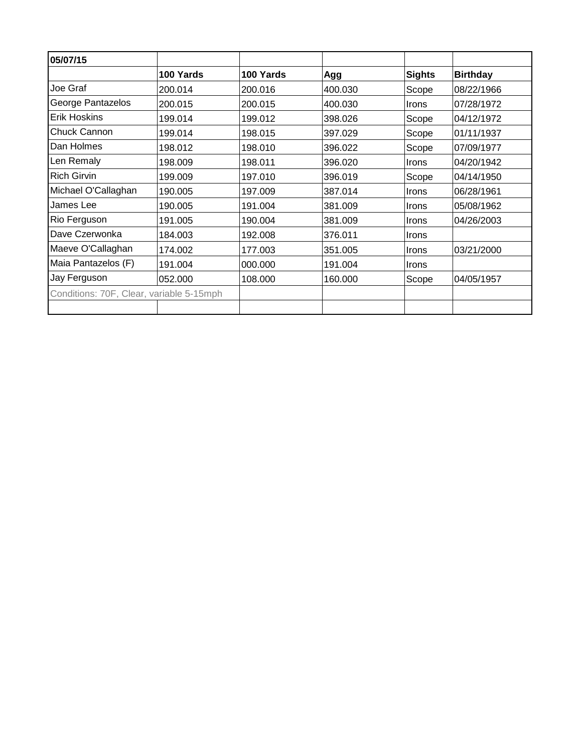| 05/07/15                                 |           |           |         |               |                 |
|------------------------------------------|-----------|-----------|---------|---------------|-----------------|
|                                          | 100 Yards | 100 Yards | Agg     | <b>Sights</b> | <b>Birthday</b> |
| Joe Graf                                 | 200.014   | 200.016   | 400.030 | Scope         | 08/22/1966      |
| George Pantazelos                        | 200.015   | 200.015   | 400.030 | Irons         | 07/28/1972      |
| <b>Erik Hoskins</b>                      | 199.014   | 199.012   | 398.026 | Scope         | 04/12/1972      |
| Chuck Cannon                             | 199.014   | 198.015   | 397.029 | Scope         | 01/11/1937      |
| Dan Holmes                               | 198.012   | 198.010   | 396.022 | Scope         | 07/09/1977      |
| Len Remaly                               | 198.009   | 198.011   | 396.020 | Irons         | 04/20/1942      |
| <b>Rich Girvin</b>                       | 199.009   | 197.010   | 396.019 | Scope         | 04/14/1950      |
| Michael O'Callaghan                      | 190.005   | 197.009   | 387.014 | Irons         | 06/28/1961      |
| James Lee                                | 190.005   | 191.004   | 381.009 | Irons         | 05/08/1962      |
| Rio Ferguson                             | 191.005   | 190.004   | 381.009 | Irons         | 04/26/2003      |
| Dave Czerwonka                           | 184.003   | 192.008   | 376.011 | Irons         |                 |
| Maeve O'Callaghan                        | 174.002   | 177.003   | 351.005 | <b>Irons</b>  | 03/21/2000      |
| Maia Pantazelos (F)                      | 191.004   | 000.000   | 191.004 | Irons         |                 |
| Jay Ferguson                             | 052.000   | 108.000   | 160.000 | Scope         | 04/05/1957      |
| Conditions: 70F, Clear, variable 5-15mph |           |           |         |               |                 |
|                                          |           |           |         |               |                 |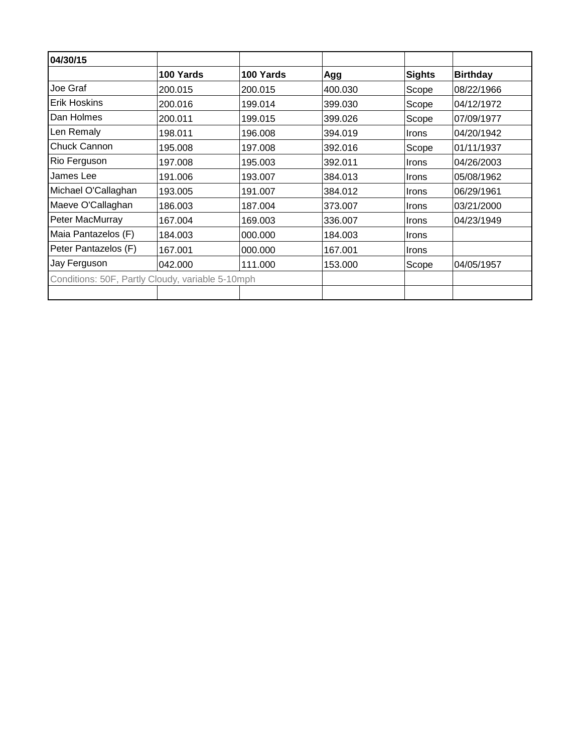| 04/30/15                                         |           |           |         |               |                 |
|--------------------------------------------------|-----------|-----------|---------|---------------|-----------------|
|                                                  | 100 Yards | 100 Yards | Agg     | <b>Sights</b> | <b>Birthday</b> |
| Joe Graf                                         | 200.015   | 200.015   | 400.030 | Scope         | 08/22/1966      |
| <b>Erik Hoskins</b>                              | 200.016   | 199.014   | 399.030 | Scope         | 04/12/1972      |
| Dan Holmes                                       | 200.011   | 199.015   | 399.026 | Scope         | 07/09/1977      |
| Len Remaly                                       | 198.011   | 196.008   | 394.019 | <b>Irons</b>  | 04/20/1942      |
| <b>Chuck Cannon</b>                              | 195.008   | 197.008   | 392.016 | Scope         | 01/11/1937      |
| Rio Ferguson                                     | 197.008   | 195.003   | 392.011 | <b>Irons</b>  | 04/26/2003      |
| James Lee                                        | 191.006   | 193.007   | 384.013 | <b>Irons</b>  | 05/08/1962      |
| Michael O'Callaghan                              | 193.005   | 191.007   | 384.012 | <b>Irons</b>  | 06/29/1961      |
| Maeve O'Callaghan                                | 186.003   | 187.004   | 373.007 | <b>Irons</b>  | 03/21/2000      |
| Peter MacMurray                                  | 167.004   | 169.003   | 336.007 | <b>Irons</b>  | 04/23/1949      |
| Maia Pantazelos (F)                              | 184.003   | 000.000   | 184.003 | <b>Irons</b>  |                 |
| Peter Pantazelos (F)                             | 167.001   | 000.000   | 167.001 | <b>Irons</b>  |                 |
| Jay Ferguson                                     | 042.000   | 111.000   | 153.000 | Scope         | 04/05/1957      |
| Conditions: 50F, Partly Cloudy, variable 5-10mph |           |           |         |               |                 |
|                                                  |           |           |         |               |                 |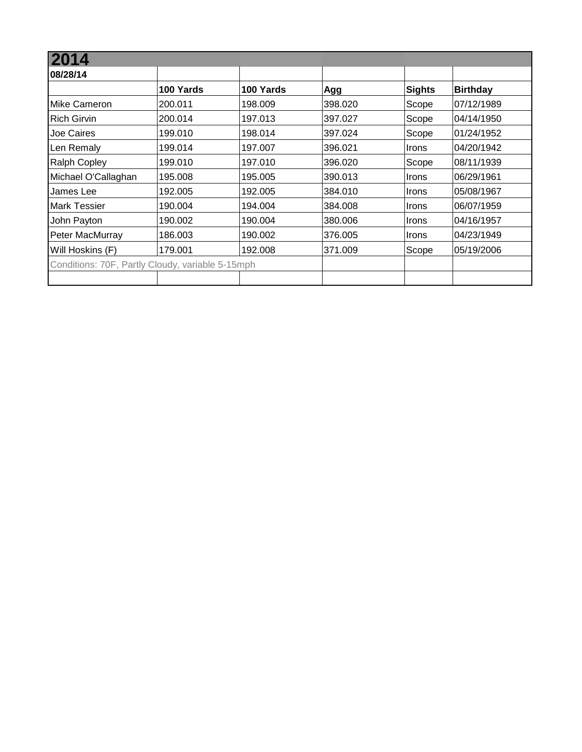| 08/28/14                                         |           |           |         |               |                 |
|--------------------------------------------------|-----------|-----------|---------|---------------|-----------------|
|                                                  | 100 Yards | 100 Yards | Agg     | <b>Sights</b> | <b>Birthday</b> |
| Mike Cameron                                     | 200.011   | 198.009   | 398.020 | Scope         | 07/12/1989      |
| <b>Rich Girvin</b>                               | 200.014   | 197.013   | 397.027 | Scope         | 04/14/1950      |
| Joe Caires                                       | 199.010   | 198.014   | 397.024 | Scope         | 01/24/1952      |
| Len Remaly                                       | 199.014   | 197.007   | 396.021 | <b>Irons</b>  | 04/20/1942      |
| <b>Ralph Copley</b>                              | 199.010   | 197.010   | 396.020 | Scope         | 08/11/1939      |
| Michael O'Callaghan                              | 195.008   | 195.005   | 390.013 | Irons         | 06/29/1961      |
| James Lee                                        | 192.005   | 192.005   | 384.010 | Irons         | 05/08/1967      |
| <b>Mark Tessier</b>                              | 190.004   | 194.004   | 384.008 | <b>Irons</b>  | 06/07/1959      |
| John Payton                                      | 190.002   | 190.004   | 380.006 | Irons         | 04/16/1957      |
| Peter MacMurray                                  | 186.003   | 190.002   | 376.005 | <b>Irons</b>  | 04/23/1949      |
| Will Hoskins (F)                                 | 179.001   | 192.008   | 371.009 | Scope         | 05/19/2006      |
| Conditions: 70F, Partly Cloudy, variable 5-15mph |           |           |         |               |                 |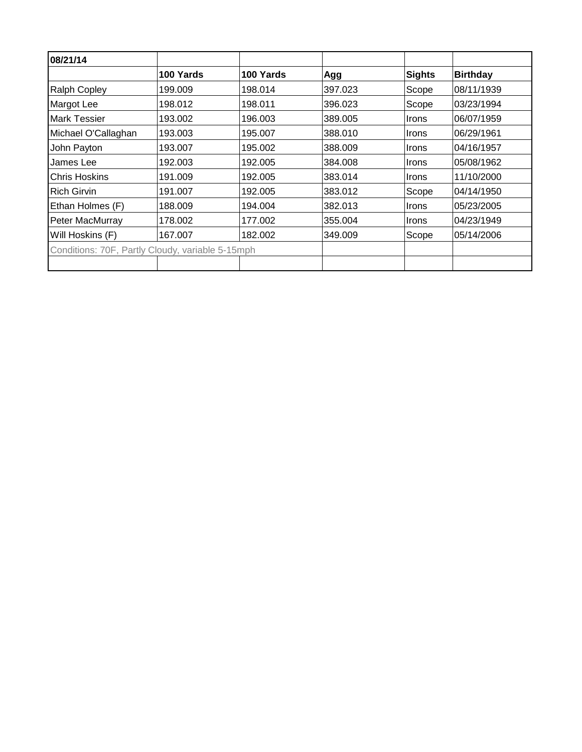| 08/21/14                                         |           |           |         |              |                 |
|--------------------------------------------------|-----------|-----------|---------|--------------|-----------------|
|                                                  | 100 Yards | 100 Yards | Agg     | Sights       | <b>Birthday</b> |
| <b>Ralph Copley</b>                              | 199.009   | 198.014   | 397.023 | Scope        | 08/11/1939      |
| Margot Lee                                       | 198.012   | 198.011   | 396.023 | Scope        | 103/23/1994     |
| <b>Mark Tessier</b>                              | 193.002   | 196.003   | 389.005 | <b>Irons</b> | 06/07/1959      |
| Michael O'Callaghan                              | 193.003   | 195.007   | 388.010 | Irons        | 06/29/1961      |
| John Payton                                      | 193.007   | 195.002   | 388,009 | <b>Irons</b> | 04/16/1957      |
| James Lee                                        | 192.003   | 192.005   | 384.008 | <b>Irons</b> | 105/08/1962     |
| <b>Chris Hoskins</b>                             | 191.009   | 192.005   | 383.014 | <b>Irons</b> | 11/10/2000      |
| <b>Rich Girvin</b>                               | 191.007   | 192.005   | 383.012 | Scope        | 04/14/1950      |
| Ethan Holmes (F)                                 | 188.009   | 194.004   | 382.013 | <b>Irons</b> | 05/23/2005      |
| Peter MacMurray                                  | 178.002   | 177.002   | 355.004 | <b>Irons</b> | 04/23/1949      |
| Will Hoskins (F)                                 | 167.007   | 182.002   | 349.009 | Scope        | 05/14/2006      |
| Conditions: 70F, Partly Cloudy, variable 5-15mph |           |           |         |              |                 |
|                                                  |           |           |         |              |                 |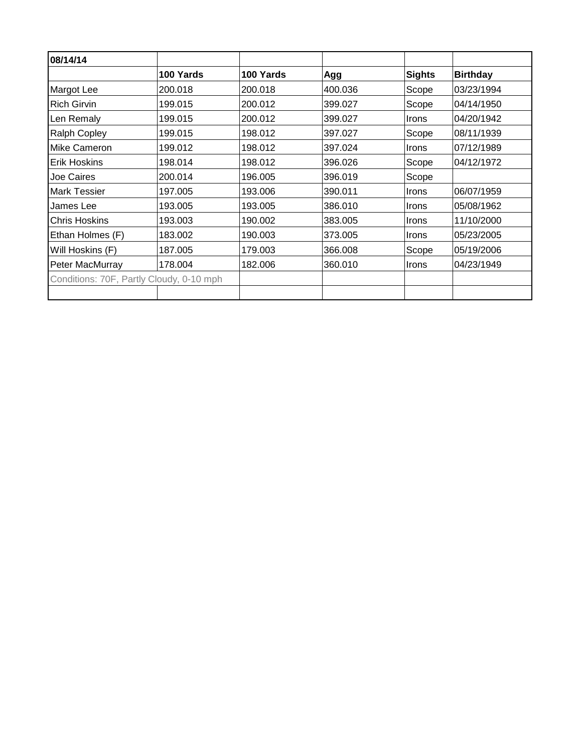| 08/14/14                                 |           |           |         |              |                 |
|------------------------------------------|-----------|-----------|---------|--------------|-----------------|
|                                          | 100 Yards | 100 Yards | Agg     | Sights       | <b>Birthday</b> |
| Margot Lee                               | 200.018   | 200.018   | 400.036 | Scope        | 03/23/1994      |
| <b>Rich Girvin</b>                       | 199.015   | 200.012   | 399.027 | Scope        | 04/14/1950      |
| Len Remaly                               | 199.015   | 200.012   | 399.027 | Irons        | 04/20/1942      |
| <b>Ralph Copley</b>                      | 199.015   | 198.012   | 397.027 | Scope        | 08/11/1939      |
| Mike Cameron                             | 199.012   | 198.012   | 397.024 | Irons        | 07/12/1989      |
| Erik Hoskins                             | 198.014   | 198.012   | 396.026 | Scope        | 04/12/1972      |
| Joe Caires                               | 200.014   | 196.005   | 396.019 | Scope        |                 |
| Mark Tessier                             | 197.005   | 193.006   | 390.011 | Irons        | 06/07/1959      |
| James Lee                                | 193.005   | 193.005   | 386.010 | Irons        | 05/08/1962      |
| <b>Chris Hoskins</b>                     | 193.003   | 190.002   | 383.005 | Irons        | 11/10/2000      |
| Ethan Holmes (F)                         | 183.002   | 190.003   | 373.005 | <b>Irons</b> | 05/23/2005      |
| Will Hoskins (F)                         | 187.005   | 179.003   | 366.008 | Scope        | 05/19/2006      |
| Peter MacMurray                          | 178.004   | 182.006   | 360.010 | Irons        | 04/23/1949      |
| Conditions: 70F, Partly Cloudy, 0-10 mph |           |           |         |              |                 |
|                                          |           |           |         |              |                 |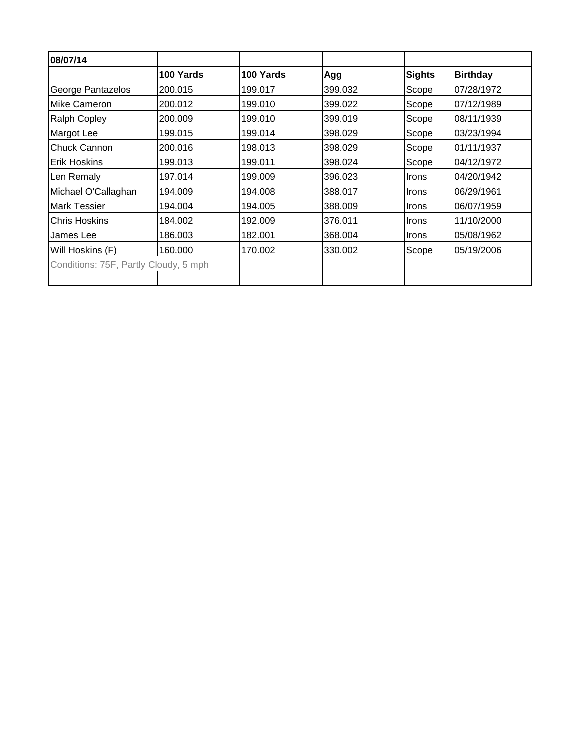| 08/07/14                              |           |           |         |               |                 |
|---------------------------------------|-----------|-----------|---------|---------------|-----------------|
|                                       | 100 Yards | 100 Yards | Agg     | <b>Sights</b> | <b>Birthday</b> |
| George Pantazelos                     | 200.015   | 199.017   | 399.032 | Scope         | 07/28/1972      |
| Mike Cameron                          | 200.012   | 199.010   | 399.022 | Scope         | 07/12/1989      |
| <b>Ralph Copley</b>                   | 200.009   | 199.010   | 399.019 | Scope         | 08/11/1939      |
| Margot Lee                            | 199.015   | 199.014   | 398.029 | Scope         | 03/23/1994      |
| Chuck Cannon                          | 200.016   | 198.013   | 398.029 | Scope         | 01/11/1937      |
| <b>Erik Hoskins</b>                   | 199.013   | 199.011   | 398.024 | Scope         | 04/12/1972      |
| Len Remaly                            | 197.014   | 199.009   | 396.023 | <b>Irons</b>  | 04/20/1942      |
| Michael O'Callaghan                   | 194.009   | 194.008   | 388.017 | <b>Irons</b>  | 06/29/1961      |
| <b>Mark Tessier</b>                   | 194.004   | 194.005   | 388.009 | <b>Irons</b>  | 06/07/1959      |
| <b>Chris Hoskins</b>                  | 184.002   | 192.009   | 376.011 | <b>Irons</b>  | 11/10/2000      |
| James Lee                             | 186.003   | 182.001   | 368.004 | <b>Irons</b>  | 05/08/1962      |
| Will Hoskins (F)                      | 160.000   | 170.002   | 330.002 | Scope         | 05/19/2006      |
| Conditions: 75F, Partly Cloudy, 5 mph |           |           |         |               |                 |
|                                       |           |           |         |               |                 |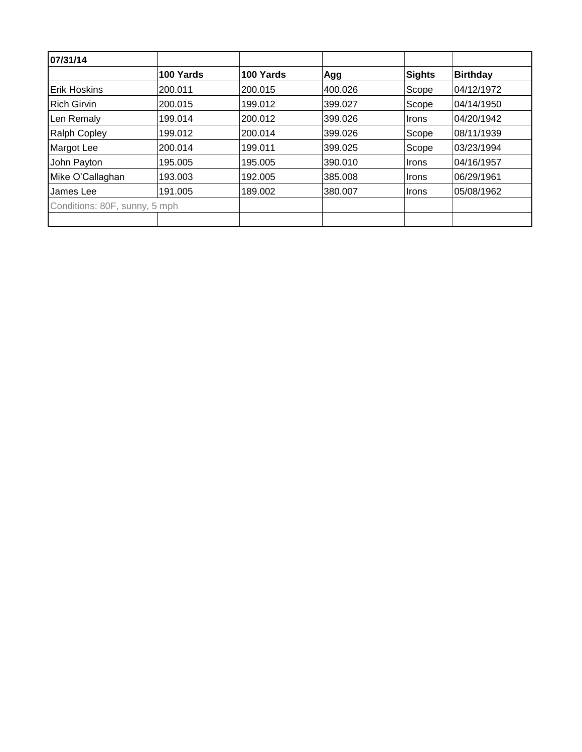| 07/31/14                      |           |           |         |        |                 |
|-------------------------------|-----------|-----------|---------|--------|-----------------|
|                               | 100 Yards | 100 Yards | Agg     | Sights | <b>Birthday</b> |
| <b>Erik Hoskins</b>           | 200.011   | 200.015   | 400.026 | Scope  | 04/12/1972      |
| <b>Rich Girvin</b>            | 200.015   | 199.012   | 399.027 | Scope  | 04/14/1950      |
| Len Remaly                    | 199.014   | 200.012   | 399.026 | Irons  | 04/20/1942      |
| <b>Ralph Copley</b>           | 199.012   | 200.014   | 399.026 | Scope  | 08/11/1939      |
| Margot Lee                    | 200.014   | 199.011   | 399.025 | Scope  | 03/23/1994      |
| John Payton                   | 195.005   | 195.005   | 390.010 | Irons  | 04/16/1957      |
| Mike O'Callaghan              | 193.003   | 192.005   | 385.008 | ∣Irons | 06/29/1961      |
| James Lee                     | 191.005   | 189.002   | 380,007 | ∣Irons | 05/08/1962      |
| Conditions: 80F, sunny, 5 mph |           |           |         |        |                 |
|                               |           |           |         |        |                 |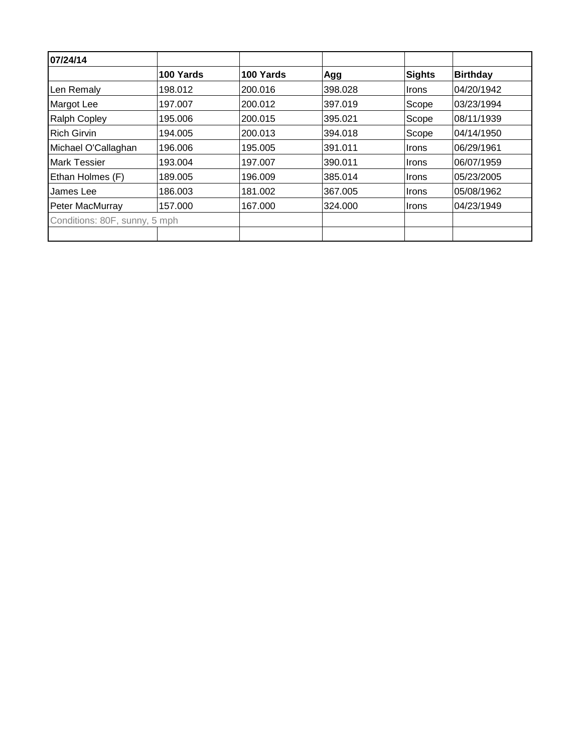| 100 Yards                     |           |         |              |                 |
|-------------------------------|-----------|---------|--------------|-----------------|
|                               | 100 Yards | Agg     | Sights       | <b>Birthday</b> |
| 198.012                       | 200.016   | 398.028 | <b>Irons</b> | 04/20/1942      |
| 197.007                       | 200.012   | 397.019 | Scope        | 03/23/1994      |
| 195.006                       | 200.015   | 395.021 | Scope        | 08/11/1939      |
| 194.005                       | 200.013   | 394.018 | Scope        | 04/14/1950      |
| 196,006                       | 195.005   | 391.011 | <b>Irons</b> | 06/29/1961      |
| 193.004                       | 197.007   | 390.011 | <b>Irons</b> | 06/07/1959      |
| 189.005                       | 196.009   | 385.014 | <b>Irons</b> | 05/23/2005      |
| 186.003                       | 181.002   | 367.005 | Irons        | 05/08/1962      |
| 157.000                       | 167.000   | 324.000 | <b>Irons</b> | 04/23/1949      |
| Conditions: 80F, sunny, 5 mph |           |         |              |                 |
|                               |           |         |              |                 |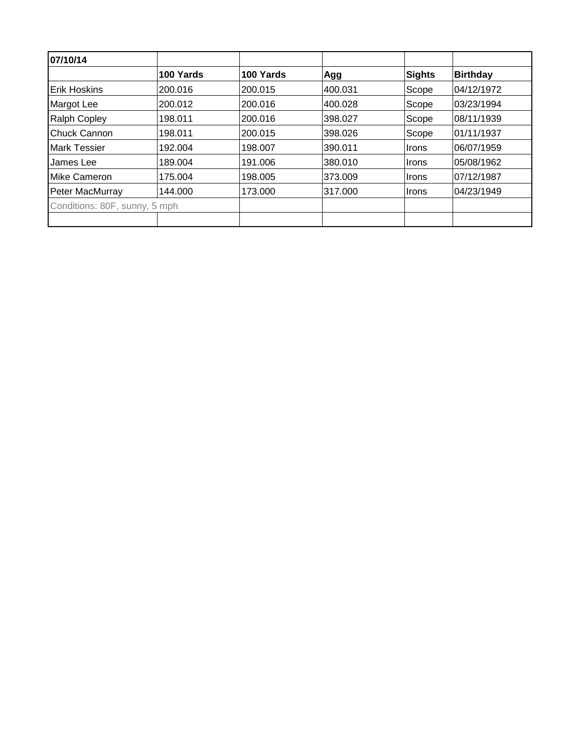| 07/10/14                      |           |           |         |        |                 |
|-------------------------------|-----------|-----------|---------|--------|-----------------|
|                               | 100 Yards | 100 Yards | Agg     | Sights | <b>Birthday</b> |
| <b>Erik Hoskins</b>           | 200.016   | 200.015   | 400.031 | Scope  | 04/12/1972      |
| Margot Lee                    | 200.012   | 200.016   | 400.028 | Scope  | 03/23/1994      |
| <b>Ralph Copley</b>           | 198.011   | 200.016   | 398.027 | Scope  | 08/11/1939      |
| Chuck Cannon                  | 198.011   | 200.015   | 398.026 | Scope  | 01/11/1937      |
| <b>Mark Tessier</b>           | 192.004   | 198.007   | 390.011 | ∣Irons | 06/07/1959      |
| James Lee                     | 189.004   | 191.006   | 380.010 | ∣Irons | 05/08/1962      |
| Mike Cameron                  | 175.004   | 198.005   | 373.009 | ∣Irons | 07/12/1987      |
| Peter MacMurray               | 144.000   | 173.000   | 317.000 | ∣Irons | 04/23/1949      |
| Conditions: 80F, sunny, 5 mph |           |           |         |        |                 |
|                               |           |           |         |        |                 |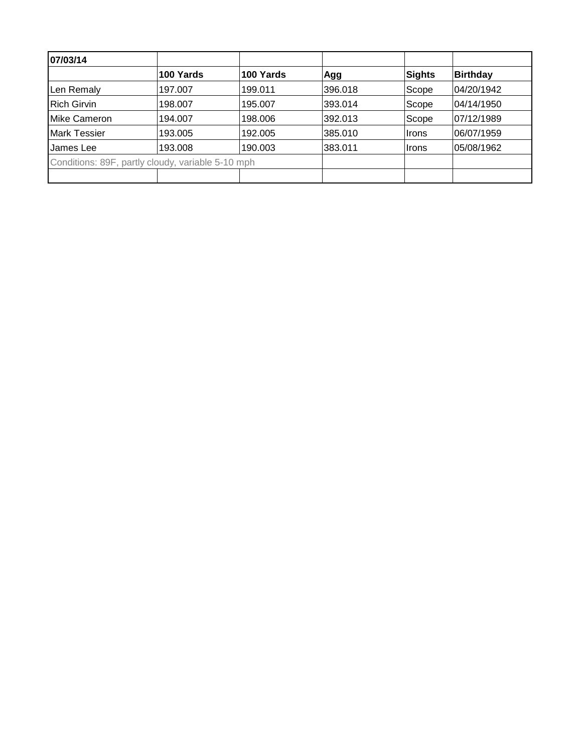| 07/03/14                                          |           |           |         |        |                 |
|---------------------------------------------------|-----------|-----------|---------|--------|-----------------|
|                                                   | 100 Yards | 100 Yards | Agg     | Sights | <b>Birthday</b> |
| Len Remaly                                        | 197.007   | 199.011   | 396.018 | Scope  | 04/20/1942      |
| <b>Rich Girvin</b>                                | 198.007   | 195.007   | 393.014 | Scope  | 04/14/1950      |
| Mike Cameron                                      | 194.007   | 198.006   | 392.013 | Scope  | 07/12/1989      |
| <b>Mark Tessier</b>                               | 193.005   | 192.005   | 385.010 | Irons  | 06/07/1959      |
| James Lee                                         | 193.008   | 190.003   | 383.011 | ∣Irons | 05/08/1962      |
| Conditions: 89F, partly cloudy, variable 5-10 mph |           |           |         |        |                 |
|                                                   |           |           |         |        |                 |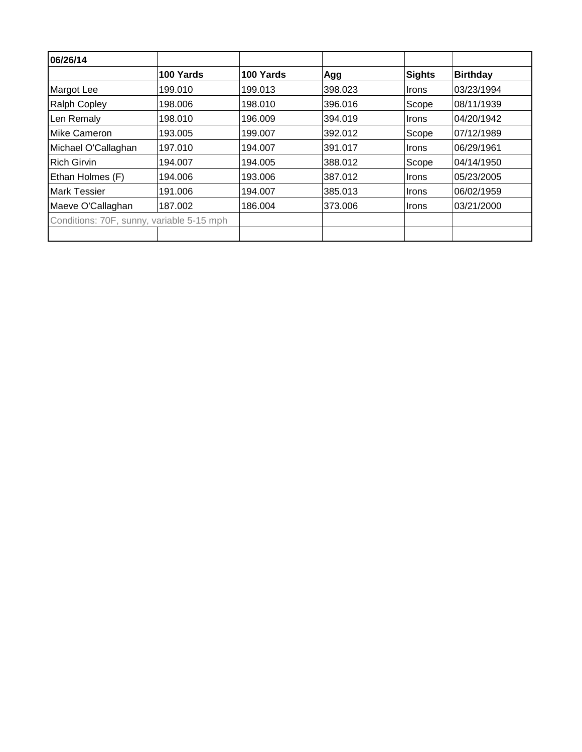| 06/26/14                                  |           |           |         |        |                 |
|-------------------------------------------|-----------|-----------|---------|--------|-----------------|
|                                           | 100 Yards | 100 Yards | Agg     | Sights | <b>Birthday</b> |
| <b>Margot Lee</b>                         | 199.010   | 199.013   | 398.023 | Irons  | 03/23/1994      |
| <b>Ralph Copley</b>                       | 198.006   | 198.010   | 396.016 | Scope  | 08/11/1939      |
| Len Remaly                                | 198.010   | 196.009   | 394.019 | Irons  | 04/20/1942      |
| Mike Cameron                              | 193.005   | 199.007   | 392.012 | Scope  | 07/12/1989      |
| Michael O'Callaghan                       | 197.010   | 194.007   | 391.017 | Irons  | 06/29/1961      |
| <b>Rich Girvin</b>                        | 194.007   | 194.005   | 388.012 | Scope  | 04/14/1950      |
| Ethan Holmes (F)                          | 194.006   | 193.006   | 387.012 | Irons  | 05/23/2005      |
| <b>Mark Tessier</b>                       | 191.006   | 194.007   | 385.013 | Irons  | 06/02/1959      |
| Maeve O'Callaghan                         | 187.002   | 186.004   | 373.006 | Irons  | 03/21/2000      |
| Conditions: 70F, sunny, variable 5-15 mph |           |           |         |        |                 |
|                                           |           |           |         |        |                 |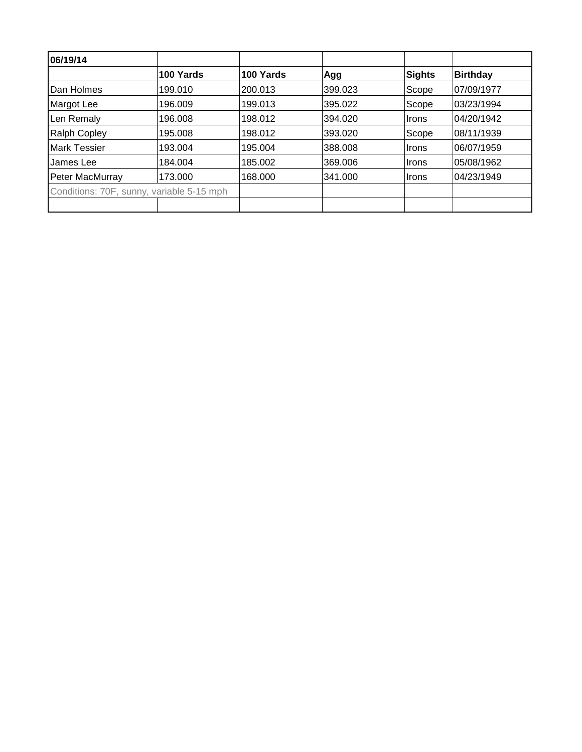| 06/19/14                                  |           |           |         |              |                 |
|-------------------------------------------|-----------|-----------|---------|--------------|-----------------|
|                                           | 100 Yards | 100 Yards | Agg     | Sights       | <b>Birthday</b> |
| Dan Holmes                                | 199.010   | 200.013   | 399.023 | Scope        | 07/09/1977      |
| Margot Lee                                | 196.009   | 199.013   | 395.022 | Scope        | 03/23/1994      |
| Len Remaly                                | 196.008   | 198.012   | 394.020 | <b>Irons</b> | 04/20/1942      |
| <b>Ralph Copley</b>                       | 195.008   | 198.012   | 393.020 | Scope        | 08/11/1939      |
| <b>Mark Tessier</b>                       | 193.004   | 195.004   | 388,008 | ∣Irons       | 06/07/1959      |
| James Lee                                 | 184.004   | 185.002   | 369.006 | ∣Irons       | 105/08/1962     |
| Peter MacMurray                           | 173.000   | 168.000   | 341.000 | ∣Irons       | 04/23/1949      |
| Conditions: 70F, sunny, variable 5-15 mph |           |           |         |              |                 |
|                                           |           |           |         |              |                 |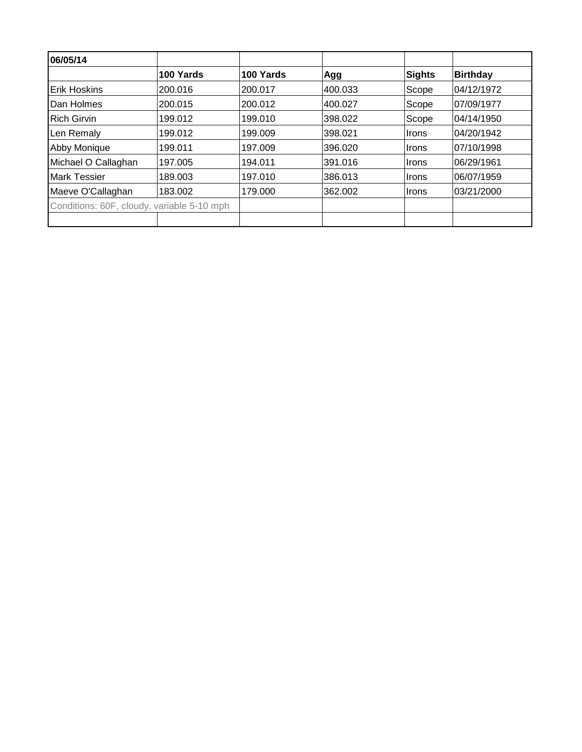| 06/05/14                                   |           |           |         |               |                 |
|--------------------------------------------|-----------|-----------|---------|---------------|-----------------|
|                                            | 100 Yards | 100 Yards | Agg     | <b>Sights</b> | <b>Birthday</b> |
| <b>Erik Hoskins</b>                        | 200.016   | 200.017   | 400.033 | Scope         | 04/12/1972      |
| Dan Holmes                                 | 200.015   | 200.012   | 400.027 | Scope         | 07/09/1977      |
| <b>Rich Girvin</b>                         | 199.012   | 199.010   | 398.022 | Scope         | 04/14/1950      |
| Len Remaly                                 | 199.012   | 199.009   | 398.021 | Irons         | 04/20/1942      |
| <b>Abby Monique</b>                        | 199.011   | 197.009   | 396.020 | ∣Irons        | 07/10/1998      |
| Michael O Callaghan                        | 197.005   | 194.011   | 391.016 | <b>Irons</b>  | 06/29/1961      |
| <b>Mark Tessier</b>                        | 189.003   | 197.010   | 386.013 | <b>Irons</b>  | 06/07/1959      |
| Maeve O'Callaghan                          | 183.002   | 179.000   | 362.002 | <b>Irons</b>  | 03/21/2000      |
| Conditions: 60F, cloudy, variable 5-10 mph |           |           |         |               |                 |
|                                            |           |           |         |               |                 |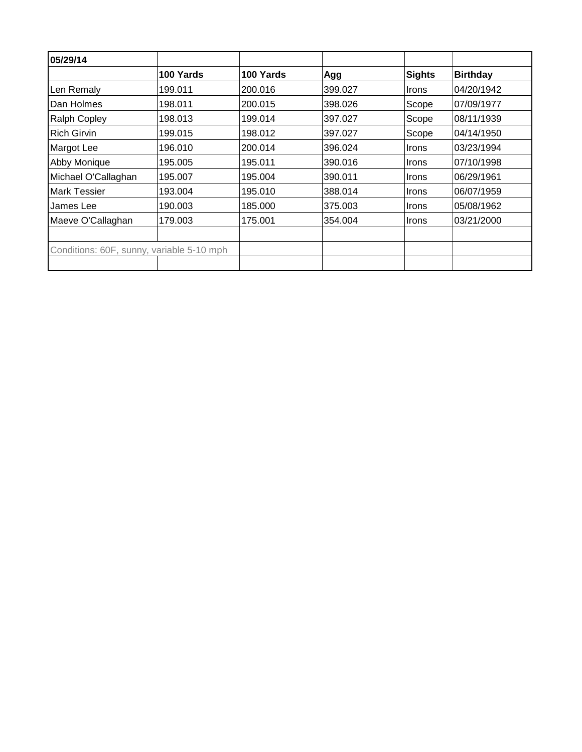| 100 Yards | 100 Yards | Agg                                       | Sights       | <b>Birthday</b> |
|-----------|-----------|-------------------------------------------|--------------|-----------------|
| 199.011   | 200.016   | 399.027                                   | <b>Irons</b> | 04/20/1942      |
| 198.011   | 200.015   | 398.026                                   | Scope        | 107/09/1977     |
| 198.013   | 199.014   | 397.027                                   | Scope        | 08/11/1939      |
| 199.015   | 198.012   | 397.027                                   | Scope        | 04/14/1950      |
| 196.010   | 200.014   | 396.024                                   | <b>Irons</b> | 103/23/1994     |
| 195.005   | 195.011   | 390.016                                   | <b>Irons</b> | 107/10/1998     |
| 195.007   | 195.004   | 390.011                                   | <b>Irons</b> | 06/29/1961      |
| 193.004   | 195.010   | 388.014                                   | <b>Irons</b> | 06/07/1959      |
| 190.003   | 185.000   | 375.003                                   | Irons        | 05/08/1962      |
| 179.003   | 175.001   | 354.004                                   | ∣Irons       | 03/21/2000      |
|           |           |                                           |              |                 |
|           |           |                                           |              |                 |
|           |           | Conditions: 60F, sunny, variable 5-10 mph |              |                 |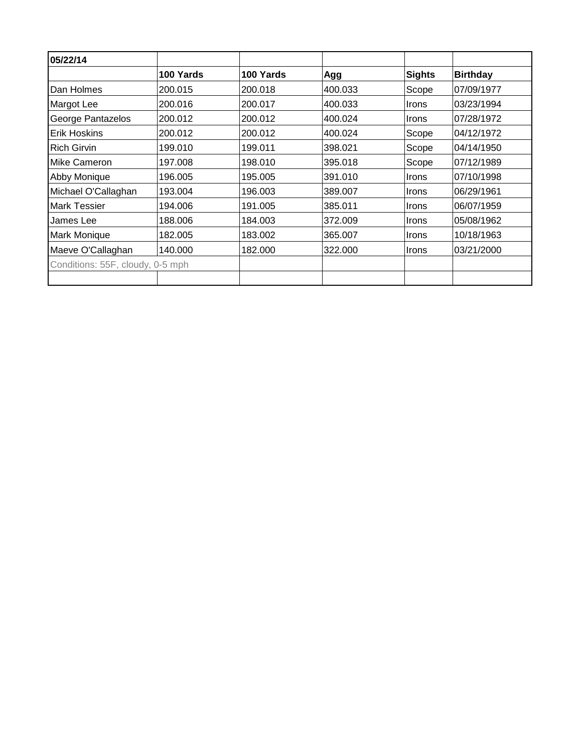| 05/22/14                         |           |           |         |              |                 |
|----------------------------------|-----------|-----------|---------|--------------|-----------------|
|                                  | 100 Yards | 100 Yards | Agg     | Sights       | <b>Birthday</b> |
| Dan Holmes                       | 200.015   | 200.018   | 400.033 | Scope        | 07/09/1977      |
| Margot Lee                       | 200.016   | 200.017   | 400.033 | <b>Irons</b> | 03/23/1994      |
| George Pantazelos                | 200.012   | 200.012   | 400.024 | <i>Irons</i> | 07/28/1972      |
| <b>Erik Hoskins</b>              | 200.012   | 200.012   | 400.024 | Scope        | 04/12/1972      |
| <b>Rich Girvin</b>               | 199.010   | 199.011   | 398.021 | Scope        | 04/14/1950      |
| <b>Mike Cameron</b>              | 197.008   | 198.010   | 395.018 | Scope        | 07/12/1989      |
| Abby Monique                     | 196.005   | 195.005   | 391.010 | Irons        | 07/10/1998      |
| Michael O'Callaghan              | 193.004   | 196.003   | 389.007 | Irons        | 06/29/1961      |
| <b>Mark Tessier</b>              | 194.006   | 191.005   | 385.011 | Irons        | 06/07/1959      |
| James Lee                        | 188.006   | 184.003   | 372.009 | Irons        | 05/08/1962      |
| Mark Monique                     | 182.005   | 183.002   | 365.007 | <b>Irons</b> | 10/18/1963      |
| Maeve O'Callaghan                | 140.000   | 182.000   | 322.000 | <b>Irons</b> | 03/21/2000      |
| Conditions: 55F, cloudy, 0-5 mph |           |           |         |              |                 |
|                                  |           |           |         |              |                 |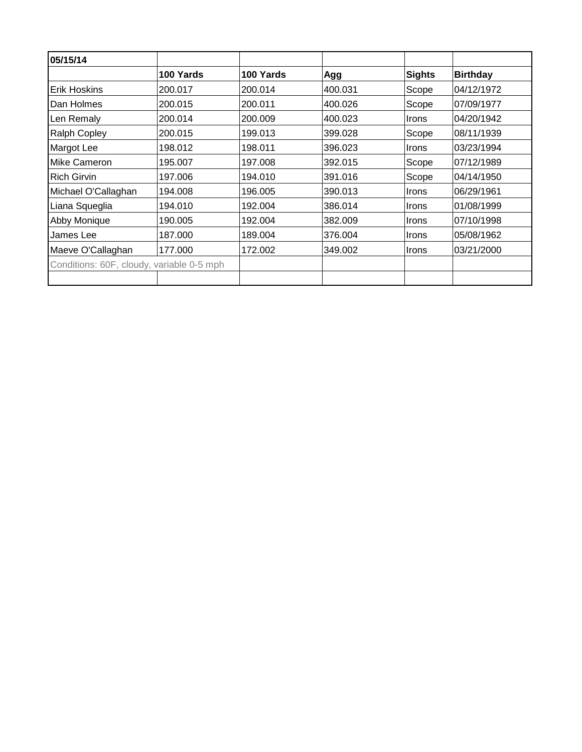| 05/15/14                                  |           |           |         |               |                 |
|-------------------------------------------|-----------|-----------|---------|---------------|-----------------|
|                                           | 100 Yards | 100 Yards | Agg     | <b>Sights</b> | <b>Birthday</b> |
| <b>Erik Hoskins</b>                       | 200.017   | 200.014   | 400.031 | Scope         | 04/12/1972      |
| Dan Holmes                                | 200.015   | 200.011   | 400.026 | Scope         | 07/09/1977      |
| Len Remaly                                | 200.014   | 200.009   | 400.023 | <b>Irons</b>  | 04/20/1942      |
| <b>Ralph Copley</b>                       | 200.015   | 199.013   | 399.028 | Scope         | 08/11/1939      |
| Margot Lee                                | 198.012   | 198.011   | 396.023 | <b>Irons</b>  | 03/23/1994      |
| <b>Mike Cameron</b>                       | 195.007   | 197.008   | 392.015 | Scope         | 07/12/1989      |
| <b>Rich Girvin</b>                        | 197.006   | 194.010   | 391.016 | Scope         | 04/14/1950      |
| Michael O'Callaghan                       | 194.008   | 196.005   | 390.013 | <b>Irons</b>  | 06/29/1961      |
| Liana Squeglia                            | 194.010   | 192.004   | 386.014 | <b>Irons</b>  | 01/08/1999      |
| Abby Monique                              | 190.005   | 192.004   | 382.009 | <b>Irons</b>  | 07/10/1998      |
| James Lee                                 | 187.000   | 189.004   | 376.004 | <b>Irons</b>  | 05/08/1962      |
| Maeve O'Callaghan                         | 177.000   | 172.002   | 349.002 | <b>Irons</b>  | 03/21/2000      |
| Conditions: 60F, cloudy, variable 0-5 mph |           |           |         |               |                 |
|                                           |           |           |         |               |                 |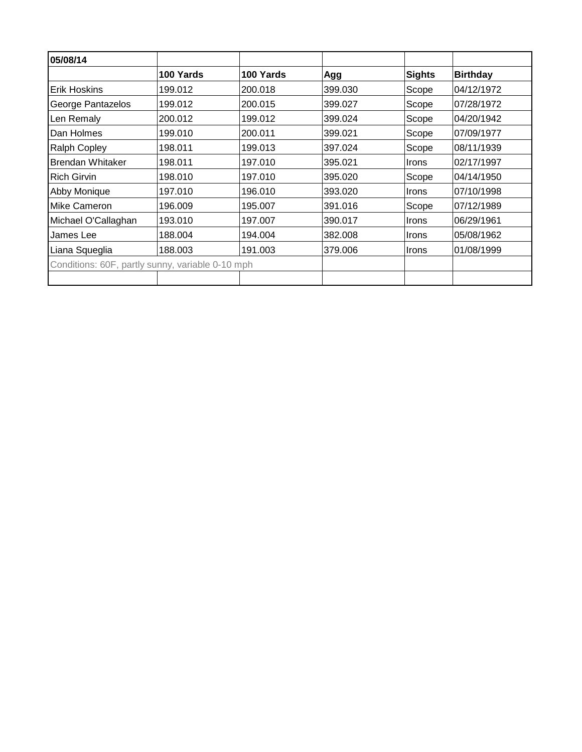| 05/08/14                                         |           |           |         |               |                 |
|--------------------------------------------------|-----------|-----------|---------|---------------|-----------------|
|                                                  | 100 Yards | 100 Yards | Agg     | <b>Sights</b> | <b>Birthday</b> |
| Erik Hoskins                                     | 199.012   | 200.018   | 399.030 | Scope         | 04/12/1972      |
| George Pantazelos                                | 199.012   | 200.015   | 399.027 | Scope         | 07/28/1972      |
| Len Remaly                                       | 200.012   | 199.012   | 399.024 | Scope         | 04/20/1942      |
| Dan Holmes                                       | 199.010   | 200.011   | 399.021 | Scope         | 07/09/1977      |
| <b>Ralph Copley</b>                              | 198.011   | 199.013   | 397.024 | Scope         | 08/11/1939      |
| <b>Brendan Whitaker</b>                          | 198.011   | 197.010   | 395.021 | Irons         | 02/17/1997      |
| <b>Rich Girvin</b>                               | 198.010   | 197.010   | 395.020 | Scope         | 04/14/1950      |
| Abby Monique                                     | 197.010   | 196.010   | 393.020 | <b>Irons</b>  | 07/10/1998      |
| <b>Mike Cameron</b>                              | 196.009   | 195.007   | 391.016 | Scope         | 07/12/1989      |
| Michael O'Callaghan                              | 193.010   | 197.007   | 390.017 | Irons         | 06/29/1961      |
| James Lee                                        | 188.004   | 194.004   | 382.008 | Irons         | 05/08/1962      |
| Liana Squeglia                                   | 188.003   | 191.003   | 379,006 | Irons         | 01/08/1999      |
| Conditions: 60F, partly sunny, variable 0-10 mph |           |           |         |               |                 |
|                                                  |           |           |         |               |                 |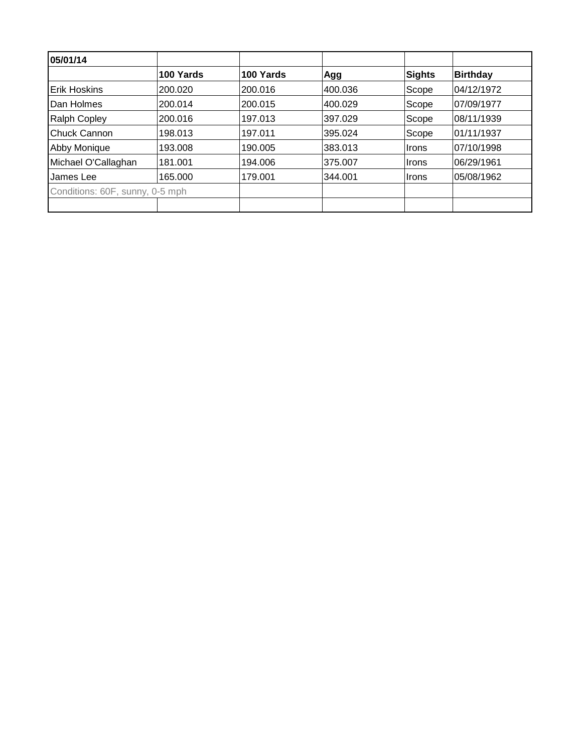| 05/01/14                        |           |           |         |        |                 |
|---------------------------------|-----------|-----------|---------|--------|-----------------|
|                                 | 100 Yards | 100 Yards | Agg     | Sights | <b>Birthday</b> |
| <b>IErik Hoskins</b>            | 200.020   | 200.016   | 400.036 | Scope  | 04/12/1972      |
| Dan Holmes                      | 200.014   | 200.015   | 400.029 | Scope  | 07/09/1977      |
| <b>Ralph Copley</b>             | 200.016   | 197.013   | 397.029 | Scope  | 08/11/1939      |
| <b>Chuck Cannon</b>             | 198.013   | 197.011   | 395.024 | Scope  | 01/11/1937      |
| <b>Abby Monique</b>             | 193.008   | 190.005   | 383.013 | ∣Irons | 07/10/1998      |
| Michael O'Callaghan             | 181.001   | 194.006   | 375.007 | ∣Irons | 06/29/1961      |
| James Lee                       | 165.000   | 179.001   | 344.001 | ∣Irons | 05/08/1962      |
| Conditions: 60F, sunny, 0-5 mph |           |           |         |        |                 |
|                                 |           |           |         |        |                 |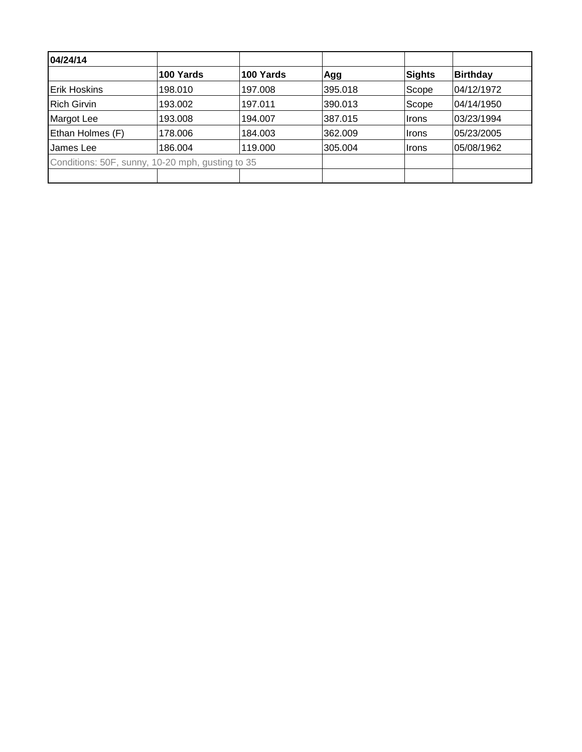| 04/24/14                                         |           |           |         |        |                 |
|--------------------------------------------------|-----------|-----------|---------|--------|-----------------|
|                                                  | 100 Yards | 100 Yards | Agg     | Sights | <b>Birthday</b> |
| Erik Hoskins                                     | 198.010   | 197.008   | 395.018 | Scope  | 04/12/1972      |
| <b>Rich Girvin</b>                               | 193.002   | 197.011   | 390.013 | Scope  | 04/14/1950      |
| Margot Lee                                       | 193.008   | 194.007   | 387.015 | Irons  | 03/23/1994      |
| Ethan Holmes (F)                                 | 178.006   | 184.003   | 362.009 | ∣Irons | 05/23/2005      |
| James Lee                                        | 186.004   | 119.000   | 305.004 | ∣Irons | 05/08/1962      |
| Conditions: 50F, sunny, 10-20 mph, gusting to 35 |           |           |         |        |                 |
|                                                  |           |           |         |        |                 |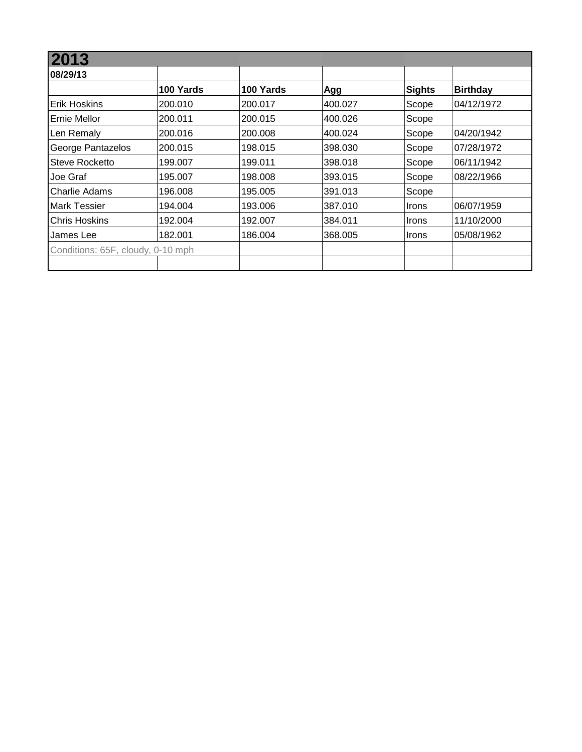| 12013                             |           |           |         |              |                 |
|-----------------------------------|-----------|-----------|---------|--------------|-----------------|
| 08/29/13                          |           |           |         |              |                 |
|                                   | 100 Yards | 100 Yards | Agg     | Sights       | <b>Birthday</b> |
| IErik Hoskins                     | 200.010   | 200.017   | 400.027 | Scope        | 04/12/1972      |
| <b>IErnie Mellor</b>              | 200.011   | 200.015   | 400.026 | Scope        |                 |
| Len Remaly                        | 200.016   | 200.008   | 400.024 | Scope        | 04/20/1942      |
| George Pantazelos                 | 200.015   | 198.015   | 398.030 | Scope        | 07/28/1972      |
| Steve Rocketto                    | 199.007   | 199.011   | 398.018 | Scope        | 06/11/1942      |
| Joe Graf                          | 195.007   | 198.008   | 393.015 | Scope        | 08/22/1966      |
| Charlie Adams                     | 196.008   | 195.005   | 391.013 | Scope        |                 |
| <b>Mark Tessier</b>               | 194.004   | 193.006   | 387.010 | <b>Irons</b> | 06/07/1959      |
| <b>Chris Hoskins</b>              | 192.004   | 192.007   | 384.011 | <b>Irons</b> | 11/10/2000      |
| James Lee                         | 182.001   | 186.004   | 368,005 | Irons        | 05/08/1962      |
| Conditions: 65F, cloudy, 0-10 mph |           |           |         |              |                 |
|                                   |           |           |         |              |                 |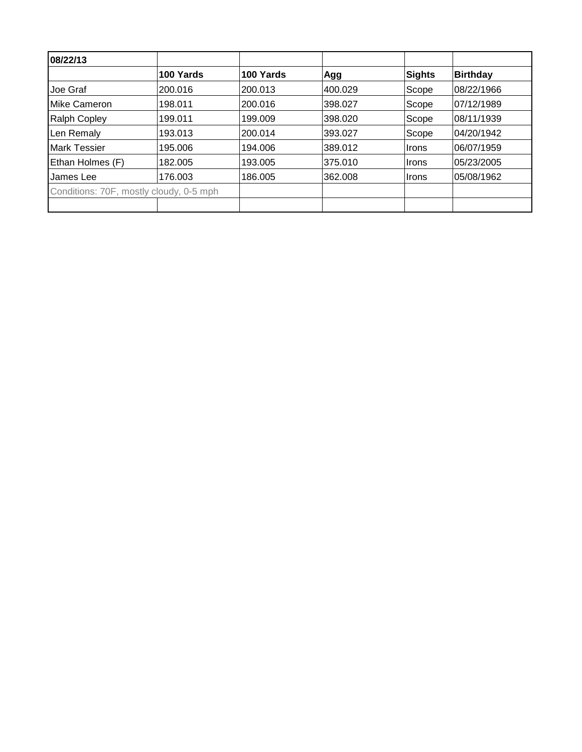| 08/22/13                                |           |           |         |        |                 |
|-----------------------------------------|-----------|-----------|---------|--------|-----------------|
|                                         | 100 Yards | 100 Yards | Agg     | Sights | <b>Birthday</b> |
| Joe Graf                                | 200.016   | 200.013   | 400.029 | Scope  | 08/22/1966      |
| <b>IMike Cameron</b>                    | 198.011   | 200.016   | 398.027 | Scope  | 07/12/1989      |
| <b>Ralph Copley</b>                     | 199.011   | 199.009   | 398.020 | Scope  | 08/11/1939      |
| Len Remaly                              | 193.013   | 200.014   | 393.027 | Scope  | 04/20/1942      |
| <b>Mark Tessier</b>                     | 195.006   | 194.006   | 389.012 | ∣Irons | 06/07/1959      |
| Ethan Holmes (F)                        | 182.005   | 193.005   | 375.010 | ∣Irons | 05/23/2005      |
| James Lee                               | 176.003   | 186.005   | 362.008 | ∣Irons | 105/08/1962     |
| Conditions: 70F, mostly cloudy, 0-5 mph |           |           |         |        |                 |
|                                         |           |           |         |        |                 |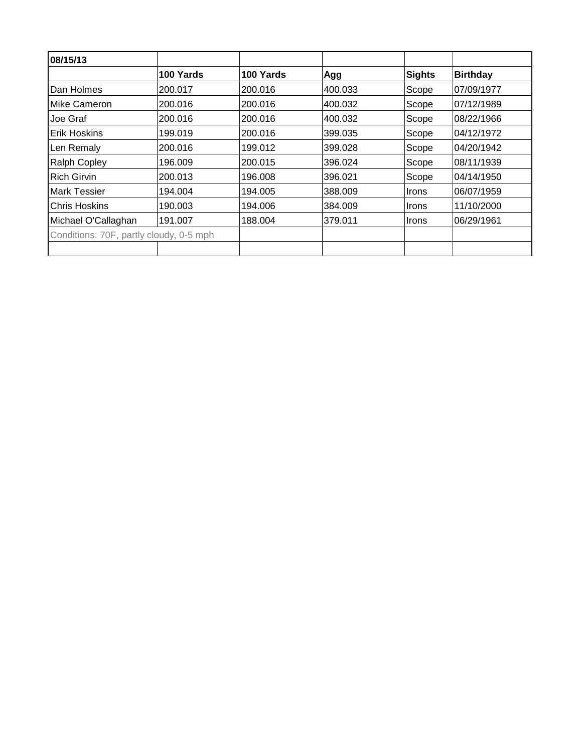| 08/15/13                                |           |           |         |              |                 |
|-----------------------------------------|-----------|-----------|---------|--------------|-----------------|
|                                         | 100 Yards | 100 Yards | Agg     | Sights       | <b>Birthday</b> |
| <b>Dan Holmes</b>                       | 200.017   | 200.016   | 400.033 | Scope        | 07/09/1977      |
| Mike Cameron                            | 200.016   | 200.016   | 400.032 | Scope        | 07/12/1989      |
| 'Joe Graf                               | 200.016   | 200.016   | 400.032 | Scope        | 08/22/1966      |
| <b>Erik Hoskins</b>                     | 199.019   | 200.016   | 399.035 | Scope        | 04/12/1972      |
| Len Remaly                              | 200.016   | 199.012   | 399.028 | Scope        | 04/20/1942      |
| <b>Ralph Copley</b>                     | 196.009   | 200.015   | 396.024 | Scope        | 08/11/1939      |
| <b>Rich Girvin</b>                      | 200.013   | 196.008   | 396.021 | Scope        | 04/14/1950      |
| <b>Mark Tessier</b>                     | 194.004   | 194.005   | 388,009 | <b>Irons</b> | 06/07/1959      |
| <b>Chris Hoskins</b>                    | 190.003   | 194.006   | 384.009 | <b>Irons</b> | 11/10/2000      |
| Michael O'Callaghan                     | 191.007   | 188.004   | 379.011 | <b>Irons</b> | 06/29/1961      |
| Conditions: 70F, partly cloudy, 0-5 mph |           |           |         |              |                 |
|                                         |           |           |         |              |                 |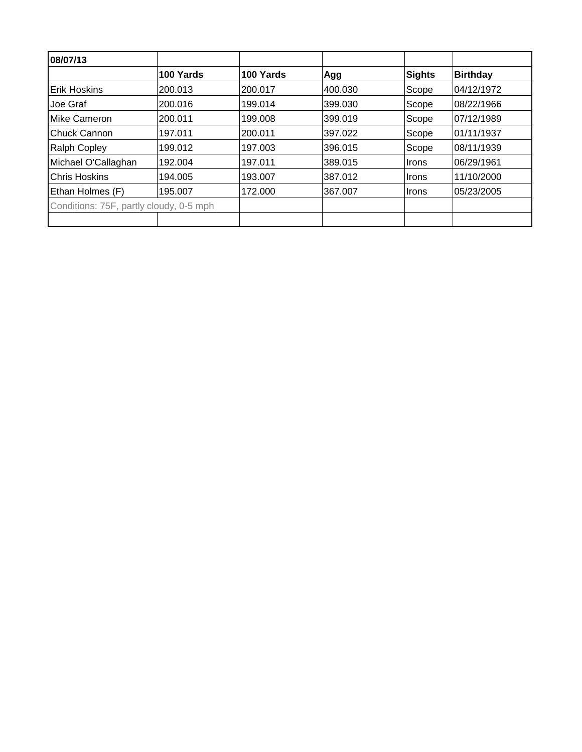| 08/07/13                                |           |           |         |               |                 |
|-----------------------------------------|-----------|-----------|---------|---------------|-----------------|
|                                         | 100 Yards | 100 Yards | Agg     | <b>Sights</b> | <b>Birthday</b> |
| <b>Erik Hoskins</b>                     | 200.013   | 200.017   | 400.030 | Scope         | 04/12/1972      |
| Joe Graf                                | 200.016   | 199.014   | 399.030 | Scope         | 08/22/1966      |
| Mike Cameron                            | 200.011   | 199.008   | 399.019 | Scope         | 07/12/1989      |
| Chuck Cannon                            | 197.011   | 200.011   | 397.022 | Scope         | 01/11/1937      |
| <b>Ralph Copley</b>                     | 199.012   | 197.003   | 396.015 | Scope         | 08/11/1939      |
| Michael O'Callaghan                     | 192.004   | 197.011   | 389.015 | <b>Irons</b>  | 06/29/1961      |
| Chris Hoskins                           | 194.005   | 193.007   | 387.012 | <b>Irons</b>  | 11/10/2000      |
| Ethan Holmes (F)                        | 195.007   | 172.000   | 367.007 | <b>Irons</b>  | 05/23/2005      |
| Conditions: 75F, partly cloudy, 0-5 mph |           |           |         |               |                 |
|                                         |           |           |         |               |                 |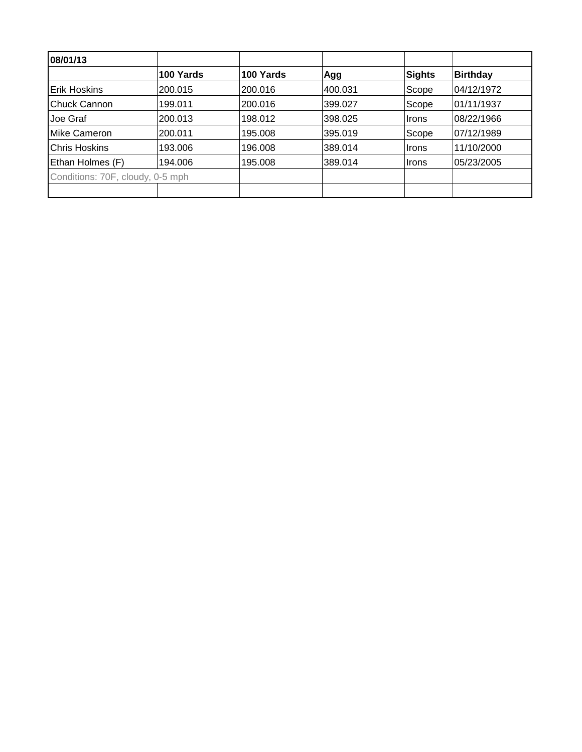| 08/01/13                         |           |           |         |               |                 |
|----------------------------------|-----------|-----------|---------|---------------|-----------------|
|                                  | 100 Yards | 100 Yards | Agg     | Sights        | <b>Birthday</b> |
| <b>Erik Hoskins</b>              | 200.015   | 200.016   | 400.031 | Scope         | 04/12/1972      |
| Chuck Cannon                     | 199.011   | 200.016   | 399.027 | Scope         | 01/11/1937      |
| Joe Graf                         | 200.013   | 198.012   | 398.025 | Irons         | 08/22/1966      |
| Mike Cameron                     | 200.011   | 195.008   | 395.019 | Scope         | 07/12/1989      |
| <b>Chris Hoskins</b>             | 193.006   | 196.008   | 389.014 | ∣Irons        | 11/10/2000      |
| Ethan Holmes (F)                 | 194.006   | 195.008   | 389.014 | <b>I</b> rons | 05/23/2005      |
| Conditions: 70F, cloudy, 0-5 mph |           |           |         |               |                 |
|                                  |           |           |         |               |                 |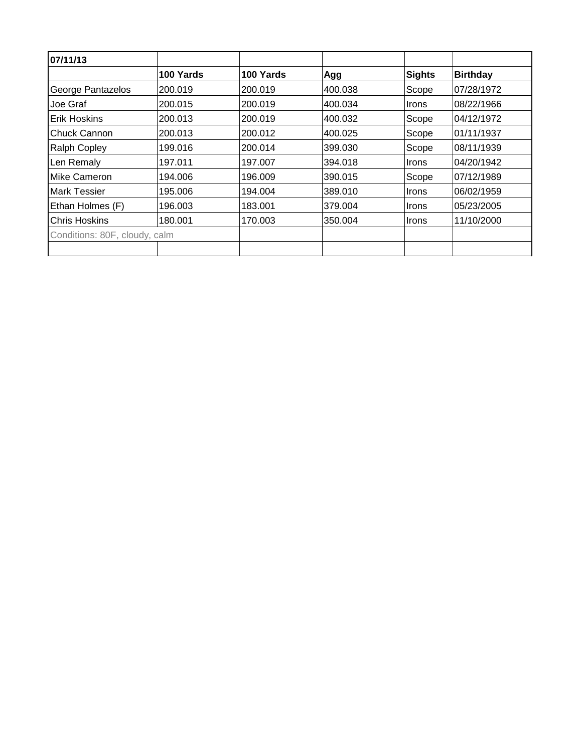| 07/11/13                      |           |           |         |              |                 |
|-------------------------------|-----------|-----------|---------|--------------|-----------------|
|                               | 100 Yards | 100 Yards | Agg     | Sights       | <b>Birthday</b> |
| George Pantazelos             | 200.019   | 200.019   | 400.038 | Scope        | 07/28/1972      |
| Joe Graf                      | 200.015   | 200.019   | 400.034 | <b>Irons</b> | 08/22/1966      |
| Erik Hoskins                  | 200.013   | 200.019   | 400.032 | Scope        | 04/12/1972      |
| <b>Chuck Cannon</b>           | 200.013   | 200.012   | 400.025 | Scope        | 01/11/1937      |
| <b>Ralph Copley</b>           | 199.016   | 200.014   | 399.030 | Scope        | 08/11/1939      |
| Len Remaly                    | 197.011   | 197.007   | 394.018 | <b>Irons</b> | 04/20/1942      |
| <b>Mike Cameron</b>           | 194.006   | 196.009   | 390.015 | Scope        | 07/12/1989      |
| <b>Mark Tessier</b>           | 195.006   | 194.004   | 389.010 | <b>Irons</b> | 06/02/1959      |
| Ethan Holmes (F)              | 196.003   | 183.001   | 379.004 | <b>Irons</b> | 05/23/2005      |
| <b>Chris Hoskins</b>          | 180.001   | 170.003   | 350.004 | <b>Irons</b> | 11/10/2000      |
| Conditions: 80F, cloudy, calm |           |           |         |              |                 |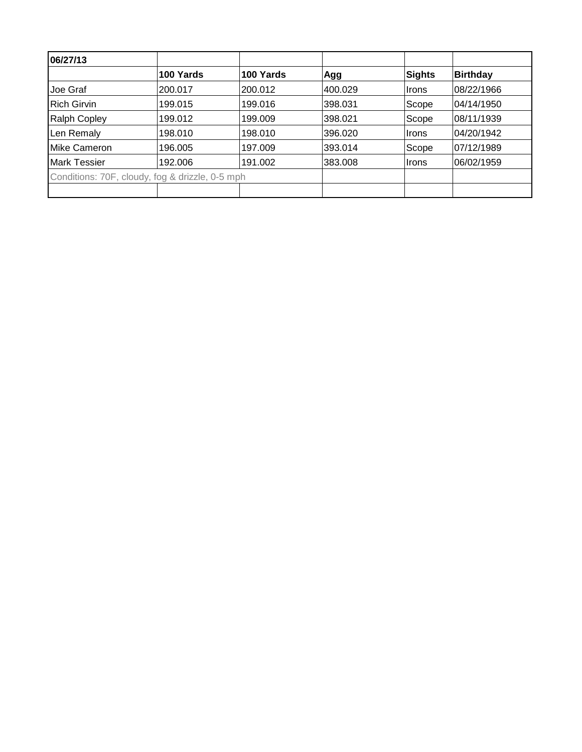| 06/27/13             |                                                 |           |         |               |                 |
|----------------------|-------------------------------------------------|-----------|---------|---------------|-----------------|
|                      | 100 Yards                                       | 100 Yards | Agg     | <b>Sights</b> | <b>Birthday</b> |
| Joe Graf             | 200.017                                         | 200.012   | 400.029 | <b>Irons</b>  | 08/22/1966      |
| <b>Rich Girvin</b>   | 199.015                                         | 199.016   | 398.031 | Scope         | 104/14/1950     |
| <b>Ralph Copley</b>  | 199.012                                         | 199.009   | 398.021 | Scope         | 108/11/1939     |
| Len Remaly           | 198.010                                         | 198.010   | 396.020 | <b>Irons</b>  | 04/20/1942      |
| <b>IMike Cameron</b> | 196.005                                         | 197.009   | 393.014 | Scope         | 07/12/1989      |
| <b>Mark Tessier</b>  | 192.006                                         | 191.002   | 383.008 | <b>Irons</b>  | 06/02/1959      |
|                      | Conditions: 70F, cloudy, fog & drizzle, 0-5 mph |           |         |               |                 |
|                      |                                                 |           |         |               |                 |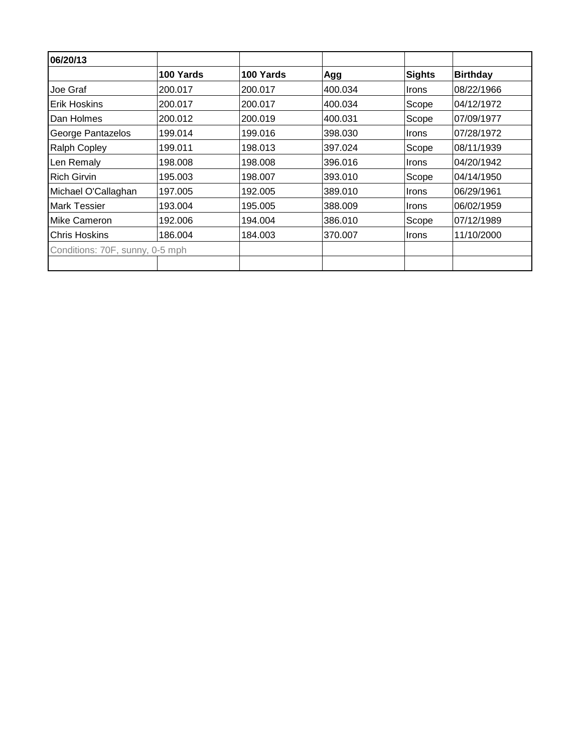| 06/20/13                        |           |           |         |              |                 |
|---------------------------------|-----------|-----------|---------|--------------|-----------------|
|                                 | 100 Yards | 100 Yards | Agg     | Sights       | <b>Birthday</b> |
| Joe Graf                        | 200.017   | 200.017   | 400.034 | <b>Irons</b> | 08/22/1966      |
| Erik Hoskins                    | 200.017   | 200.017   | 400.034 | Scope        | 04/12/1972      |
| Dan Holmes                      | 200.012   | 200.019   | 400.031 | Scope        | 07/09/1977      |
| George Pantazelos               | 199.014   | 199.016   | 398.030 | <b>Irons</b> | 07/28/1972      |
| <b>Ralph Copley</b>             | 199.011   | 198.013   | 397.024 | Scope        | 08/11/1939      |
| Len Remaly                      | 198.008   | 198.008   | 396.016 | <b>Irons</b> | 04/20/1942      |
| Rich Girvin                     | 195.003   | 198.007   | 393.010 | Scope        | 04/14/1950      |
| Michael O'Callaghan             | 197.005   | 192.005   | 389.010 | <b>Irons</b> | 06/29/1961      |
| <b>Mark Tessier</b>             | 193.004   | 195.005   | 388,009 | <b>Irons</b> | 06/02/1959      |
| <b>Mike Cameron</b>             | 192.006   | 194.004   | 386.010 | Scope        | 07/12/1989      |
| <b>Chris Hoskins</b>            | 186.004   | 184.003   | 370,007 | Irons        | 11/10/2000      |
| Conditions: 70F, sunny, 0-5 mph |           |           |         |              |                 |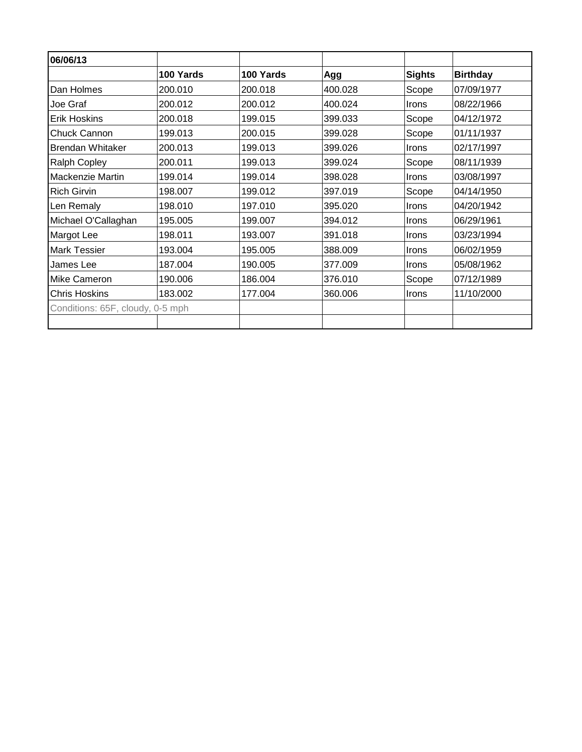| 06/06/13                         |           |           |         |              |                 |
|----------------------------------|-----------|-----------|---------|--------------|-----------------|
|                                  | 100 Yards | 100 Yards | Agg     | Sights       | <b>Birthday</b> |
| Dan Holmes                       | 200.010   | 200.018   | 400.028 | Scope        | 07/09/1977      |
| Joe Graf                         | 200.012   | 200.012   | 400.024 | Irons        | 08/22/1966      |
| <b>Erik Hoskins</b>              | 200.018   | 199.015   | 399.033 | Scope        | 04/12/1972      |
| <b>Chuck Cannon</b>              | 199.013   | 200.015   | 399.028 | Scope        | 01/11/1937      |
| Brendan Whitaker                 | 200.013   | 199.013   | 399.026 | Irons        | 02/17/1997      |
| <b>Ralph Copley</b>              | 200.011   | 199.013   | 399.024 | Scope        | 08/11/1939      |
| <b>Mackenzie Martin</b>          | 199.014   | 199.014   | 398.028 | Irons        | 03/08/1997      |
| <b>Rich Girvin</b>               | 198.007   | 199.012   | 397.019 | Scope        | 04/14/1950      |
| Len Remaly                       | 198.010   | 197.010   | 395.020 | <b>Irons</b> | 04/20/1942      |
| Michael O'Callaghan              | 195.005   | 199.007   | 394.012 | Irons        | 06/29/1961      |
| Margot Lee                       | 198.011   | 193.007   | 391.018 | <b>Irons</b> | 03/23/1994      |
| <b>Mark Tessier</b>              | 193.004   | 195.005   | 388.009 | Irons        | 06/02/1959      |
| James Lee                        | 187.004   | 190.005   | 377.009 | Irons        | 05/08/1962      |
| Mike Cameron                     | 190.006   | 186.004   | 376.010 | Scope        | 07/12/1989      |
| <b>Chris Hoskins</b>             | 183.002   | 177.004   | 360.006 | <b>Irons</b> | 11/10/2000      |
| Conditions: 65F, cloudy, 0-5 mph |           |           |         |              |                 |
|                                  |           |           |         |              |                 |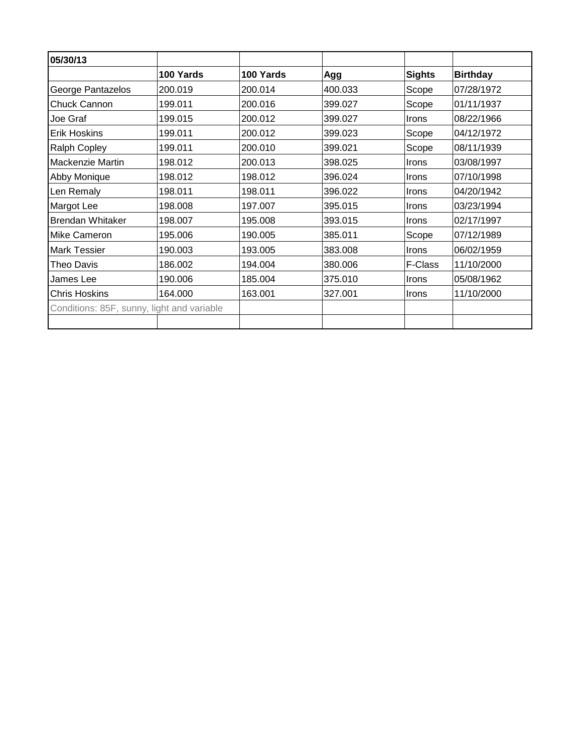| 05/30/13                                   |           |           |         |               |                 |
|--------------------------------------------|-----------|-----------|---------|---------------|-----------------|
|                                            | 100 Yards | 100 Yards | Agg     | <b>Sights</b> | <b>Birthday</b> |
| George Pantazelos                          | 200.019   | 200.014   | 400.033 | Scope         | 07/28/1972      |
| Chuck Cannon                               | 199.011   | 200.016   | 399.027 | Scope         | 01/11/1937      |
| Joe Graf                                   | 199.015   | 200.012   | 399.027 | <b>Irons</b>  | 08/22/1966      |
| <b>Erik Hoskins</b>                        | 199.011   | 200.012   | 399.023 | Scope         | 04/12/1972      |
| Ralph Copley                               | 199.011   | 200.010   | 399.021 | Scope         | 08/11/1939      |
| <b>Mackenzie Martin</b>                    | 198.012   | 200.013   | 398.025 | Irons         | 03/08/1997      |
| Abby Monique                               | 198.012   | 198.012   | 396.024 | Irons         | 07/10/1998      |
| Len Remaly                                 | 198.011   | 198.011   | 396.022 | Irons         | 04/20/1942      |
| Margot Lee                                 | 198.008   | 197.007   | 395.015 | Irons         | 03/23/1994      |
| <b>Brendan Whitaker</b>                    | 198.007   | 195.008   | 393.015 | Irons         | 02/17/1997      |
| Mike Cameron                               | 195.006   | 190.005   | 385.011 | Scope         | 07/12/1989      |
| <b>Mark Tessier</b>                        | 190.003   | 193.005   | 383.008 | Irons         | 06/02/1959      |
| Theo Davis                                 | 186.002   | 194.004   | 380.006 | F-Class       | 11/10/2000      |
| James Lee                                  | 190.006   | 185.004   | 375.010 | Irons         | 05/08/1962      |
| <b>Chris Hoskins</b>                       | 164.000   | 163.001   | 327.001 | <b>Irons</b>  | 11/10/2000      |
| Conditions: 85F, sunny, light and variable |           |           |         |               |                 |
|                                            |           |           |         |               |                 |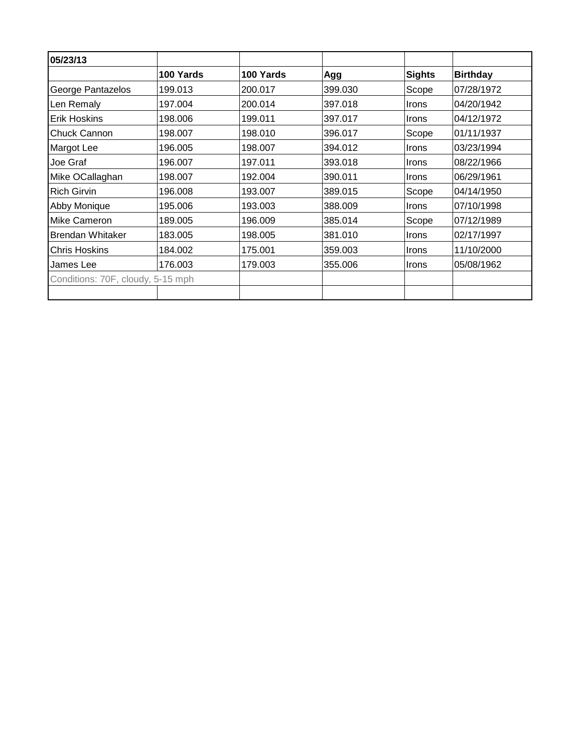|                                   | 100 Yards | 100 Yards | Agg     | <b>Sights</b> | <b>Birthday</b> |
|-----------------------------------|-----------|-----------|---------|---------------|-----------------|
| George Pantazelos                 | 199.013   | 200.017   | 399.030 | Scope         | 07/28/1972      |
| Len Remaly                        | 197.004   | 200.014   | 397.018 | Irons         | 04/20/1942      |
| <b>Erik Hoskins</b>               | 198.006   | 199.011   | 397.017 | <b>Irons</b>  | 04/12/1972      |
| <b>Chuck Cannon</b>               | 198.007   | 198.010   | 396.017 | Scope         | 01/11/1937      |
| Margot Lee                        | 196.005   | 198.007   | 394.012 | <b>Irons</b>  | 03/23/1994      |
| Joe Graf                          | 196.007   | 197.011   | 393.018 | Irons         | 08/22/1966      |
| Mike OCallaghan                   | 198.007   | 192.004   | 390.011 | <b>Irons</b>  | 06/29/1961      |
| <b>Rich Girvin</b>                | 196.008   | 193.007   | 389.015 | Scope         | 04/14/1950      |
| Abby Monique                      | 195.006   | 193.003   | 388.009 | <b>Irons</b>  | 07/10/1998      |
| <b>Mike Cameron</b>               | 189.005   | 196.009   | 385.014 | Scope         | 07/12/1989      |
| Brendan Whitaker                  | 183.005   | 198.005   | 381.010 | <b>Irons</b>  | 02/17/1997      |
| <b>Chris Hoskins</b>              | 184.002   | 175.001   | 359.003 | <b>Irons</b>  | 11/10/2000      |
| James Lee                         | 176.003   | 179.003   | 355.006 | Irons         | 05/08/1962      |
| Conditions: 70F, cloudy, 5-15 mph |           |           |         |               |                 |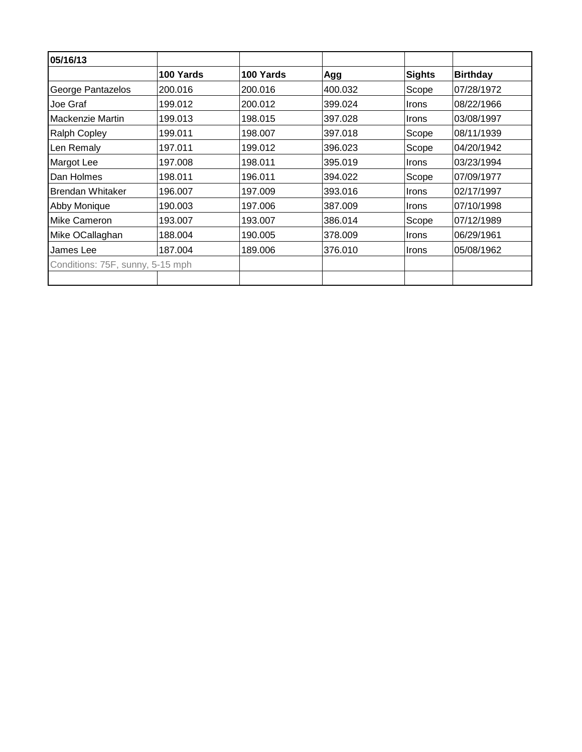| 05/16/13                         |           |           |         |              |                 |
|----------------------------------|-----------|-----------|---------|--------------|-----------------|
|                                  | 100 Yards | 100 Yards | Agg     | Sights       | <b>Birthday</b> |
| George Pantazelos                | 200.016   | 200.016   | 400.032 | Scope        | 07/28/1972      |
| Joe Graf                         | 199.012   | 200.012   | 399.024 | <b>Irons</b> | 08/22/1966      |
| <b>Mackenzie Martin</b>          | 199.013   | 198.015   | 397.028 | <i>Irons</i> | 03/08/1997      |
| <b>Ralph Copley</b>              | 199.011   | 198.007   | 397.018 | Scope        | 08/11/1939      |
| Len Remaly                       | 197.011   | 199.012   | 396.023 | Scope        | 04/20/1942      |
| Margot Lee                       | 197.008   | 198.011   | 395.019 | <i>Irons</i> | 03/23/1994      |
| Dan Holmes                       | 198.011   | 196.011   | 394.022 | Scope        | 07/09/1977      |
| <b>Brendan Whitaker</b>          | 196.007   | 197.009   | 393.016 | <b>Irons</b> | 02/17/1997      |
| Abby Monique                     | 190.003   | 197.006   | 387.009 | <b>Irons</b> | 07/10/1998      |
| <b>Mike Cameron</b>              | 193.007   | 193.007   | 386.014 | Scope        | 07/12/1989      |
| Mike OCallaghan                  | 188.004   | 190.005   | 378.009 | <b>Irons</b> | 06/29/1961      |
| James Lee                        | 187.004   | 189.006   | 376.010 | <b>Irons</b> | 05/08/1962      |
| Conditions: 75F, sunny, 5-15 mph |           |           |         |              |                 |
|                                  |           |           |         |              |                 |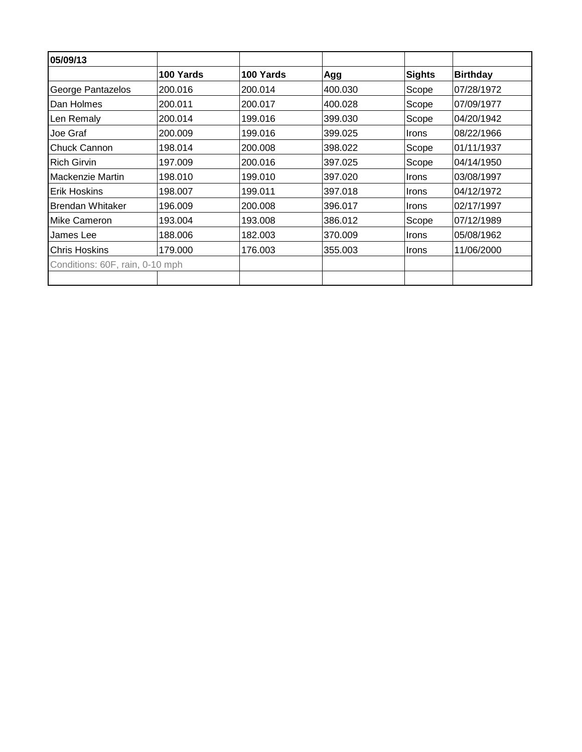| 05/09/13                        |           |           |         |               |                 |
|---------------------------------|-----------|-----------|---------|---------------|-----------------|
|                                 | 100 Yards | 100 Yards | Agg     | <b>Sights</b> | <b>Birthday</b> |
| George Pantazelos               | 200.016   | 200.014   | 400.030 | Scope         | 07/28/1972      |
| Dan Holmes                      | 200.011   | 200.017   | 400.028 | Scope         | 07/09/1977      |
| Len Remaly                      | 200.014   | 199.016   | 399.030 | Scope         | 04/20/1942      |
| Joe Graf                        | 200.009   | 199.016   | 399.025 | <b>Irons</b>  | 08/22/1966      |
| Chuck Cannon                    | 198.014   | 200.008   | 398.022 | Scope         | 01/11/1937      |
| <b>Rich Girvin</b>              | 197.009   | 200.016   | 397.025 | Scope         | 04/14/1950      |
| <b>Mackenzie Martin</b>         | 198.010   | 199.010   | 397.020 | <b>Irons</b>  | 03/08/1997      |
| Erik Hoskins                    | 198.007   | 199.011   | 397.018 | <b>Irons</b>  | 04/12/1972      |
| Brendan Whitaker                | 196.009   | 200.008   | 396.017 | Irons         | 02/17/1997      |
| <b>Mike Cameron</b>             | 193.004   | 193.008   | 386.012 | Scope         | 07/12/1989      |
| James Lee                       | 188.006   | 182.003   | 370.009 | <b>Irons</b>  | 05/08/1962      |
| <b>Chris Hoskins</b>            | 179.000   | 176.003   | 355.003 | <b>Irons</b>  | 11/06/2000      |
| Conditions: 60F, rain, 0-10 mph |           |           |         |               |                 |
|                                 |           |           |         |               |                 |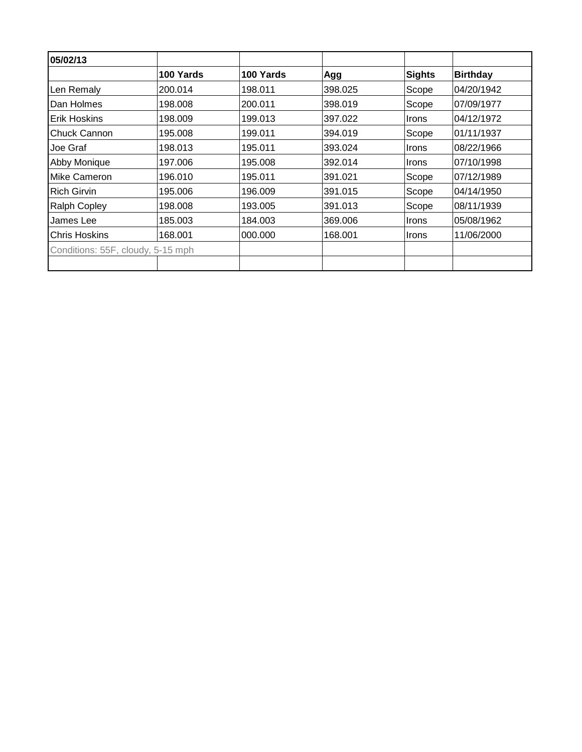| 05/02/13                          |           |           |         |              |                 |
|-----------------------------------|-----------|-----------|---------|--------------|-----------------|
|                                   | 100 Yards | 100 Yards | Agg     | Sights       | <b>Birthday</b> |
| Len Remaly                        | 200.014   | 198.011   | 398.025 | Scope        | 04/20/1942      |
| Dan Holmes                        | 198.008   | 200.011   | 398.019 | Scope        | 07/09/1977      |
| IErik Hoskins                     | 198.009   | 199.013   | 397.022 | <b>Irons</b> | 04/12/1972      |
| <b>Chuck Cannon</b>               | 195.008   | 199.011   | 394.019 | Scope        | 01/11/1937      |
| Joe Graf                          | 198.013   | 195.011   | 393.024 | <b>Irons</b> | 08/22/1966      |
| <b>Abby Monique</b>               | 197.006   | 195.008   | 392.014 | <b>Irons</b> | 07/10/1998      |
| <b>IMike Cameron</b>              | 196.010   | 195.011   | 391.021 | Scope        | 07/12/1989      |
| IRich Girvin                      | 195.006   | 196.009   | 391.015 | Scope        | 04/14/1950      |
| <b>Ralph Copley</b>               | 198.008   | 193.005   | 391.013 | Scope        | 08/11/1939      |
| James Lee                         | 185.003   | 184.003   | 369,006 | <b>Irons</b> | 05/08/1962      |
| <b>Chris Hoskins</b>              | 168.001   | 000.000   | 168.001 | <b>Irons</b> | 11/06/2000      |
| Conditions: 55F, cloudy, 5-15 mph |           |           |         |              |                 |
|                                   |           |           |         |              |                 |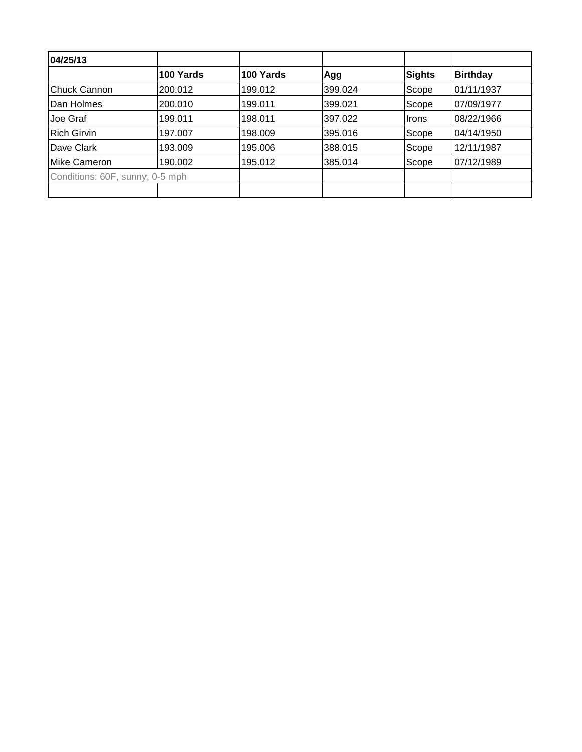| 04/25/13                        |           |           |         |               |                 |
|---------------------------------|-----------|-----------|---------|---------------|-----------------|
|                                 | 100 Yards | 100 Yards | Agg     | <b>Sights</b> | <b>Birthday</b> |
| Chuck Cannon                    | 200.012   | 199.012   | 399.024 | Scope         | 01/11/1937      |
| Dan Holmes                      | 200.010   | 199.011   | 399.021 | Scope         | 07/09/1977      |
| Joe Graf                        | 199.011   | 198.011   | 397.022 | Irons         | 08/22/1966      |
| <b>Rich Girvin</b>              | 197.007   | 198.009   | 395.016 | Scope         | 04/14/1950      |
| Dave Clark                      | 193.009   | 195.006   | 388.015 | Scope         | 12/11/1987      |
| Mike Cameron                    | 190.002   | 195.012   | 385.014 | Scope         | 07/12/1989      |
| Conditions: 60F, sunny, 0-5 mph |           |           |         |               |                 |
|                                 |           |           |         |               |                 |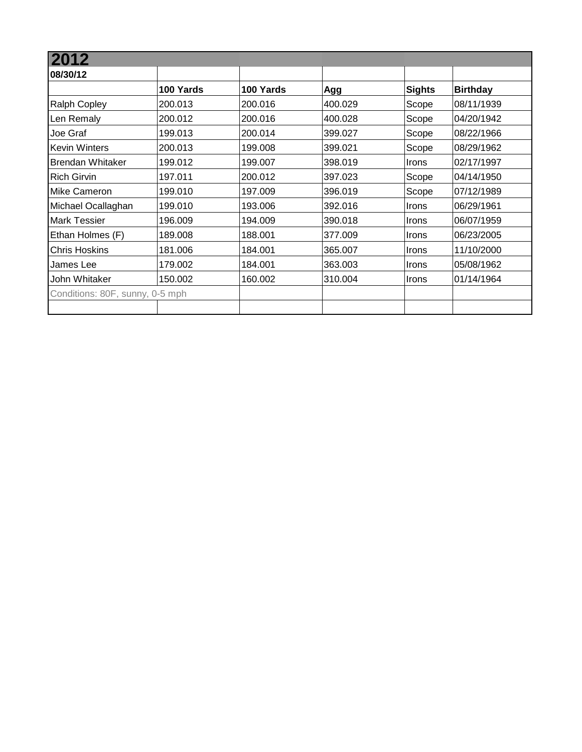| 2012                            |           |           |         |               |                 |
|---------------------------------|-----------|-----------|---------|---------------|-----------------|
| 08/30/12                        |           |           |         |               |                 |
|                                 | 100 Yards | 100 Yards | Agg     | <b>Sights</b> | <b>Birthday</b> |
| <b>Ralph Copley</b>             | 200.013   | 200.016   | 400.029 | Scope         | 08/11/1939      |
| Len Remaly                      | 200.012   | 200.016   | 400.028 | Scope         | 04/20/1942      |
| Joe Graf                        | 199.013   | 200.014   | 399.027 | Scope         | 08/22/1966      |
| <b>Kevin Winters</b>            | 200.013   | 199.008   | 399.021 | Scope         | 08/29/1962      |
| Brendan Whitaker                | 199.012   | 199.007   | 398.019 | Irons         | 02/17/1997      |
| <b>Rich Girvin</b>              | 197.011   | 200.012   | 397.023 | Scope         | 04/14/1950      |
| <b>Mike Cameron</b>             | 199.010   | 197.009   | 396.019 | Scope         | 07/12/1989      |
| Michael Ocallaghan              | 199.010   | 193.006   | 392.016 | Irons         | 06/29/1961      |
| <b>Mark Tessier</b>             | 196.009   | 194.009   | 390.018 | Irons         | 06/07/1959      |
| Ethan Holmes (F)                | 189.008   | 188.001   | 377.009 | Irons         | 06/23/2005      |
| <b>Chris Hoskins</b>            | 181.006   | 184.001   | 365.007 | Irons         | 11/10/2000      |
| James Lee                       | 179.002   | 184.001   | 363.003 | <b>Irons</b>  | 05/08/1962      |
| John Whitaker                   | 150.002   | 160.002   | 310.004 | <b>Irons</b>  | 01/14/1964      |
| Conditions: 80F, sunny, 0-5 mph |           |           |         |               |                 |
|                                 |           |           |         |               |                 |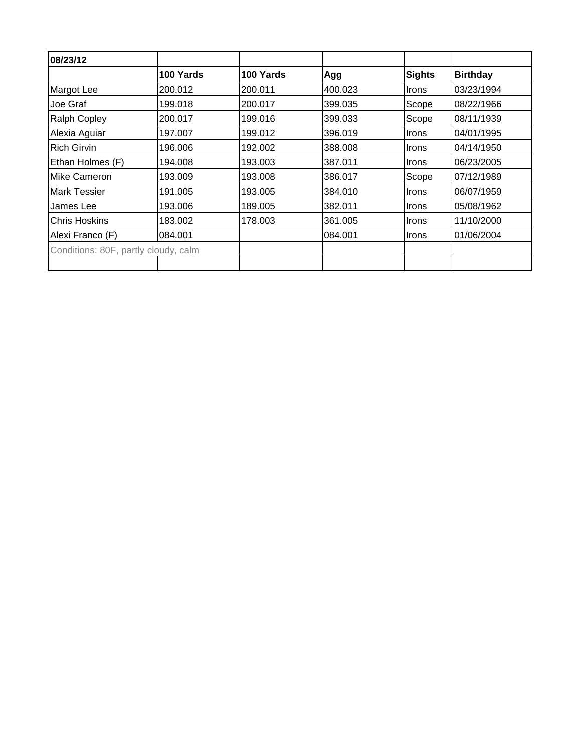| 08/23/12                             |           |           |         |              |                 |
|--------------------------------------|-----------|-----------|---------|--------------|-----------------|
|                                      | 100 Yards | 100 Yards | Agg     | Sights       | <b>Birthday</b> |
| Margot Lee                           | 200.012   | 200.011   | 400.023 | <b>Irons</b> | 03/23/1994      |
| Joe Graf                             | 199.018   | 200.017   | 399.035 | Scope        | 08/22/1966      |
| <b>Ralph Copley</b>                  | 200.017   | 199.016   | 399.033 | Scope        | 08/11/1939      |
| Alexia Aguiar                        | 197.007   | 199.012   | 396.019 | <b>Irons</b> | 04/01/1995      |
| <b>Rich Girvin</b>                   | 196.006   | 192.002   | 388,008 | <b>Irons</b> | 04/14/1950      |
| Ethan Holmes (F)                     | 194.008   | 193.003   | 387.011 | <b>Irons</b> | 06/23/2005      |
| <b>IMike Cameron</b>                 | 193.009   | 193.008   | 386.017 | Scope        | 07/12/1989      |
| <b>Mark Tessier</b>                  | 191.005   | 193.005   | 384.010 | <b>Irons</b> | 06/07/1959      |
| James Lee                            | 193.006   | 189.005   | 382.011 | <b>Irons</b> | 05/08/1962      |
| <b>IChris Hoskins</b>                | 183.002   | 178,003   | 361.005 | Irons        | 11/10/2000      |
| Alexi Franco (F)                     | 084.001   |           | 084.001 | <b>Irons</b> | 01/06/2004      |
|                                      |           |           |         |              |                 |
| Conditions: 80F, partly cloudy, calm |           |           |         |              |                 |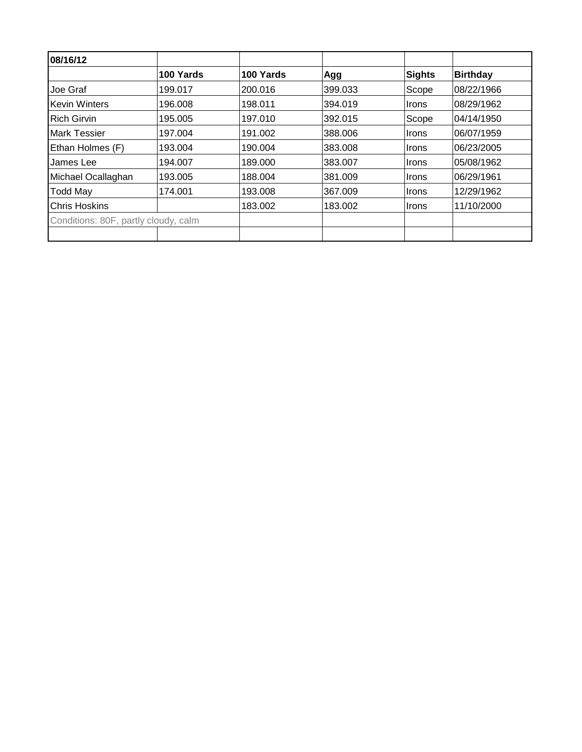| 100 Yards                            | 100 Yards | Agg     | Sights | <b>Birthday</b> |
|--------------------------------------|-----------|---------|--------|-----------------|
| 199.017                              | 200.016   | 399.033 | Scope  | 08/22/1966      |
| 196.008                              | 198.011   | 394.019 | Irons  | 08/29/1962      |
| 195.005                              | 197.010   | 392.015 | Scope  | 04/14/1950      |
| 197.004                              | 191.002   | 388.006 | Irons  | 06/07/1959      |
| 193.004                              | 190.004   | 383.008 | Irons  | 06/23/2005      |
| 194.007                              | 189,000   | 383.007 | Irons  | 05/08/1962      |
| 193.005                              | 188.004   | 381.009 | Irons  | 06/29/1961      |
| 174.001                              | 193.008   | 367.009 | Irons  | 12/29/1962      |
|                                      | 183.002   | 183.002 | Irons  | 11/10/2000      |
| Conditions: 80F, partly cloudy, calm |           |         |        |                 |
|                                      |           |         |        |                 |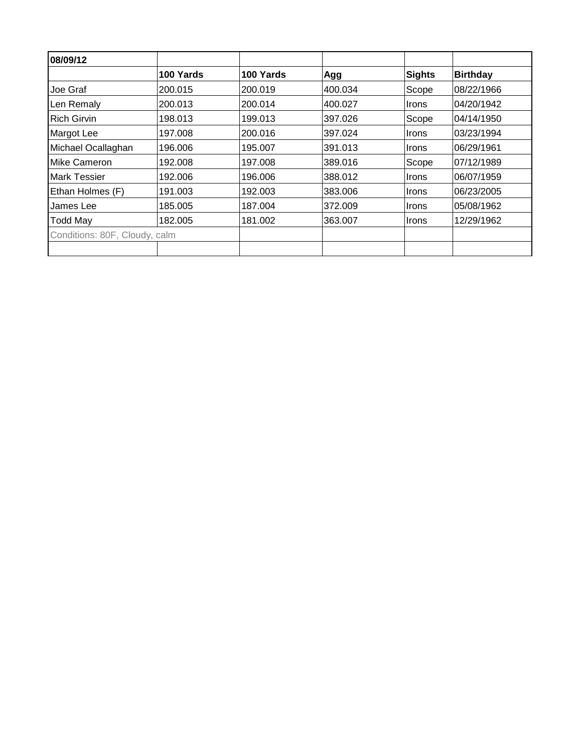| 100 Yards<br>200.015<br>200.013<br>198.013<br>197.008 | 100 Yards<br>200.019<br>200.014<br>199.013 | Agg<br>400.034<br>400.027<br>397.026 | <b>Sights</b><br>Scope<br><b>Irons</b><br>Scope | <b>Birthday</b><br>08/22/1966<br>04/20/1942 |
|-------------------------------------------------------|--------------------------------------------|--------------------------------------|-------------------------------------------------|---------------------------------------------|
|                                                       |                                            |                                      |                                                 |                                             |
|                                                       |                                            |                                      |                                                 |                                             |
|                                                       |                                            |                                      |                                                 |                                             |
|                                                       |                                            |                                      |                                                 | 04/14/1950                                  |
|                                                       | 200.016                                    | 397.024                              | <b>Irons</b>                                    | 03/23/1994                                  |
| 196.006                                               | 195.007                                    | 391.013                              | <b>Irons</b>                                    | 06/29/1961                                  |
| 192.008                                               | 197.008                                    | 389.016                              | Scope                                           | 07/12/1989                                  |
| 192.006                                               | 196.006                                    | 388.012                              | <b>Irons</b>                                    | 06/07/1959                                  |
| 191.003                                               | 192.003                                    | 383,006                              | <b>Irons</b>                                    | 06/23/2005                                  |
| 185.005                                               | 187.004                                    | 372.009                              | <b>Irons</b>                                    | 05/08/1962                                  |
| 182.005                                               | 181.002                                    | 363,007                              | <b>Irons</b>                                    | 12/29/1962                                  |
| Conditions: 80F, Cloudy, calm                         |                                            |                                      |                                                 |                                             |
|                                                       |                                            |                                      |                                                 |                                             |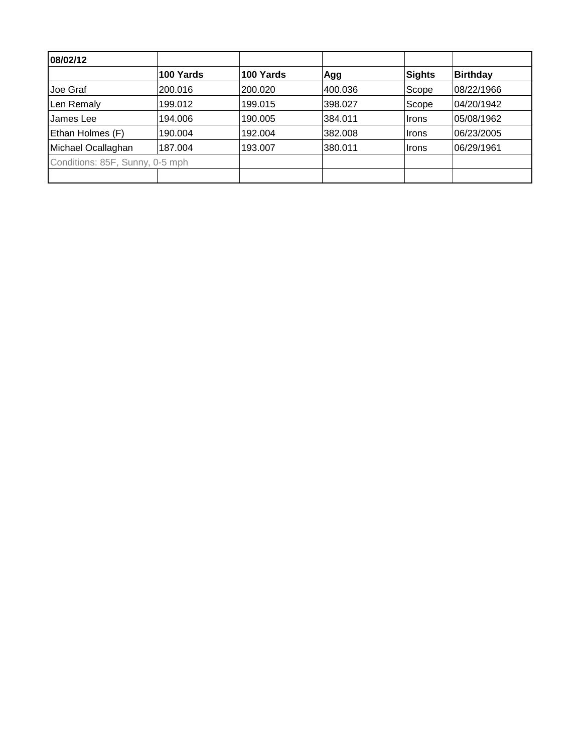| 08/02/12                        |           |           |         |        |                 |
|---------------------------------|-----------|-----------|---------|--------|-----------------|
|                                 | 100 Yards | 100 Yards | Agg     | Sights | <b>Birthday</b> |
| Joe Graf                        | 200.016   | 200.020   | 400.036 | Scope  | 08/22/1966      |
| Len Remaly                      | 199.012   | 199.015   | 398.027 | Scope  | 04/20/1942      |
| James Lee                       | 194.006   | 190.005   | 384.011 | Irons  | 05/08/1962      |
| Ethan Holmes (F)                | 190.004   | 192.004   | 382.008 | Irons  | 06/23/2005      |
| Michael Ocallaghan              | 187.004   | 193.007   | 380.011 | ∣Irons | 06/29/1961      |
| Conditions: 85F, Sunny, 0-5 mph |           |           |         |        |                 |
|                                 |           |           |         |        |                 |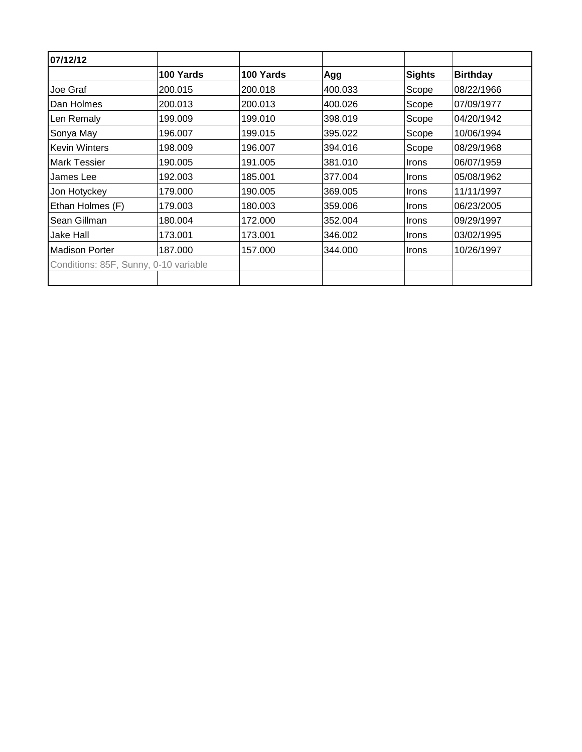| 07/12/12                              |           |           |         |               |                 |
|---------------------------------------|-----------|-----------|---------|---------------|-----------------|
|                                       | 100 Yards | 100 Yards | Agg     | <b>Sights</b> | <b>Birthday</b> |
| Joe Graf                              | 200.015   | 200.018   | 400.033 | Scope         | 08/22/1966      |
| Dan Holmes                            | 200.013   | 200.013   | 400.026 | Scope         | 07/09/1977      |
| Len Remaly                            | 199.009   | 199.010   | 398.019 | Scope         | 04/20/1942      |
| Sonya May                             | 196.007   | 199.015   | 395.022 | Scope         | 10/06/1994      |
| <b>Kevin Winters</b>                  | 198.009   | 196.007   | 394.016 | Scope         | 08/29/1968      |
| Mark Tessier                          | 190.005   | 191.005   | 381.010 | Irons         | 06/07/1959      |
| James Lee                             | 192.003   | 185.001   | 377.004 | <b>Irons</b>  | 05/08/1962      |
| Jon Hotyckey                          | 179.000   | 190.005   | 369.005 | <b>Irons</b>  | 11/11/1997      |
| Ethan Holmes (F)                      | 179.003   | 180.003   | 359.006 | Irons         | 06/23/2005      |
| Sean Gillman                          | 180.004   | 172.000   | 352.004 | <b>Irons</b>  | 09/29/1997      |
| Jake Hall                             | 173.001   | 173.001   | 346.002 | <b>Irons</b>  | 03/02/1995      |
| <b>Madison Porter</b>                 | 187.000   | 157.000   | 344.000 | <b>Irons</b>  | 10/26/1997      |
| Conditions: 85F, Sunny, 0-10 variable |           |           |         |               |                 |
|                                       |           |           |         |               |                 |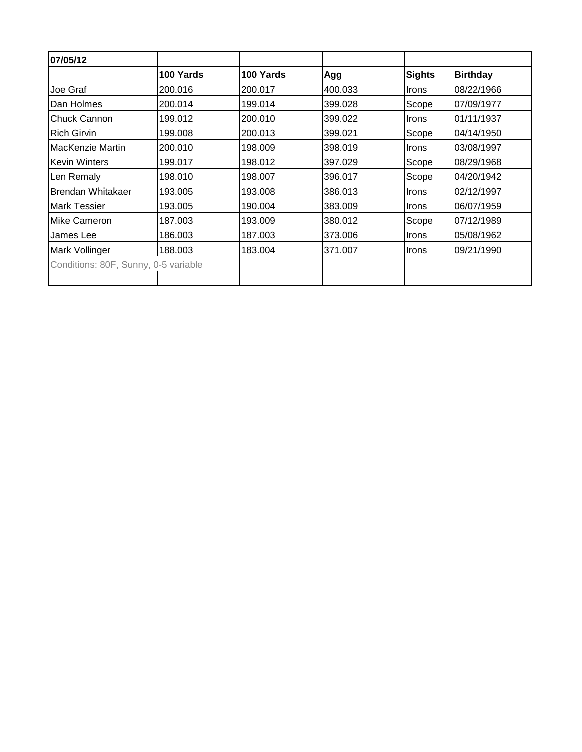| 07/05/12                             |           |           |         |               |                 |
|--------------------------------------|-----------|-----------|---------|---------------|-----------------|
|                                      | 100 Yards | 100 Yards | Agg     | <b>Sights</b> | <b>Birthday</b> |
| Joe Graf                             | 200.016   | 200.017   | 400.033 | <b>Irons</b>  | 08/22/1966      |
| Dan Holmes                           | 200.014   | 199.014   | 399.028 | Scope         | 07/09/1977      |
| Chuck Cannon                         | 199.012   | 200.010   | 399.022 | Irons         | 01/11/1937      |
| <b>Rich Girvin</b>                   | 199.008   | 200.013   | 399.021 | Scope         | 04/14/1950      |
| MacKenzie Martin                     | 200.010   | 198.009   | 398.019 | <b>Irons</b>  | 03/08/1997      |
| Kevin Winters                        | 199.017   | 198.012   | 397.029 | Scope         | 08/29/1968      |
| Len Remaly                           | 198.010   | 198.007   | 396.017 | Scope         | 04/20/1942      |
| Brendan Whitakaer                    | 193.005   | 193.008   | 386.013 | Irons         | 02/12/1997      |
| <b>Mark Tessier</b>                  | 193.005   | 190.004   | 383.009 | Irons         | 06/07/1959      |
| Mike Cameron                         | 187.003   | 193.009   | 380.012 | Scope         | 07/12/1989      |
| James Lee                            | 186.003   | 187.003   | 373.006 | Irons         | 05/08/1962      |
| Mark Vollinger                       | 188.003   | 183.004   | 371.007 | Irons         | 09/21/1990      |
| Conditions: 80F, Sunny, 0-5 variable |           |           |         |               |                 |
|                                      |           |           |         |               |                 |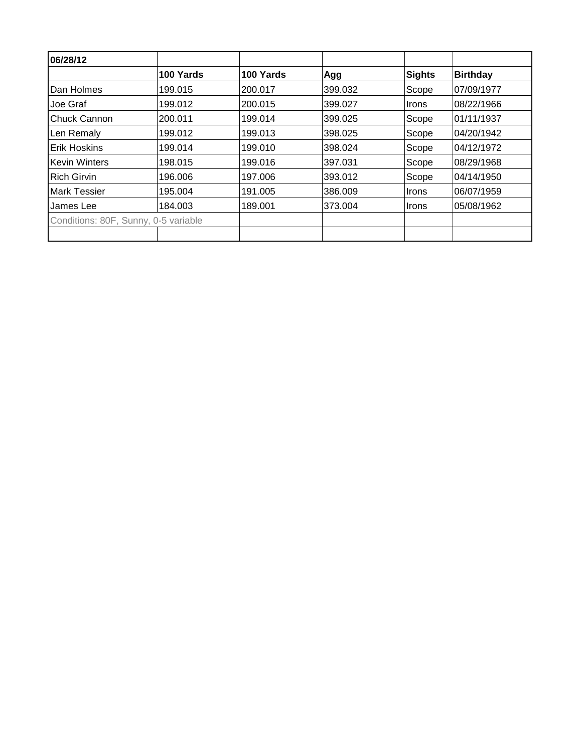| 100 Yards<br>199.015<br>199.012<br>200.011<br>199.012 | 100 Yards<br>200.017<br>200.015<br>199.014 | Agg<br>399.032<br>399.027<br>399.025 | Sights<br>Scope<br><b>Irons</b> | <b>Birthday</b><br>07/09/1977<br>08/22/1966 |
|-------------------------------------------------------|--------------------------------------------|--------------------------------------|---------------------------------|---------------------------------------------|
|                                                       |                                            |                                      |                                 |                                             |
|                                                       |                                            |                                      |                                 |                                             |
|                                                       |                                            |                                      |                                 |                                             |
|                                                       |                                            |                                      | Scope                           | 01/11/1937                                  |
|                                                       | 199.013                                    | 398.025                              | Scope                           | 04/20/1942                                  |
| 199.014                                               | 199.010                                    | 398.024                              | Scope                           | 04/12/1972                                  |
| 198.015                                               | 199.016                                    | 397.031                              | Scope                           | 08/29/1968                                  |
| 196.006                                               | 197.006                                    | 393.012                              | Scope                           | 04/14/1950                                  |
| 195.004                                               | 191.005                                    | 386.009                              | Irons                           | 06/07/1959                                  |
| 184.003                                               | 189.001                                    | 373.004                              | <i>Irons</i>                    | 05/08/1962                                  |
| Conditions: 80F, Sunny, 0-5 variable                  |                                            |                                      |                                 |                                             |
|                                                       |                                            |                                      |                                 |                                             |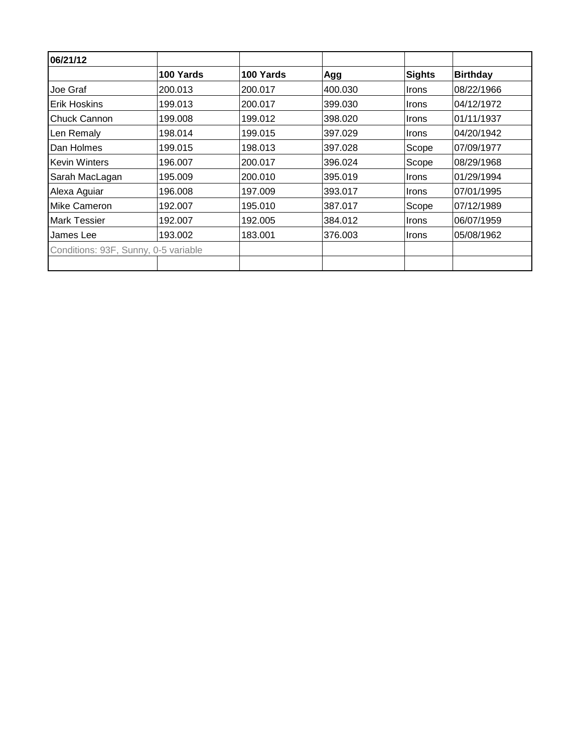| 100 Yards<br>200.013                 | 100 Yards | Agg     | Sights       |                 |
|--------------------------------------|-----------|---------|--------------|-----------------|
|                                      |           |         |              | <b>Birthday</b> |
|                                      | 200.017   | 400.030 | <b>Irons</b> | 08/22/1966      |
| 199.013                              | 200.017   | 399.030 | <b>Irons</b> | 04/12/1972      |
| 199.008                              | 199.012   | 398.020 | <b>Irons</b> | 01/11/1937      |
| 198.014                              | 199.015   | 397.029 | <b>Irons</b> | 04/20/1942      |
| 199.015                              | 198.013   | 397.028 | Scope        | 07/09/1977      |
| 196.007                              | 200.017   | 396.024 | Scope        | 08/29/1968      |
| 195.009                              | 200.010   | 395.019 | <b>Irons</b> | 01/29/1994      |
| 196.008                              | 197.009   | 393.017 | <b>Irons</b> | 07/01/1995      |
| 192.007                              | 195.010   | 387.017 | Scope        | 07/12/1989      |
| 192.007                              | 192.005   | 384.012 | <b>Irons</b> | 06/07/1959      |
| 193.002                              | 183.001   | 376,003 | Irons        | 05/08/1962      |
| Conditions: 93F, Sunny, 0-5 variable |           |         |              |                 |
|                                      |           |         |              |                 |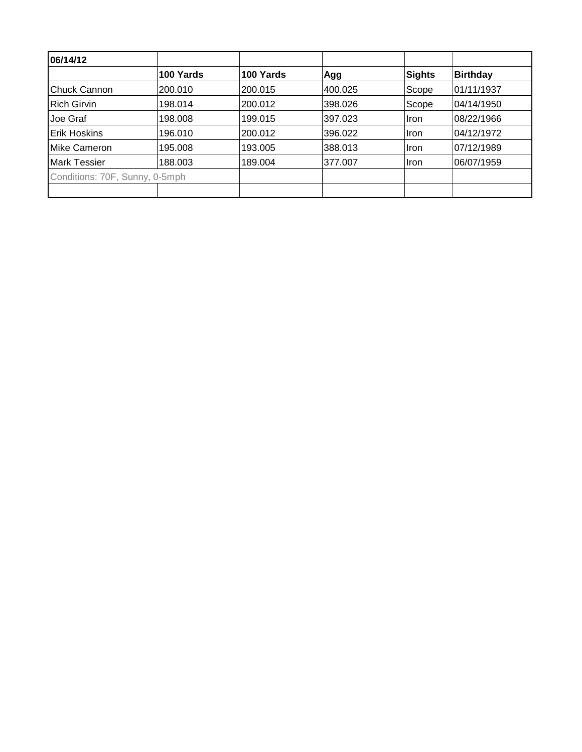| 06/14/12                       |           |           |         |        |                 |
|--------------------------------|-----------|-----------|---------|--------|-----------------|
|                                | 100 Yards | 100 Yards | Agg     | Sights | <b>Birthday</b> |
| <b>IChuck Cannon</b>           | 200.010   | 200.015   | 400.025 | Scope  | 01/11/1937      |
| <b>Rich Girvin</b>             | 198.014   | 200.012   | 398.026 | Scope  | 04/14/1950      |
| Joe Graf                       | 198.008   | 199.015   | 397.023 | llron  | 08/22/1966      |
| <b>Erik Hoskins</b>            | 196.010   | 200.012   | 396.022 | llron  | 04/12/1972      |
| IMike Cameron                  | 195.008   | 193.005   | 388.013 | llron  | 07/12/1989      |
| <b>Mark Tessier</b>            | 188.003   | 189.004   | 377.007 | llron  | 06/07/1959      |
| Conditions: 70F, Sunny, 0-5mph |           |           |         |        |                 |
|                                |           |           |         |        |                 |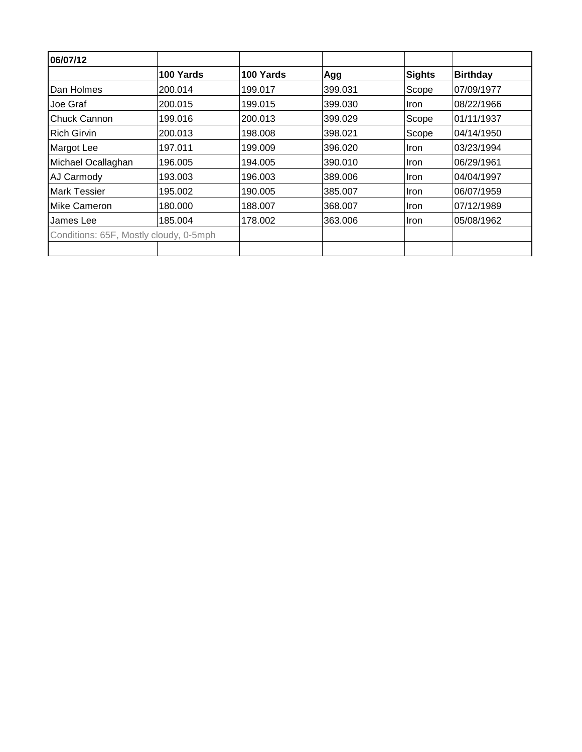| 100 Yards                              | 100 Yards | Agg     | Sights      | <b>Birthday</b> |
|----------------------------------------|-----------|---------|-------------|-----------------|
| 200.014                                | 199.017   | 399.031 | Scope       | 07/09/1977      |
| 200.015                                | 199.015   | 399.030 | Iron        | 08/22/1966      |
| 199.016                                | 200.013   | 399.029 | Scope       | 01/11/1937      |
| 200.013                                | 198.008   | 398.021 | Scope       | 04/14/1950      |
| 197.011                                | 199.009   | 396.020 | Iron        | 03/23/1994      |
| 196.005                                | 194.005   | 390.010 | <b>Iron</b> | 06/29/1961      |
| 193.003                                | 196.003   | 389,006 | <b>Iron</b> | 04/04/1997      |
| 195.002                                | 190.005   | 385,007 | Iron        | 06/07/1959      |
| 180.000                                | 188.007   | 368.007 | <b>Iron</b> | 07/12/1989      |
| 185.004                                | 178.002   | 363,006 | Iron        | 05/08/1962      |
| Conditions: 65F, Mostly cloudy, 0-5mph |           |         |             |                 |
|                                        |           |         |             |                 |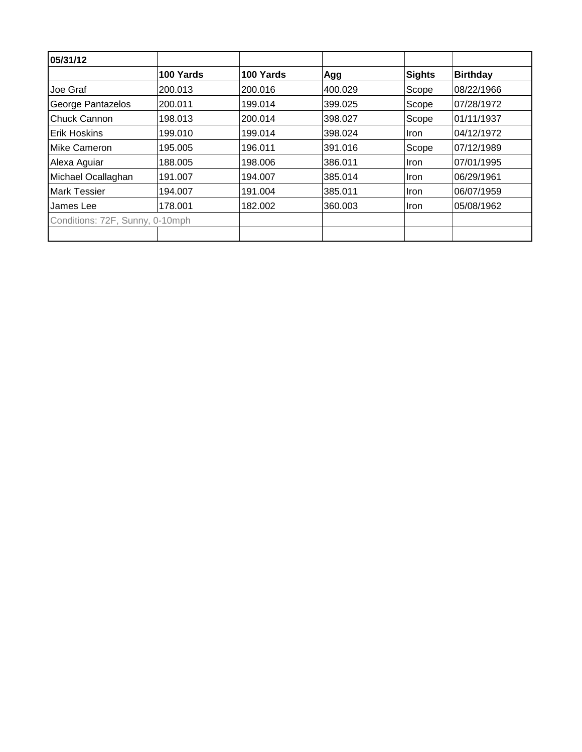| 05/31/12                        |           |           |         |             |                 |
|---------------------------------|-----------|-----------|---------|-------------|-----------------|
|                                 | 100 Yards | 100 Yards | Agg     | Sights      | <b>Birthday</b> |
| Joe Graf                        | 200.013   | 200.016   | 400.029 | Scope       | 08/22/1966      |
| George Pantazelos               | 200.011   | 199.014   | 399.025 | Scope       | 07/28/1972      |
| Chuck Cannon                    | 198.013   | 200.014   | 398.027 | Scope       | 01/11/1937      |
| <b>Erik Hoskins</b>             | 199.010   | 199.014   | 398.024 | Iron        | 04/12/1972      |
| Mike Cameron                    | 195.005   | 196.011   | 391.016 | Scope       | 07/12/1989      |
| Alexa Aguiar                    | 188.005   | 198.006   | 386.011 | <b>Iron</b> | 07/01/1995      |
| Michael Ocallaghan              | 191.007   | 194.007   | 385.014 | <b>Iron</b> | 06/29/1961      |
| <b>Mark Tessier</b>             | 194.007   | 191.004   | 385.011 | <b>Iron</b> | 06/07/1959      |
| James Lee                       | 178.001   | 182.002   | 360.003 | Iron        | 05/08/1962      |
| Conditions: 72F, Sunny, 0-10mph |           |           |         |             |                 |
|                                 |           |           |         |             |                 |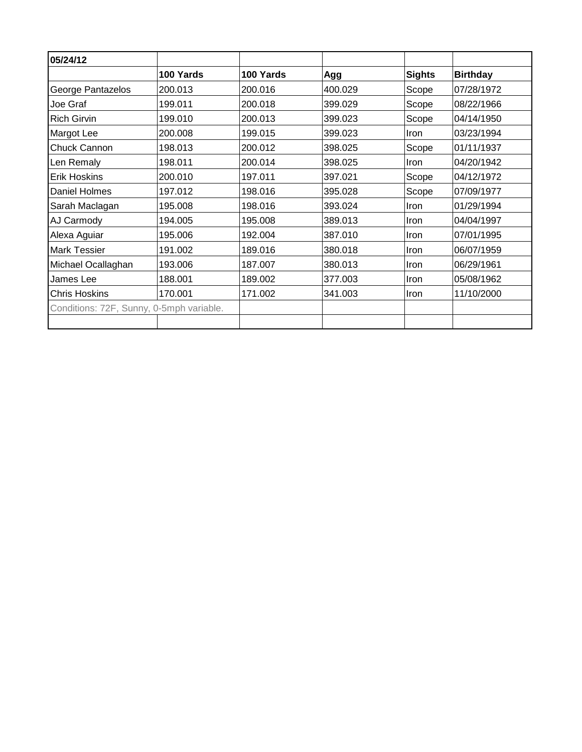| 05/24/12                                 |           |           |         |               |                 |
|------------------------------------------|-----------|-----------|---------|---------------|-----------------|
|                                          | 100 Yards | 100 Yards | Agg     | <b>Sights</b> | <b>Birthday</b> |
| George Pantazelos                        | 200.013   | 200.016   | 400.029 | Scope         | 07/28/1972      |
| Joe Graf                                 | 199.011   | 200.018   | 399.029 | Scope         | 08/22/1966      |
| <b>Rich Girvin</b>                       | 199.010   | 200.013   | 399.023 | Scope         | 04/14/1950      |
| <b>Margot Lee</b>                        | 200.008   | 199.015   | 399.023 | Iron          | 03/23/1994      |
| Chuck Cannon                             | 198.013   | 200.012   | 398.025 | Scope         | 01/11/1937      |
| Len Remaly                               | 198.011   | 200.014   | 398.025 | Iron          | 04/20/1942      |
| <b>Erik Hoskins</b>                      | 200.010   | 197.011   | 397.021 | Scope         | 04/12/1972      |
| Daniel Holmes                            | 197.012   | 198.016   | 395.028 | Scope         | 07/09/1977      |
| Sarah Maclagan                           | 195.008   | 198.016   | 393.024 | Iron          | 01/29/1994      |
| AJ Carmody                               | 194.005   | 195.008   | 389.013 | Iron          | 04/04/1997      |
| Alexa Aguiar                             | 195.006   | 192.004   | 387.010 | Iron          | 07/01/1995      |
| <b>Mark Tessier</b>                      | 191.002   | 189.016   | 380.018 | Iron          | 06/07/1959      |
| Michael Ocallaghan                       | 193.006   | 187.007   | 380.013 | Iron          | 06/29/1961      |
| James Lee                                | 188.001   | 189.002   | 377.003 | Iron          | 05/08/1962      |
| <b>Chris Hoskins</b>                     | 170.001   | 171.002   | 341.003 | Iron          | 11/10/2000      |
| Conditions: 72F, Sunny, 0-5mph variable. |           |           |         |               |                 |
|                                          |           |           |         |               |                 |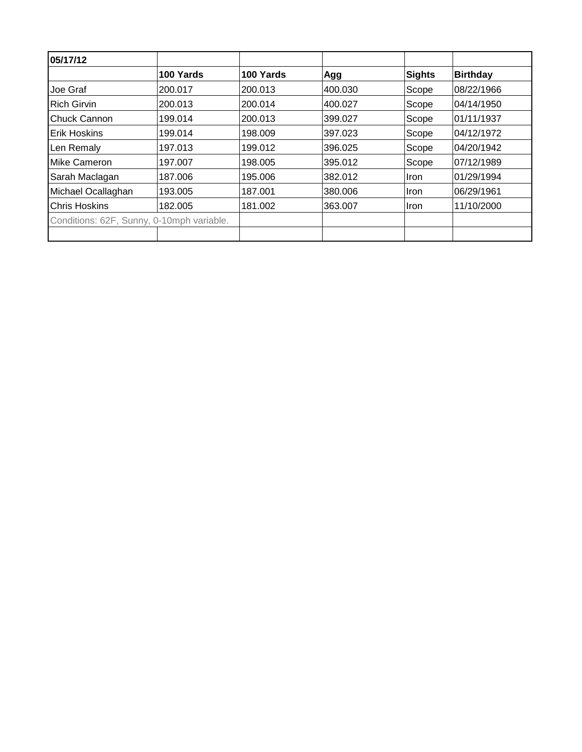| 100 Yards<br>200.017<br>200.013<br>199.014<br>199.014 | 100 Yards<br>200.013<br>200.014<br>200.013<br>198.009 | Agg<br>400.030<br>400.027<br>399.027<br>397.023 | Sights<br>Scope<br>Scope<br>Scope<br>Scope | <b>Birthday</b><br>08/22/1966<br>04/14/1950<br>01/11/1937 |
|-------------------------------------------------------|-------------------------------------------------------|-------------------------------------------------|--------------------------------------------|-----------------------------------------------------------|
|                                                       |                                                       |                                                 |                                            |                                                           |
|                                                       |                                                       |                                                 |                                            |                                                           |
|                                                       |                                                       |                                                 |                                            |                                                           |
|                                                       |                                                       |                                                 |                                            |                                                           |
|                                                       |                                                       |                                                 |                                            | 04/12/1972                                                |
| 197.013                                               | 199.012                                               | 396.025                                         | Scope                                      | 04/20/1942                                                |
| 197.007                                               | 198.005                                               | 395.012                                         | Scope                                      | 07/12/1989                                                |
| 187.006                                               | 195.006                                               | 382.012                                         | <b>Iron</b>                                | 01/29/1994                                                |
| 193.005                                               | 187.001                                               | 380.006                                         | <b>Iron</b>                                | 06/29/1961                                                |
| 182.005                                               | 181.002                                               | 363.007                                         | Iron                                       | 11/10/2000                                                |
| Conditions: 62F, Sunny, 0-10mph variable.             |                                                       |                                                 |                                            |                                                           |
|                                                       |                                                       |                                                 |                                            |                                                           |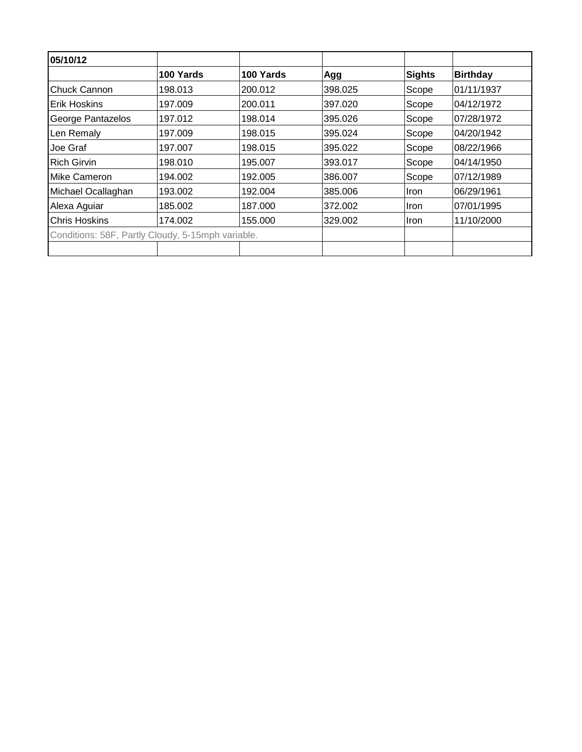| 05/10/12                                          |           |           |         |             |                 |
|---------------------------------------------------|-----------|-----------|---------|-------------|-----------------|
|                                                   | 100 Yards | 100 Yards | Agg     | Sights      | <b>Birthday</b> |
| <b>Chuck Cannon</b>                               | 198.013   | 200.012   | 398.025 | Scope       | 01/11/1937      |
| IErik Hoskins                                     | 197.009   | 200.011   | 397.020 | Scope       | 04/12/1972      |
| George Pantazelos                                 | 197.012   | 198.014   | 395.026 | Scope       | 07/28/1972      |
| Len Remaly                                        | 197.009   | 198.015   | 395.024 | Scope       | 04/20/1942      |
| Joe Graf                                          | 197.007   | 198.015   | 395.022 | Scope       | 08/22/1966      |
| <b>Rich Girvin</b>                                | 198.010   | 195.007   | 393.017 | Scope       | 04/14/1950      |
| <b>IMike Cameron</b>                              | 194.002   | 192.005   | 386,007 | Scope       | 07/12/1989      |
| Michael Ocallaghan                                | 193.002   | 192.004   | 385,006 | <b>Iron</b> | 06/29/1961      |
| Alexa Aguiar                                      | 185.002   | 187.000   | 372.002 | Iron        | 07/01/1995      |
| <b>Chris Hoskins</b>                              | 174.002   | 155.000   | 329.002 | <b>Iron</b> | 11/10/2000      |
| Conditions: 58F, Partly Cloudy, 5-15mph variable. |           |           |         |             |                 |
|                                                   |           |           |         |             |                 |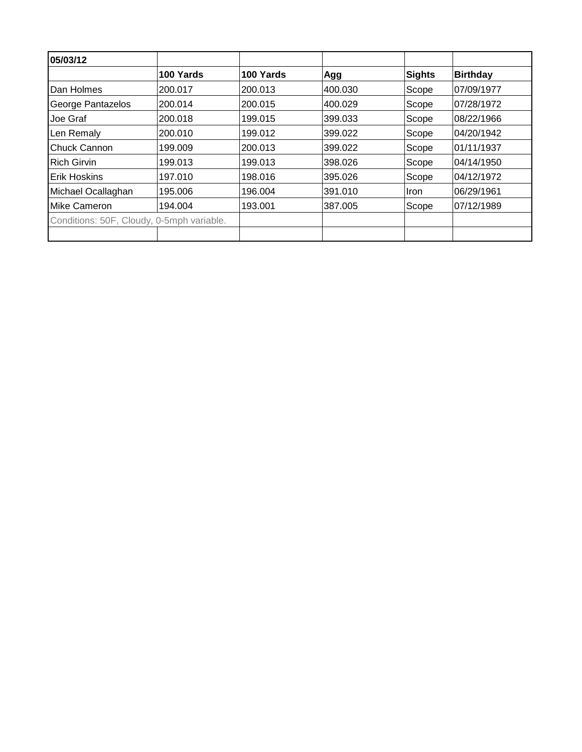| 05/03/12                                  |           |           |         |             |                 |
|-------------------------------------------|-----------|-----------|---------|-------------|-----------------|
|                                           | 100 Yards | 100 Yards | Agg     | Sights      | <b>Birthday</b> |
| Dan Holmes                                | 200.017   | 200.013   | 400.030 | Scope       | 07/09/1977      |
| George Pantazelos                         | 200.014   | 200.015   | 400.029 | Scope       | 07/28/1972      |
| Joe Graf                                  | 200.018   | 199.015   | 399.033 | Scope       | 08/22/1966      |
| Len Remaly                                | 200.010   | 199.012   | 399.022 | Scope       | 04/20/1942      |
| <b>Chuck Cannon</b>                       | 199.009   | 200.013   | 399.022 | Scope       | 01/11/1937      |
| <b>Rich Girvin</b>                        | 199.013   | 199.013   | 398.026 | Scope       | 04/14/1950      |
| <b>Erik Hoskins</b>                       | 197.010   | 198.016   | 395.026 | Scope       | 04/12/1972      |
| Michael Ocallaghan                        | 195.006   | 196.004   | 391.010 | <b>Iron</b> | 06/29/1961      |
| Mike Cameron                              | 194.004   | 193.001   | 387.005 | Scope       | 07/12/1989      |
| Conditions: 50F, Cloudy, 0-5mph variable. |           |           |         |             |                 |
|                                           |           |           |         |             |                 |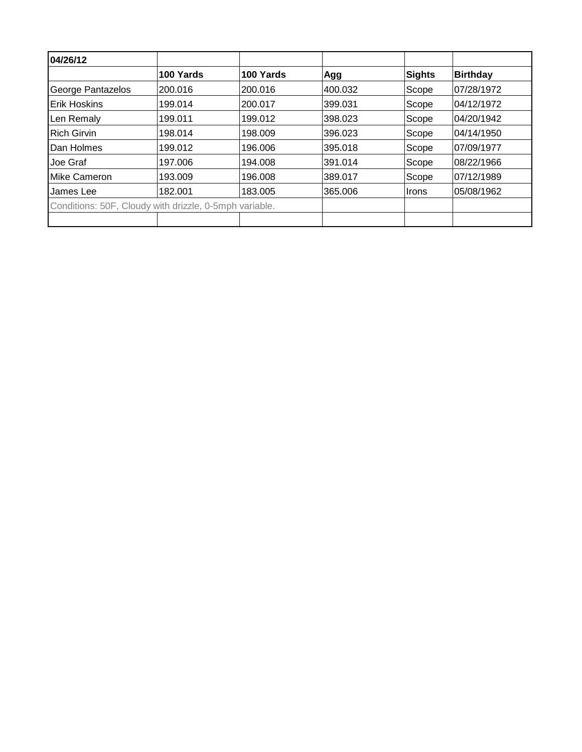| 04/26/12                                               |           |           |         |               |                 |
|--------------------------------------------------------|-----------|-----------|---------|---------------|-----------------|
|                                                        | 100 Yards | 100 Yards | Agg     | <b>Sights</b> | <b>Birthday</b> |
| George Pantazelos                                      | 200.016   | 200.016   | 400.032 | Scope         | 07/28/1972      |
| <b>Erik Hoskins</b>                                    | 199.014   | 200.017   | 399.031 | Scope         | 04/12/1972      |
| Len Remaly                                             | 199.011   | 199.012   | 398.023 | Scope         | 04/20/1942      |
| <b>Rich Girvin</b>                                     | 198.014   | 198.009   | 396.023 | Scope         | 04/14/1950      |
| Dan Holmes                                             | 199.012   | 196.006   | 395.018 | Scope         | 07/09/1977      |
| Joe Graf                                               | 197.006   | 194.008   | 391.014 | Scope         | 08/22/1966      |
| Mike Cameron                                           | 193.009   | 196.008   | 389.017 | Scope         | 07/12/1989      |
| James Lee                                              | 182.001   | 183.005   | 365.006 | <b>Irons</b>  | 05/08/1962      |
| Conditions: 50F, Cloudy with drizzle, 0-5mph variable. |           |           |         |               |                 |
|                                                        |           |           |         |               |                 |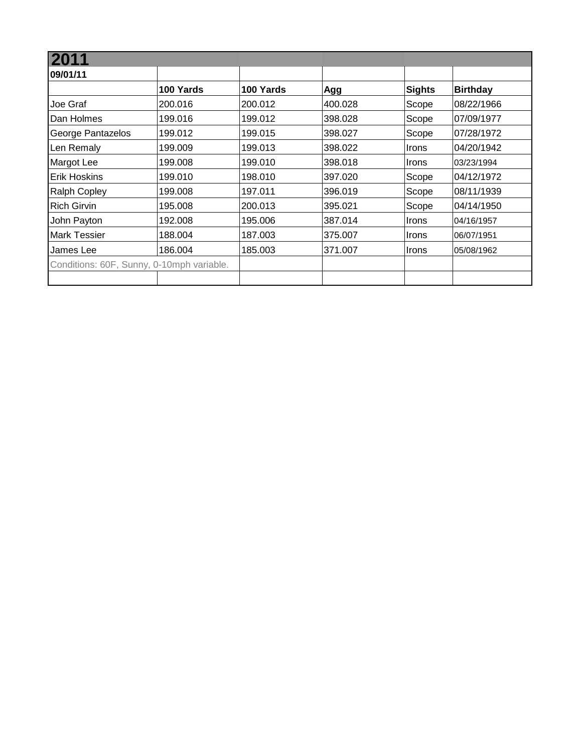| 09/01/11                                  |           |           |         |                            |                 |
|-------------------------------------------|-----------|-----------|---------|----------------------------|-----------------|
|                                           | 100 Yards | 100 Yards | Agg     | <b>Sights</b>              | <b>Birthday</b> |
| Joe Graf                                  | 200.016   | 200.012   | 400.028 | Scope                      | 08/22/1966      |
| Dan Holmes                                | 199.016   | 199.012   | 398.028 | Scope                      | 07/09/1977      |
| George Pantazelos                         | 199.012   | 199.015   | 398.027 | Scope                      | 07/28/1972      |
| Len Remaly                                | 199.009   | 199.013   | 398.022 | <b>Irons</b>               | 04/20/1942      |
| Margot Lee                                | 199.008   | 199.010   | 398.018 | <i><u><b>Irons</b></u></i> | 03/23/1994      |
| <b>Erik Hoskins</b>                       | 199.010   | 198.010   | 397.020 | Scope                      | 04/12/1972      |
| <b>Ralph Copley</b>                       | 199.008   | 197.011   | 396.019 | Scope                      | 08/11/1939      |
| <b>Rich Girvin</b>                        | 195.008   | 200.013   | 395.021 | Scope                      | 04/14/1950      |
| John Payton                               | 192.008   | 195.006   | 387.014 | Irons                      | 04/16/1957      |
| <b>Mark Tessier</b>                       | 188.004   | 187.003   | 375.007 | <b>Irons</b>               | 06/07/1951      |
| James Lee                                 | 186.004   | 185.003   | 371.007 | Irons                      | 05/08/1962      |
| Conditions: 60F, Sunny, 0-10mph variable. |           |           |         |                            |                 |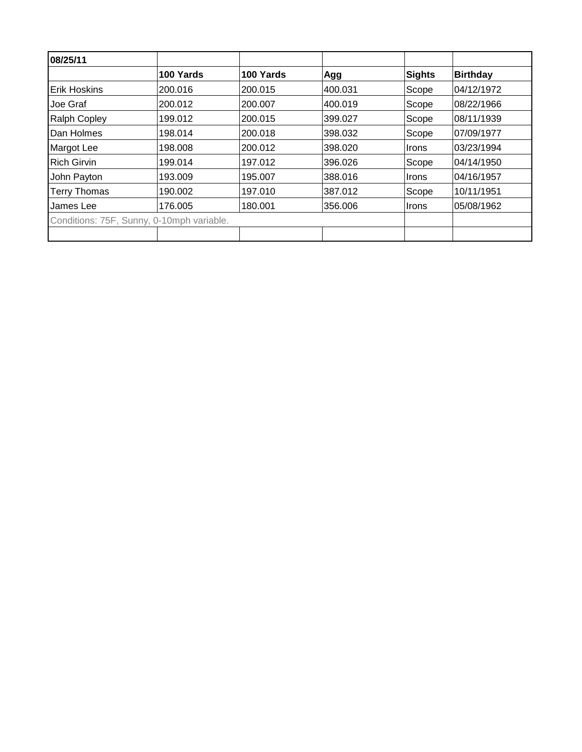| 08/25/11            |                                           |           |         |               |                 |
|---------------------|-------------------------------------------|-----------|---------|---------------|-----------------|
|                     | 100 Yards                                 | 100 Yards | Agg     | <b>Sights</b> | <b>Birthday</b> |
| <b>Erik Hoskins</b> | 200.016                                   | 200.015   | 400.031 | Scope         | 04/12/1972      |
| Joe Graf            | 200.012                                   | 200.007   | 400.019 | Scope         | 08/22/1966      |
| <b>Ralph Copley</b> | 199.012                                   | 200.015   | 399.027 | Scope         | 08/11/1939      |
| Dan Holmes          | 198.014                                   | 200.018   | 398.032 | Scope         | 07/09/1977      |
| Margot Lee          | 198.008                                   | 200.012   | 398.020 | <b>Irons</b>  | 03/23/1994      |
| <b>Rich Girvin</b>  | 199.014                                   | 197.012   | 396.026 | Scope         | 04/14/1950      |
| John Payton         | 193.009                                   | 195.007   | 388.016 | Irons         | 04/16/1957      |
| <b>Terry Thomas</b> | 190.002                                   | 197.010   | 387.012 | Scope         | 10/11/1951      |
| James Lee           | 176.005                                   | 180.001   | 356.006 | Irons         | 05/08/1962      |
|                     | Conditions: 75F, Sunny, 0-10mph variable. |           |         |               |                 |
|                     |                                           |           |         |               |                 |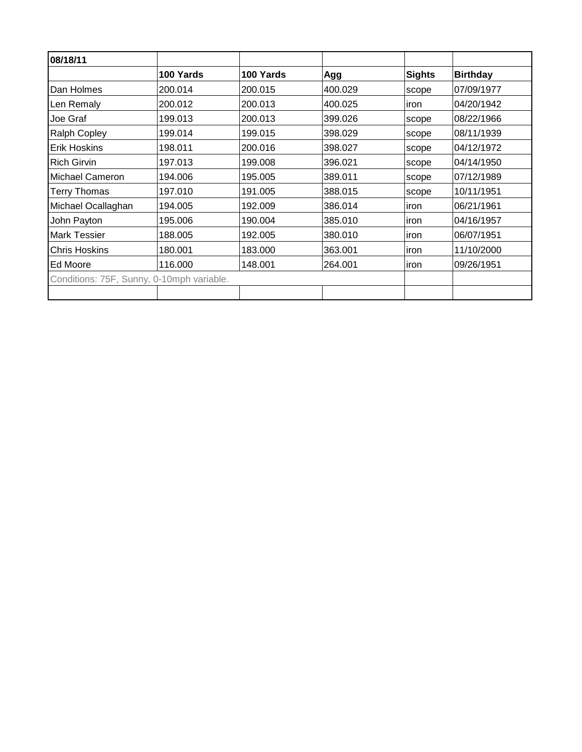| 08/18/11                                  |           |           |         |               |                 |
|-------------------------------------------|-----------|-----------|---------|---------------|-----------------|
|                                           | 100 Yards | 100 Yards | Agg     | <b>Sights</b> | <b>Birthday</b> |
| Dan Holmes                                | 200.014   | 200.015   | 400.029 | scope         | 07/09/1977      |
| Len Remaly                                | 200.012   | 200.013   | 400.025 | iron          | 04/20/1942      |
| Joe Graf                                  | 199.013   | 200.013   | 399.026 | scope         | 08/22/1966      |
| <b>Ralph Copley</b>                       | 199.014   | 199.015   | 398.029 | scope         | 08/11/1939      |
| Erik Hoskins                              | 198.011   | 200.016   | 398.027 | scope         | 04/12/1972      |
| <b>Rich Girvin</b>                        | 197.013   | 199.008   | 396.021 | scope         | 04/14/1950      |
| Michael Cameron                           | 194.006   | 195.005   | 389.011 | scope         | 07/12/1989      |
| <b>Terry Thomas</b>                       | 197.010   | 191.005   | 388.015 | scope         | 10/11/1951      |
| Michael Ocallaghan                        | 194.005   | 192.009   | 386.014 | iron          | 06/21/1961      |
| John Payton                               | 195.006   | 190.004   | 385.010 | iron          | 04/16/1957      |
| <b>Mark Tessier</b>                       | 188.005   | 192.005   | 380.010 | iron          | 06/07/1951      |
| <b>Chris Hoskins</b>                      | 180.001   | 183.000   | 363.001 | iron          | 11/10/2000      |
| Ed Moore                                  | 116.000   | 148.001   | 264.001 | iron          | 09/26/1951      |
| Conditions: 75F, Sunny, 0-10mph variable. |           |           |         |               |                 |
|                                           |           |           |         |               |                 |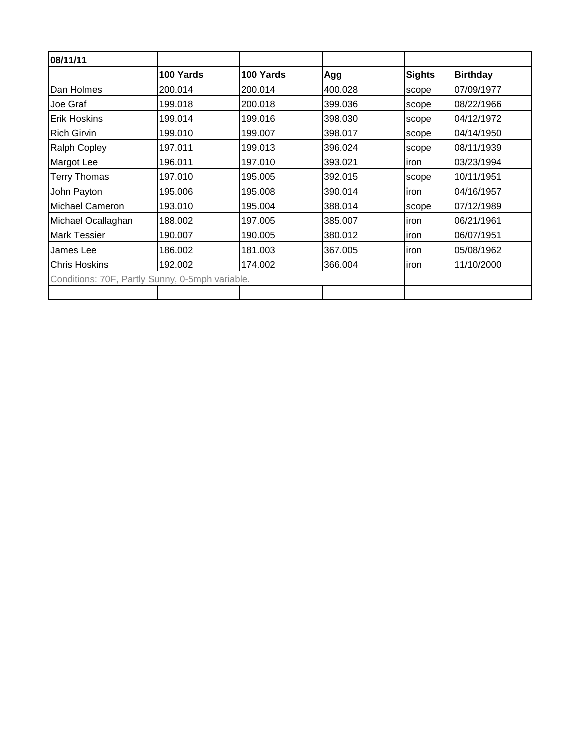| 08/11/11                                        |           |           |         |               |                 |
|-------------------------------------------------|-----------|-----------|---------|---------------|-----------------|
|                                                 | 100 Yards | 100 Yards | Agg     | <b>Sights</b> | <b>Birthday</b> |
| Dan Holmes                                      | 200.014   | 200.014   | 400.028 | scope         | 07/09/1977      |
| Joe Graf                                        | 199.018   | 200.018   | 399.036 | scope         | 08/22/1966      |
| <b>Erik Hoskins</b>                             | 199.014   | 199.016   | 398.030 | scope         | 04/12/1972      |
| <b>Rich Girvin</b>                              | 199.010   | 199.007   | 398.017 | scope         | 04/14/1950      |
| <b>Ralph Copley</b>                             | 197.011   | 199.013   | 396.024 | scope         | 08/11/1939      |
| Margot Lee                                      | 196.011   | 197.010   | 393.021 | <i>iron</i>   | 03/23/1994      |
| <b>Terry Thomas</b>                             | 197.010   | 195.005   | 392.015 | scope         | 10/11/1951      |
| John Payton                                     | 195.006   | 195.008   | 390.014 | iron          | 04/16/1957      |
| Michael Cameron                                 | 193.010   | 195.004   | 388.014 | scope         | 07/12/1989      |
| Michael Ocallaghan                              | 188.002   | 197.005   | 385.007 | <i>iron</i>   | 06/21/1961      |
| <b>Mark Tessier</b>                             | 190.007   | 190.005   | 380.012 | iron          | 06/07/1951      |
| James Lee                                       | 186.002   | 181.003   | 367.005 | iron          | 05/08/1962      |
| <b>Chris Hoskins</b>                            | 192.002   | 174.002   | 366.004 | iron          | 11/10/2000      |
| Conditions: 70F, Partly Sunny, 0-5mph variable. |           |           |         |               |                 |
|                                                 |           |           |         |               |                 |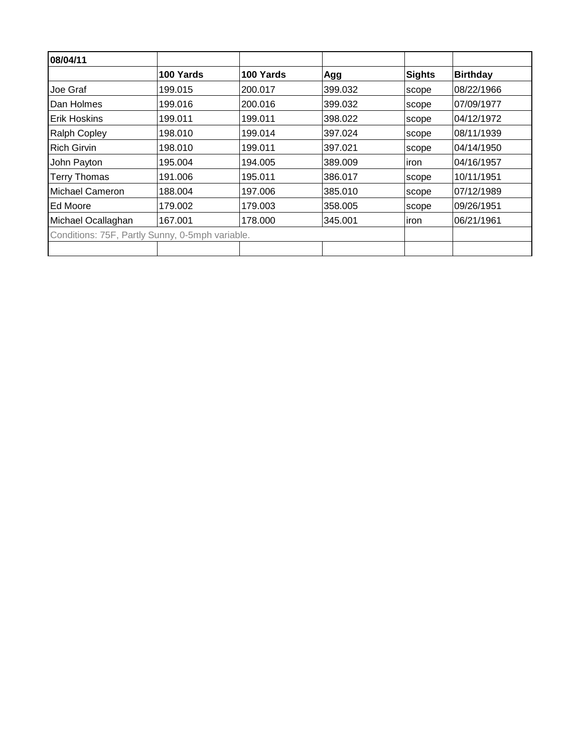| 08/04/11                                        |           |           |         |        |                 |
|-------------------------------------------------|-----------|-----------|---------|--------|-----------------|
|                                                 | 100 Yards | 100 Yards | Agg     | Sights | <b>Birthday</b> |
| Joe Graf                                        | 199.015   | 200.017   | 399.032 | scope  | 08/22/1966      |
| Dan Holmes                                      | 199.016   | 200.016   | 399.032 | scope  | 107/09/1977     |
| Erik Hoskins                                    | 199.011   | 199.011   | 398.022 | scope  | 04/12/1972      |
| <b>Ralph Copley</b>                             | 198.010   | 199.014   | 397.024 | scope  | 08/11/1939      |
| <b>Rich Girvin</b>                              | 198.010   | 199.011   | 397.021 | scope  | 04/14/1950      |
| John Payton                                     | 195.004   | 194.005   | 389.009 | iron   | 04/16/1957      |
| <b>Terry Thomas</b>                             | 191.006   | 195.011   | 386.017 | scope  | 10/11/1951      |
| Michael Cameron                                 | 188.004   | 197.006   | 385.010 | scope  | 07/12/1989      |
| Ed Moore                                        | 179.002   | 179.003   | 358.005 | scope  | 09/26/1951      |
| Michael Ocallaghan                              | 167.001   | 178,000   | 345.001 | iron   | 06/21/1961      |
| Conditions: 75F, Partly Sunny, 0-5mph variable. |           |           |         |        |                 |
|                                                 |           |           |         |        |                 |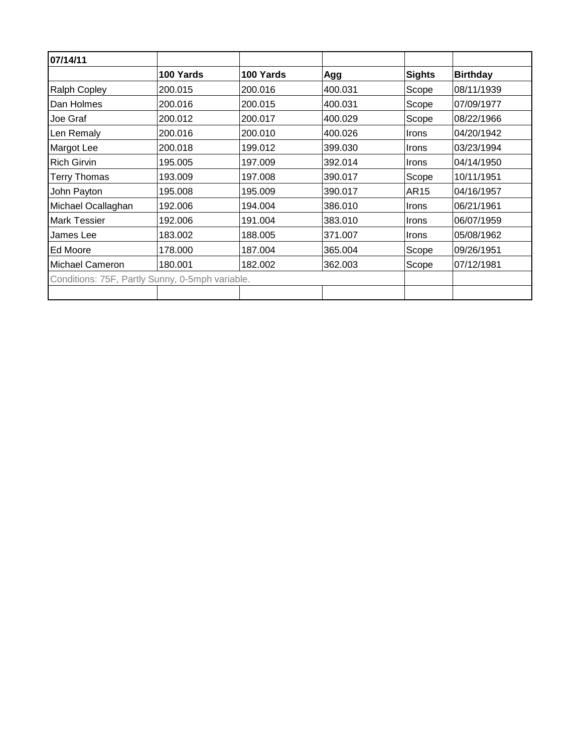| 07/14/11                                        |           |           |         |               |                 |
|-------------------------------------------------|-----------|-----------|---------|---------------|-----------------|
|                                                 | 100 Yards | 100 Yards | Agg     | <b>Sights</b> | <b>Birthday</b> |
| <b>Ralph Copley</b>                             | 200.015   | 200.016   | 400.031 | Scope         | 08/11/1939      |
| Dan Holmes                                      | 200.016   | 200.015   | 400.031 | Scope         | 07/09/1977      |
| Joe Graf                                        | 200.012   | 200.017   | 400.029 | Scope         | 08/22/1966      |
| Len Remaly                                      | 200.016   | 200.010   | 400.026 | <b>Irons</b>  | 04/20/1942      |
| Margot Lee                                      | 200.018   | 199.012   | 399.030 | <b>Irons</b>  | 03/23/1994      |
| <b>Rich Girvin</b>                              | 195.005   | 197.009   | 392.014 | Irons         | 04/14/1950      |
| <b>Terry Thomas</b>                             | 193.009   | 197.008   | 390.017 | Scope         | 10/11/1951      |
| John Payton                                     | 195.008   | 195.009   | 390.017 | AR15          | 04/16/1957      |
| Michael Ocallaghan                              | 192.006   | 194.004   | 386.010 | <b>Irons</b>  | 06/21/1961      |
| <b>Mark Tessier</b>                             | 192.006   | 191.004   | 383.010 | <b>Irons</b>  | 06/07/1959      |
| James Lee                                       | 183.002   | 188.005   | 371.007 | <b>Irons</b>  | 05/08/1962      |
| Ed Moore                                        | 178.000   | 187.004   | 365.004 | Scope         | 09/26/1951      |
| Michael Cameron                                 | 180.001   | 182.002   | 362.003 | Scope         | 07/12/1981      |
| Conditions: 75F, Partly Sunny, 0-5mph variable. |           |           |         |               |                 |
|                                                 |           |           |         |               |                 |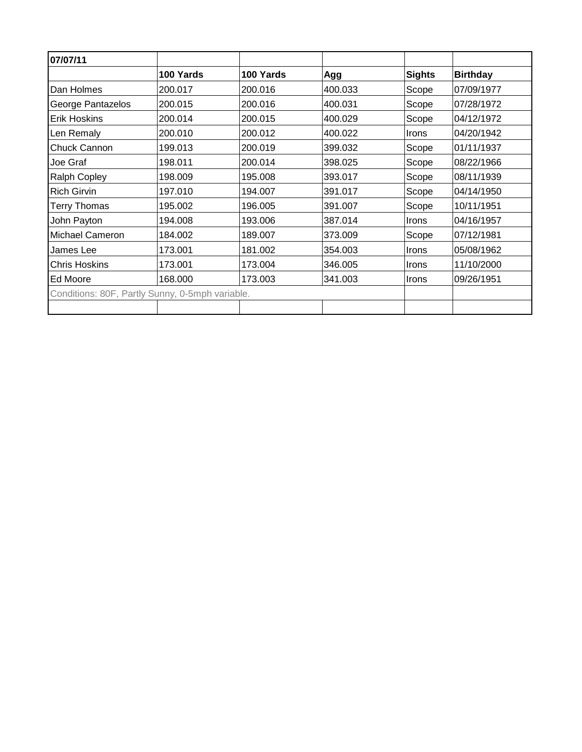| 07/07/11                                        |           |           |         |               |                 |
|-------------------------------------------------|-----------|-----------|---------|---------------|-----------------|
|                                                 | 100 Yards | 100 Yards | Agg     | <b>Sights</b> | <b>Birthday</b> |
| Dan Holmes                                      | 200.017   | 200.016   | 400.033 | Scope         | 07/09/1977      |
| George Pantazelos                               | 200.015   | 200.016   | 400.031 | Scope         | 07/28/1972      |
| <b>Erik Hoskins</b>                             | 200.014   | 200.015   | 400.029 | Scope         | 04/12/1972      |
| Len Remaly                                      | 200.010   | 200.012   | 400.022 | Irons         | 04/20/1942      |
| Chuck Cannon                                    | 199.013   | 200.019   | 399.032 | Scope         | 01/11/1937      |
| Joe Graf                                        | 198.011   | 200.014   | 398.025 | Scope         | 08/22/1966      |
| <b>Ralph Copley</b>                             | 198.009   | 195.008   | 393.017 | Scope         | 08/11/1939      |
| <b>Rich Girvin</b>                              | 197.010   | 194.007   | 391.017 | Scope         | 04/14/1950      |
| <b>Terry Thomas</b>                             | 195.002   | 196.005   | 391.007 | Scope         | 10/11/1951      |
| John Payton                                     | 194.008   | 193.006   | 387.014 | <b>Irons</b>  | 04/16/1957      |
| <b>Michael Cameron</b>                          | 184.002   | 189.007   | 373.009 | Scope         | 07/12/1981      |
| James Lee                                       | 173.001   | 181.002   | 354.003 | Irons         | 05/08/1962      |
| <b>Chris Hoskins</b>                            | 173.001   | 173.004   | 346.005 | Irons         | 11/10/2000      |
| Ed Moore                                        | 168.000   | 173.003   | 341.003 | Irons         | 09/26/1951      |
| Conditions: 80F, Partly Sunny, 0-5mph variable. |           |           |         |               |                 |
|                                                 |           |           |         |               |                 |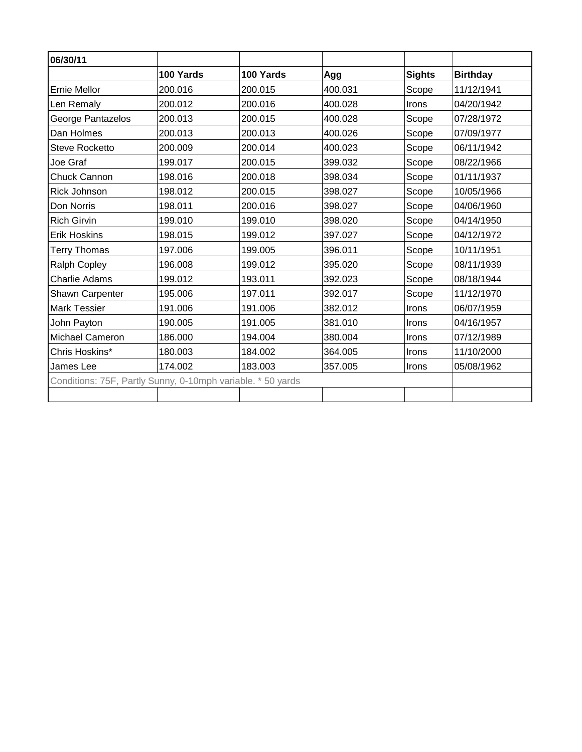| 06/30/11                                                    |           |           |         |               |                 |
|-------------------------------------------------------------|-----------|-----------|---------|---------------|-----------------|
|                                                             | 100 Yards | 100 Yards | Agg     | <b>Sights</b> | <b>Birthday</b> |
| <b>Ernie Mellor</b>                                         | 200.016   | 200.015   | 400.031 | Scope         | 11/12/1941      |
| Len Remaly                                                  | 200.012   | 200.016   | 400.028 | Irons         | 04/20/1942      |
| George Pantazelos                                           | 200.013   | 200.015   | 400.028 | Scope         | 07/28/1972      |
| Dan Holmes                                                  | 200.013   | 200.013   | 400.026 | Scope         | 07/09/1977      |
| <b>Steve Rocketto</b>                                       | 200.009   | 200.014   | 400.023 | Scope         | 06/11/1942      |
| Joe Graf                                                    | 199.017   | 200.015   | 399.032 | Scope         | 08/22/1966      |
| Chuck Cannon                                                | 198.016   | 200.018   | 398.034 | Scope         | 01/11/1937      |
| <b>Rick Johnson</b>                                         | 198.012   | 200.015   | 398.027 | Scope         | 10/05/1966      |
| Don Norris                                                  | 198.011   | 200.016   | 398.027 | Scope         | 04/06/1960      |
| <b>Rich Girvin</b>                                          | 199.010   | 199.010   | 398.020 | Scope         | 04/14/1950      |
| <b>Erik Hoskins</b>                                         | 198.015   | 199.012   | 397.027 | Scope         | 04/12/1972      |
| <b>Terry Thomas</b>                                         | 197.006   | 199.005   | 396.011 | Scope         | 10/11/1951      |
| Ralph Copley                                                | 196.008   | 199.012   | 395.020 | Scope         | 08/11/1939      |
| <b>Charlie Adams</b>                                        | 199.012   | 193.011   | 392.023 | Scope         | 08/18/1944      |
| <b>Shawn Carpenter</b>                                      | 195.006   | 197.011   | 392.017 | Scope         | 11/12/1970      |
| <b>Mark Tessier</b>                                         | 191.006   | 191.006   | 382.012 | Irons         | 06/07/1959      |
| John Payton                                                 | 190.005   | 191.005   | 381.010 | Irons         | 04/16/1957      |
| Michael Cameron                                             | 186.000   | 194.004   | 380.004 | Irons         | 07/12/1989      |
| Chris Hoskins*                                              | 180.003   | 184.002   | 364.005 | Irons         | 11/10/2000      |
| James Lee                                                   | 174.002   | 183.003   | 357.005 | <b>Irons</b>  | 05/08/1962      |
| Conditions: 75F, Partly Sunny, 0-10mph variable. * 50 yards |           |           |         |               |                 |
|                                                             |           |           |         |               |                 |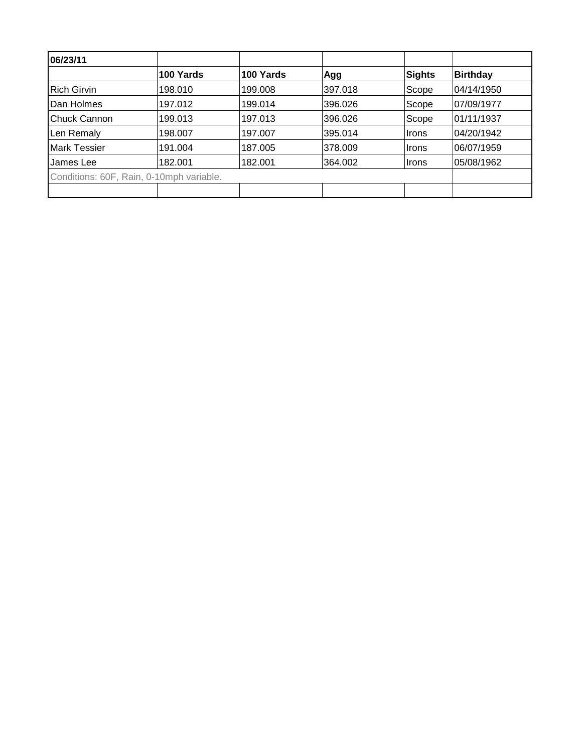| 06/23/11                                 |           |           |         |        |                 |
|------------------------------------------|-----------|-----------|---------|--------|-----------------|
|                                          | 100 Yards | 100 Yards | Agg     | Sights | <b>Birthday</b> |
| <b>Rich Girvin</b>                       | 198.010   | 199.008   | 397.018 | Scope  | 04/14/1950      |
| Dan Holmes                               | 197.012   | 199.014   | 396.026 | Scope  | 07/09/1977      |
| Chuck Cannon                             | 199.013   | 197.013   | 396.026 | Scope  | 01/11/1937      |
| Len Remaly                               | 198.007   | 197.007   | 395.014 | Irons  | 04/20/1942      |
| <b>Mark Tessier</b>                      | 191.004   | 187.005   | 378,009 | ∣Irons | 06/07/1959      |
| James Lee                                | 182.001   | 182.001   | 364.002 | ∣Irons | 05/08/1962      |
| Conditions: 60F, Rain, 0-10mph variable. |           |           |         |        |                 |
|                                          |           |           |         |        |                 |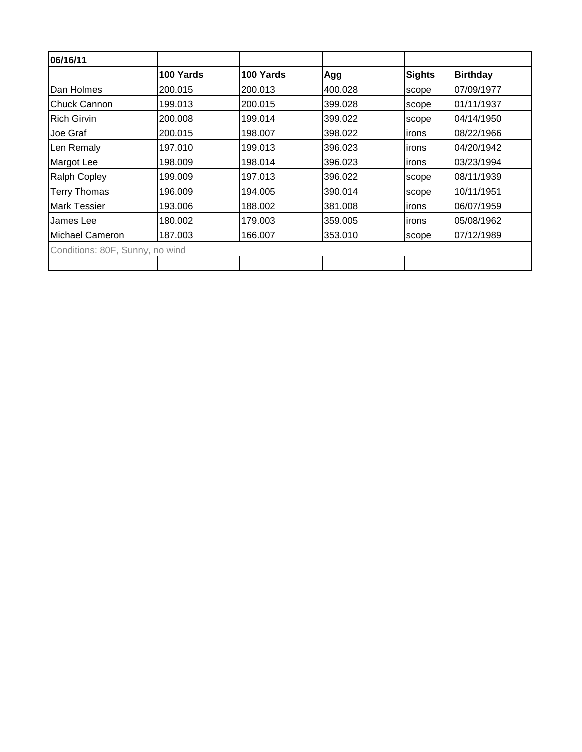| 06/16/11                        |           |           |         |               |                 |
|---------------------------------|-----------|-----------|---------|---------------|-----------------|
|                                 | 100 Yards | 100 Yards | Agg     | <b>Sights</b> | <b>Birthday</b> |
| Dan Holmes                      | 200.015   | 200.013   | 400.028 | scope         | 07/09/1977      |
| Chuck Cannon                    | 199.013   | 200.015   | 399.028 | scope         | 01/11/1937      |
| <b>Rich Girvin</b>              | 200.008   | 199.014   | 399.022 | scope         | 04/14/1950      |
| Joe Graf                        | 200.015   | 198.007   | 398.022 | irons         | 08/22/1966      |
| Len Remaly                      | 197.010   | 199.013   | 396.023 | irons         | 04/20/1942      |
| Margot Lee                      | 198.009   | 198.014   | 396.023 | irons         | 03/23/1994      |
| <b>Ralph Copley</b>             | 199.009   | 197.013   | 396.022 | scope         | 08/11/1939      |
| <b>Terry Thomas</b>             | 196.009   | 194.005   | 390.014 | scope         | 10/11/1951      |
| <b>Mark Tessier</b>             | 193.006   | 188.002   | 381.008 | irons         | 06/07/1959      |
| James Lee                       | 180.002   | 179.003   | 359.005 | irons         | 05/08/1962      |
| Michael Cameron                 | 187.003   | 166.007   | 353.010 | scope         | 07/12/1989      |
| Conditions: 80F, Sunny, no wind |           |           |         |               |                 |
|                                 |           |           |         |               |                 |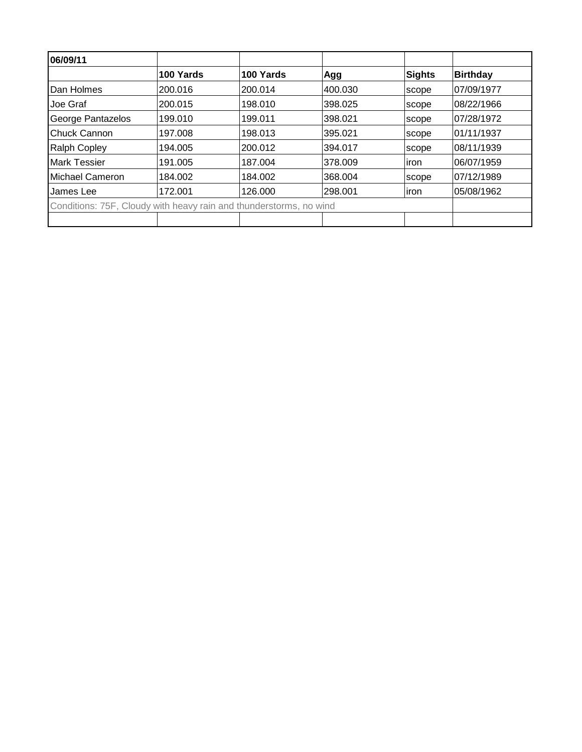| 06/09/11                                                           |           |           |         |        |                 |
|--------------------------------------------------------------------|-----------|-----------|---------|--------|-----------------|
|                                                                    | 100 Yards | 100 Yards | Agg     | Sights | <b>Birthday</b> |
| Dan Holmes                                                         | 200.016   | 200.014   | 400.030 | scope  | 07/09/1977      |
| Joe Graf                                                           | 200.015   | 198.010   | 398.025 | scope  | 08/22/1966      |
| George Pantazelos                                                  | 199.010   | 199.011   | 398.021 | scope  | 07/28/1972      |
| Chuck Cannon                                                       | 197.008   | 198.013   | 395.021 | scope  | 01/11/1937      |
| <b>Ralph Copley</b>                                                | 194.005   | 200.012   | 394.017 | scope  | 08/11/1939      |
| <b>Mark Tessier</b>                                                | 191.005   | 187.004   | 378.009 | liron  | 06/07/1959      |
| Michael Cameron                                                    | 184.002   | 184.002   | 368,004 | scope  | 07/12/1989      |
| James Lee                                                          | 172.001   | 126.000   | 298.001 | liron  | 05/08/1962      |
| Conditions: 75F, Cloudy with heavy rain and thunderstorms, no wind |           |           |         |        |                 |
|                                                                    |           |           |         |        |                 |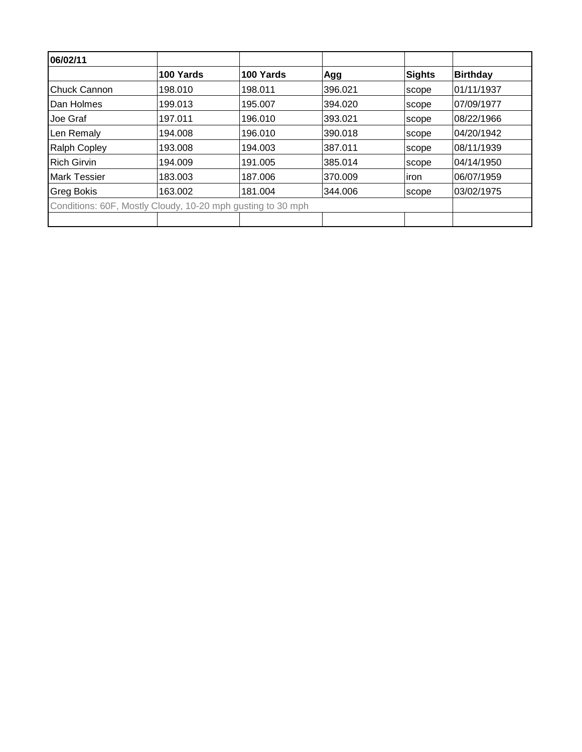| 06/02/11            |                                                             |           |         |        |            |
|---------------------|-------------------------------------------------------------|-----------|---------|--------|------------|
|                     | 100 Yards                                                   | 100 Yards | Agg     | Sights | Birthday   |
| <b>Chuck Cannon</b> | 198.010                                                     | 198.011   | 396.021 | scope  | 01/11/1937 |
| Dan Holmes          | 199.013                                                     | 195.007   | 394.020 | scope  | 07/09/1977 |
| Joe Graf            | 197.011                                                     | 196.010   | 393.021 | scope  | 08/22/1966 |
| Len Remaly          | 194.008                                                     | 196.010   | 390.018 | scope  | 04/20/1942 |
| <b>Ralph Copley</b> | 193.008                                                     | 194.003   | 387.011 | scope  | 08/11/1939 |
| <b>Rich Girvin</b>  | 194.009                                                     | 191.005   | 385.014 | scope  | 04/14/1950 |
| <b>Mark Tessier</b> | 183.003                                                     | 187.006   | 370.009 | iron   | 06/07/1959 |
| <b>Greg Bokis</b>   | 163.002                                                     | 181.004   | 344.006 | scope  | 03/02/1975 |
|                     | Conditions: 60F, Mostly Cloudy, 10-20 mph gusting to 30 mph |           |         |        |            |
|                     |                                                             |           |         |        |            |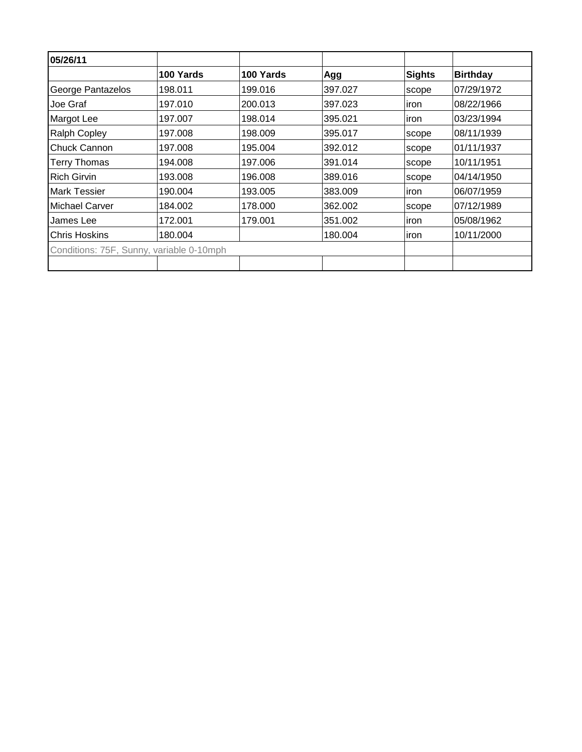| 05/26/11                                 |           |           |         |               |                 |
|------------------------------------------|-----------|-----------|---------|---------------|-----------------|
|                                          | 100 Yards | 100 Yards | Agg     | <b>Sights</b> | <b>Birthday</b> |
| George Pantazelos                        | 198.011   | 199.016   | 397.027 | scope         | 07/29/1972      |
| Joe Graf                                 | 197.010   | 200.013   | 397.023 | iron          | 08/22/1966      |
| Margot Lee                               | 197.007   | 198.014   | 395.021 | iron          | 03/23/1994      |
| <b>Ralph Copley</b>                      | 197.008   | 198.009   | 395.017 | scope         | 08/11/1939      |
| Chuck Cannon                             | 197.008   | 195.004   | 392.012 | scope         | 01/11/1937      |
| <b>Terry Thomas</b>                      | 194.008   | 197.006   | 391.014 | scope         | 10/11/1951      |
| <b>Rich Girvin</b>                       | 193.008   | 196.008   | 389.016 | scope         | 04/14/1950      |
| <b>Mark Tessier</b>                      | 190.004   | 193.005   | 383.009 | iron          | 06/07/1959      |
| Michael Carver                           | 184.002   | 178.000   | 362.002 | scope         | 07/12/1989      |
| James Lee                                | 172.001   | 179.001   | 351.002 | iron          | 05/08/1962      |
| <b>Chris Hoskins</b>                     | 180.004   |           | 180.004 | iron          | 10/11/2000      |
| Conditions: 75F, Sunny, variable 0-10mph |           |           |         |               |                 |
|                                          |           |           |         |               |                 |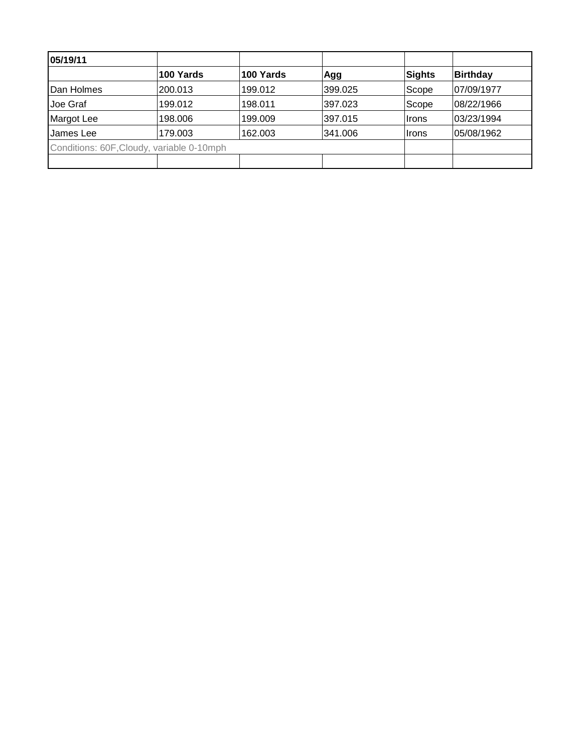| 05/19/11                                  |           |           |         |        |                 |
|-------------------------------------------|-----------|-----------|---------|--------|-----------------|
|                                           | 100 Yards | 100 Yards | Agg     | Sights | <b>Birthday</b> |
| Dan Holmes                                | 200.013   | 199.012   | 399.025 | Scope  | 07/09/1977      |
| Joe Graf                                  | 199.012   | 198.011   | 397.023 | Scope  | 08/22/1966      |
| Margot Lee                                | 198.006   | 199.009   | 397.015 | Irons  | 03/23/1994      |
| James Lee                                 | 179.003   | 162.003   | 341.006 | ∣Irons | 05/08/1962      |
| Conditions: 60F, Cloudy, variable 0-10mph |           |           |         |        |                 |
|                                           |           |           |         |        |                 |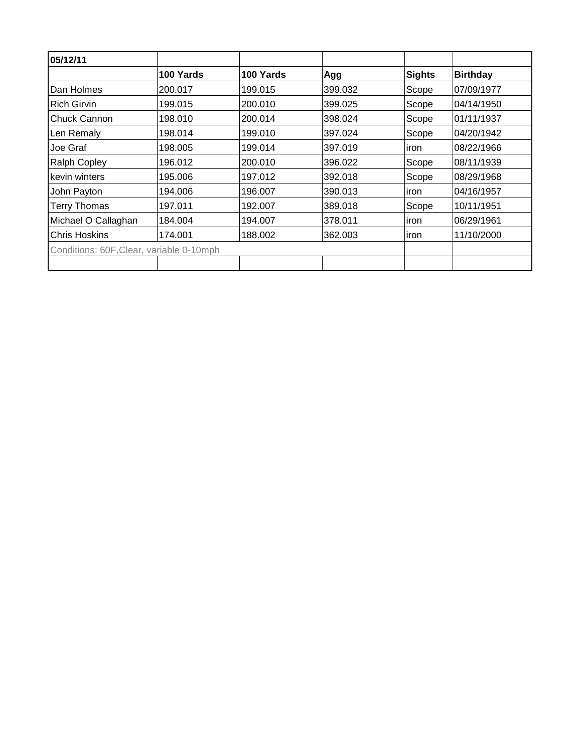| 05/12/11                                 |           |           |         |               |                 |
|------------------------------------------|-----------|-----------|---------|---------------|-----------------|
|                                          | 100 Yards | 100 Yards | Agg     | <b>Sights</b> | <b>Birthday</b> |
| Dan Holmes                               | 200.017   | 199.015   | 399.032 | Scope         | 07/09/1977      |
| Rich Girvin                              | 199.015   | 200.010   | 399.025 | Scope         | 04/14/1950      |
| Chuck Cannon                             | 198.010   | 200.014   | 398.024 | Scope         | 01/11/1937      |
| Len Remaly                               | 198.014   | 199.010   | 397.024 | Scope         | 04/20/1942      |
| Joe Graf                                 | 198.005   | 199.014   | 397.019 | iron          | 08/22/1966      |
| <b>Ralph Copley</b>                      | 196.012   | 200.010   | 396.022 | Scope         | 08/11/1939      |
| kevin winters                            | 195.006   | 197.012   | 392.018 | Scope         | 08/29/1968      |
| John Payton                              | 194.006   | 196.007   | 390.013 | ∣iron         | 04/16/1957      |
| <b>Terry Thomas</b>                      | 197.011   | 192.007   | 389.018 | Scope         | 10/11/1951      |
| Michael O Callaghan                      | 184.004   | 194.007   | 378.011 | iron          | 06/29/1961      |
| <b>Chris Hoskins</b>                     | 174.001   | 188.002   | 362.003 | iron          | 11/10/2000      |
| Conditions: 60F, Clear, variable 0-10mph |           |           |         |               |                 |
|                                          |           |           |         |               |                 |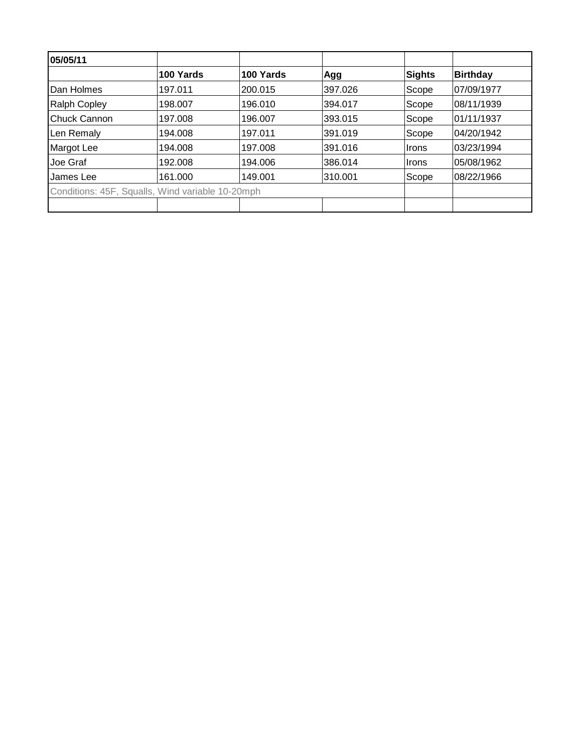| 05/05/11             |                                                  |           |         |        |                 |
|----------------------|--------------------------------------------------|-----------|---------|--------|-----------------|
|                      | 100 Yards                                        | 100 Yards | Agg     | Sights | <b>Birthday</b> |
| Dan Holmes           | 197.011                                          | 200.015   | 397.026 | Scope  | 07/09/1977      |
| <b>Ralph Copley</b>  | 198.007                                          | 196.010   | 394.017 | Scope  | 08/11/1939      |
| <b>IChuck Cannon</b> | 197.008                                          | 196.007   | 393.015 | Scope  | 01/11/1937      |
| Len Remaly           | 194.008                                          | 197.011   | 391.019 | Scope  | 04/20/1942      |
| Margot Lee           | 194.008                                          | 197.008   | 391.016 | ∣Irons | 03/23/1994      |
| Joe Graf             | 192.008                                          | 194.006   | 386.014 | ∣Irons | 05/08/1962      |
| James Lee            | 161.000                                          | 149.001   | 310.001 | Scope  | 08/22/1966      |
|                      | Conditions: 45F, Squalls, Wind variable 10-20mph |           |         |        |                 |
|                      |                                                  |           |         |        |                 |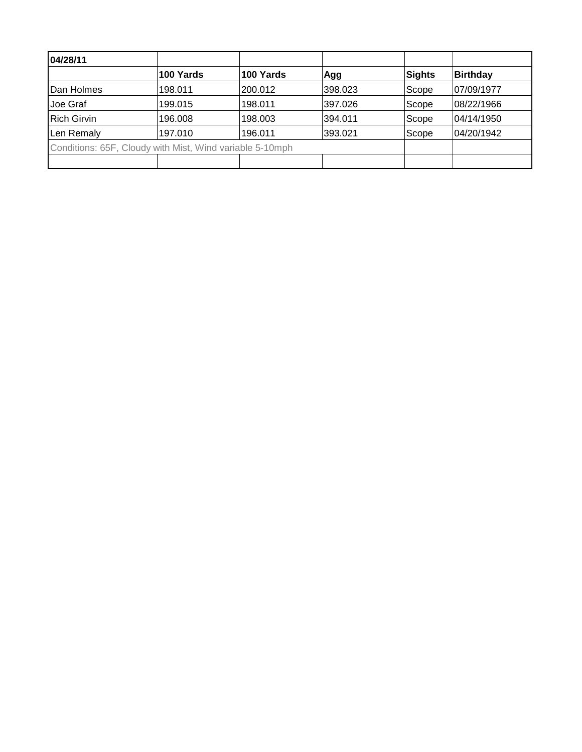| 04/28/11           |                                                          |           |         |        |                 |
|--------------------|----------------------------------------------------------|-----------|---------|--------|-----------------|
|                    | 100 Yards                                                | 100 Yards | Agg     | Sights | <b>Birthday</b> |
| <b>IDan Holmes</b> | 198.011                                                  | 200.012   | 398.023 | Scope  | 07/09/1977      |
| Joe Graf           | 199.015                                                  | 198.011   | 397.026 | Scope  | 08/22/1966      |
| <b>Rich Girvin</b> | 196.008                                                  | 198.003   | 394.011 | Scope  | 04/14/1950      |
| Len Remaly         | 197.010                                                  | 196.011   | 393.021 | Scope  | 04/20/1942      |
|                    | Conditions: 65F, Cloudy with Mist, Wind variable 5-10mph |           |         |        |                 |
|                    |                                                          |           |         |        |                 |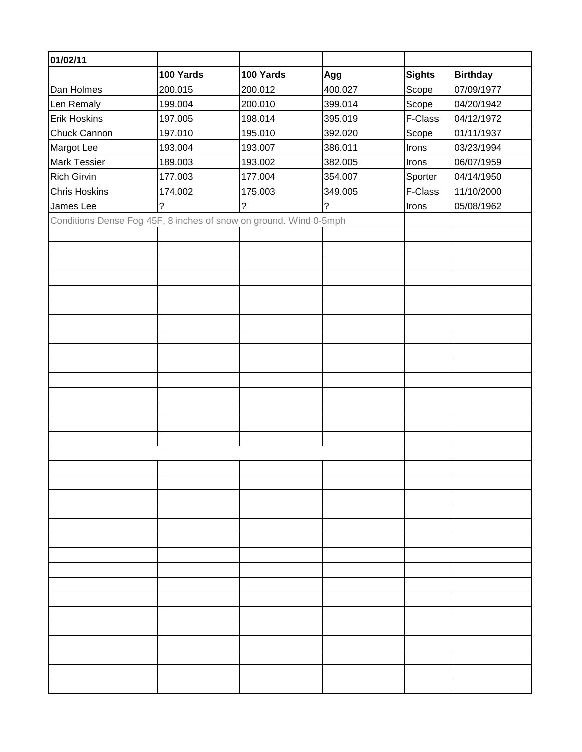| 01/02/11                                                          |           |           |         |               |                 |
|-------------------------------------------------------------------|-----------|-----------|---------|---------------|-----------------|
|                                                                   | 100 Yards | 100 Yards | Agg     | <b>Sights</b> | <b>Birthday</b> |
| Dan Holmes                                                        | 200.015   | 200.012   | 400.027 | Scope         | 07/09/1977      |
| Len Remaly                                                        | 199.004   | 200.010   | 399.014 | Scope         | 04/20/1942      |
| <b>Erik Hoskins</b>                                               | 197.005   | 198.014   | 395.019 | F-Class       | 04/12/1972      |
| Chuck Cannon                                                      | 197.010   | 195.010   | 392.020 | Scope         | 01/11/1937      |
| Margot Lee                                                        | 193.004   | 193.007   | 386.011 | Irons         | 03/23/1994      |
| <b>Mark Tessier</b>                                               | 189.003   | 193.002   | 382.005 | Irons         | 06/07/1959      |
| Rich Girvin                                                       | 177.003   | 177.004   | 354.007 | Sporter       | 04/14/1950      |
| <b>Chris Hoskins</b>                                              | 174.002   | 175.003   | 349.005 | F-Class       | 11/10/2000      |
| James Lee                                                         | ?         | ?         | ?       | Irons         | 05/08/1962      |
| Conditions Dense Fog 45F, 8 inches of snow on ground. Wind 0-5mph |           |           |         |               |                 |
|                                                                   |           |           |         |               |                 |
|                                                                   |           |           |         |               |                 |
|                                                                   |           |           |         |               |                 |
|                                                                   |           |           |         |               |                 |
|                                                                   |           |           |         |               |                 |
|                                                                   |           |           |         |               |                 |
|                                                                   |           |           |         |               |                 |
|                                                                   |           |           |         |               |                 |
|                                                                   |           |           |         |               |                 |
|                                                                   |           |           |         |               |                 |
|                                                                   |           |           |         |               |                 |
|                                                                   |           |           |         |               |                 |
|                                                                   |           |           |         |               |                 |
|                                                                   |           |           |         |               |                 |
|                                                                   |           |           |         |               |                 |
|                                                                   |           |           |         |               |                 |
|                                                                   |           |           |         |               |                 |
|                                                                   |           |           |         |               |                 |
|                                                                   |           |           |         |               |                 |
|                                                                   |           |           |         |               |                 |
|                                                                   |           |           |         |               |                 |
|                                                                   |           |           |         |               |                 |
|                                                                   |           |           |         |               |                 |
|                                                                   |           |           |         |               |                 |
|                                                                   |           |           |         |               |                 |
|                                                                   |           |           |         |               |                 |
|                                                                   |           |           |         |               |                 |
|                                                                   |           |           |         |               |                 |
|                                                                   |           |           |         |               |                 |
|                                                                   |           |           |         |               |                 |
|                                                                   |           |           |         |               |                 |
|                                                                   |           |           |         |               |                 |